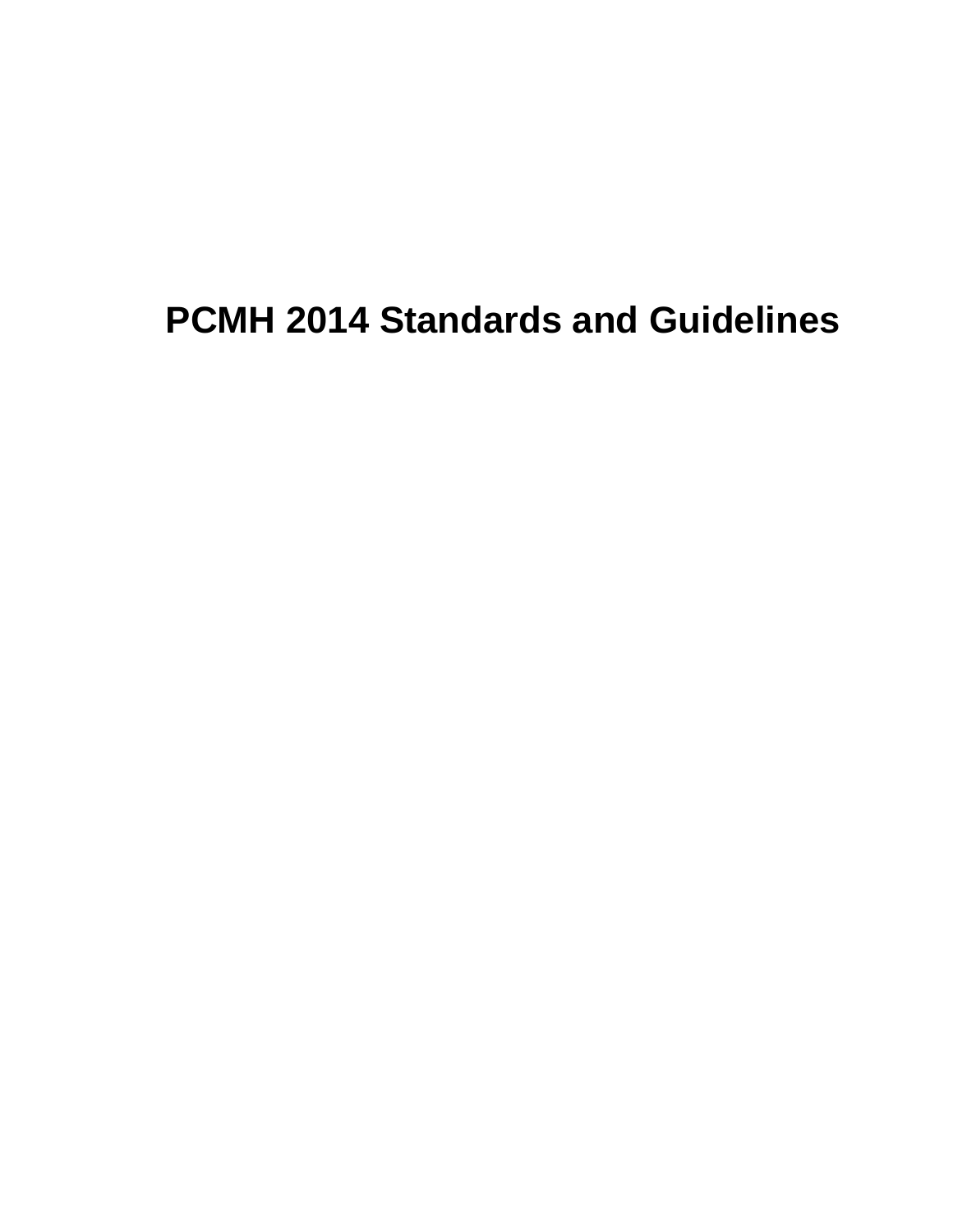# **PCMH 2014 Standards and Guidelines**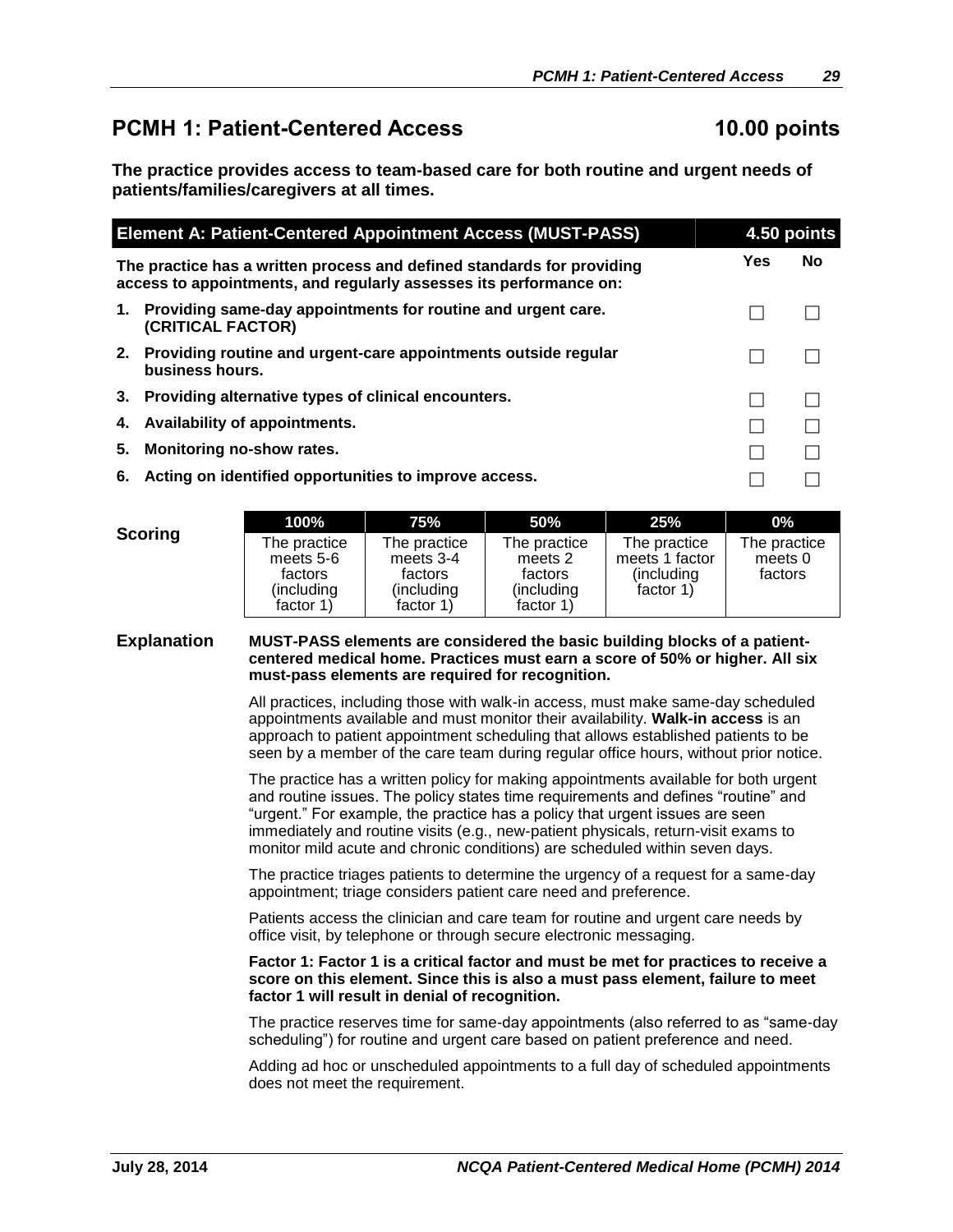# **PCMH 1: Patient-Centered Access 10.00 points**

**The practice provides access to team-based care for both routine and urgent needs of patients/families/caregivers at all times.**

| <b>Element A: Patient-Centered Appointment Access (MUST-PASS)</b> |                                                                                                                                              |     |           |
|-------------------------------------------------------------------|----------------------------------------------------------------------------------------------------------------------------------------------|-----|-----------|
|                                                                   | The practice has a written process and defined standards for providing<br>access to appointments, and regularly assesses its performance on: | Yes | <b>No</b> |
| 1.                                                                | Providing same-day appointments for routine and urgent care.<br>(CRITICAL FACTOR)                                                            |     |           |
|                                                                   | 2. Providing routine and urgent-care appointments outside regular<br>business hours.                                                         |     |           |
|                                                                   | 3. Providing alternative types of clinical encounters.                                                                                       |     |           |
|                                                                   | 4. Availability of appointments.                                                                                                             |     |           |
| 5.                                                                | Monitoring no-show rates.                                                                                                                    |     |           |
| 6.                                                                | Acting on identified opportunities to improve access.                                                                                        |     |           |

|         | 100%                                                             | 75%                                                             | 50%                                                            | 25%                                                        | $0\%$                              |
|---------|------------------------------------------------------------------|-----------------------------------------------------------------|----------------------------------------------------------------|------------------------------------------------------------|------------------------------------|
| Scoring | The practice<br>meets 5-6<br>factors<br>(including)<br>factor 1) | The practice<br>meets 3-4<br>factors<br>(including<br>factor 1) | The practice<br>meets 2<br>factors<br>(including)<br>factor 1) | The practice<br>meets 1 factor<br>(including)<br>factor 1) | The practice<br>meets 0<br>factors |

#### **Explanation MUST-PASS elements are considered the basic building blocks of a patientcentered medical home. Practices must earn a score of 50% or higher. All six must-pass elements are required for recognition.**

All practices, including those with walk-in access, must make same-day scheduled appointments available and must monitor their availability. **Walk-in access** is an approach to patient appointment scheduling that allows established patients to be seen by a member of the care team during regular office hours, without prior notice.

The practice has a written policy for making appointments available for both urgent and routine issues. The policy states time requirements and defines "routine" and "urgent." For example, the practice has a policy that urgent issues are seen immediately and routine visits (e.g., new-patient physicals, return-visit exams to monitor mild acute and chronic conditions) are scheduled within seven days.

The practice triages patients to determine the urgency of a request for a same-day appointment; triage considers patient care need and preference.

Patients access the clinician and care team for routine and urgent care needs by office visit, by telephone or through secure electronic messaging.

#### **Factor 1: Factor 1 is a critical factor and must be met for practices to receive a score on this element. Since this is also a must pass element, failure to meet factor 1 will result in denial of recognition.**

The practice reserves time for same-day appointments (also referred to as "same-day scheduling") for routine and urgent care based on patient preference and need.

Adding ad hoc or unscheduled appointments to a full day of scheduled appointments does not meet the requirement.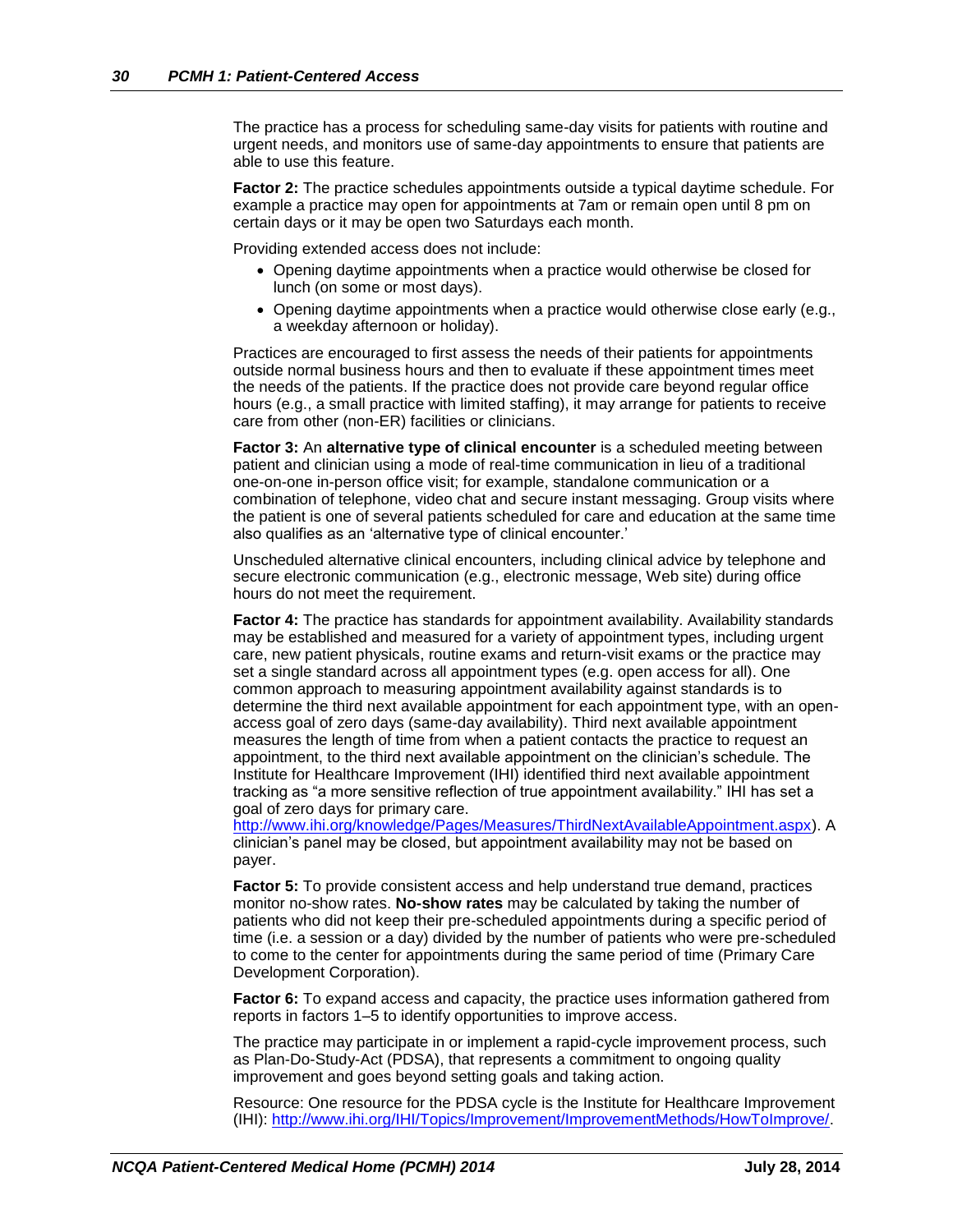The practice has a process for scheduling same-day visits for patients with routine and urgent needs, and monitors use of same-day appointments to ensure that patients are able to use this feature.

**Factor 2:** The practice schedules appointments outside a typical daytime schedule. For example a practice may open for appointments at 7am or remain open until 8 pm on certain days or it may be open two Saturdays each month.

Providing extended access does not include:

- Opening daytime appointments when a practice would otherwise be closed for lunch (on some or most days).
- Opening daytime appointments when a practice would otherwise close early (e.g., a weekday afternoon or holiday).

Practices are encouraged to first assess the needs of their patients for appointments outside normal business hours and then to evaluate if these appointment times meet the needs of the patients. If the practice does not provide care beyond regular office hours (e.g., a small practice with limited staffing), it may arrange for patients to receive care from other (non-ER) facilities or clinicians.

**Factor 3:** An **alternative type of clinical encounter** is a scheduled meeting between patient and clinician using a mode of real-time communication in lieu of a traditional one-on-one in-person office visit; for example, standalone communication or a combination of telephone, video chat and secure instant messaging. Group visits where the patient is one of several patients scheduled for care and education at the same time also qualifies as an 'alternative type of clinical encounter.'

Unscheduled alternative clinical encounters, including clinical advice by telephone and secure electronic communication (e.g., electronic message, Web site) during office hours do not meet the requirement.

**Factor 4:** The practice has standards for appointment availability. Availability standards may be established and measured for a variety of appointment types, including urgent care, new patient physicals, routine exams and return-visit exams or the practice may set a single standard across all appointment types (e.g. open access for all). One common approach to measuring appointment availability against standards is to determine the third next available appointment for each appointment type, with an openaccess goal of zero days (same-day availability). Third next available appointment measures the length of time from when a patient contacts the practice to request an appointment, to the third next available appointment on the clinician's schedule. The Institute for Healthcare Improvement (IHI) identified third next available appointment tracking as "a more sensitive reflection of true appointment availability." IHI has set a goal of zero days for primary care.

[http://www.ihi.org/knowledge/Pages/Measures/ThirdNextAvailableAppointment.aspx\)](http://www.ihi.org/knowledge/Pages/Measures/ThirdNextAvailableAppointment.aspx). A clinician's panel may be closed, but appointment availability may not be based on payer.

**Factor 5:** To provide consistent access and help understand true demand, practices monitor no-show rates. **No-show rates** may be calculated by taking the number of patients who did not keep their pre-scheduled appointments during a specific period of time (i.e. a session or a day) divided by the number of patients who were pre-scheduled to come to the center for appointments during the same period of time (Primary Care Development Corporation).

**Factor 6:** To expand access and capacity, the practice uses information gathered from reports in factors 1–5 to identify opportunities to improve access.

The practice may participate in or implement a rapid-cycle improvement process, such as Plan-Do-Study-Act (PDSA), that represents a commitment to ongoing quality improvement and goes beyond setting goals and taking action.

Resource: One resource for the PDSA cycle is the Institute for Healthcare Improvement (IHI): [http://www.ihi.org/IHI/Topics/Improvement/ImprovementMethods/HowToImprove/.](http://www.ihi.org/IHI/Topics/Improvement/ImprovementMethods/HowToImprove/)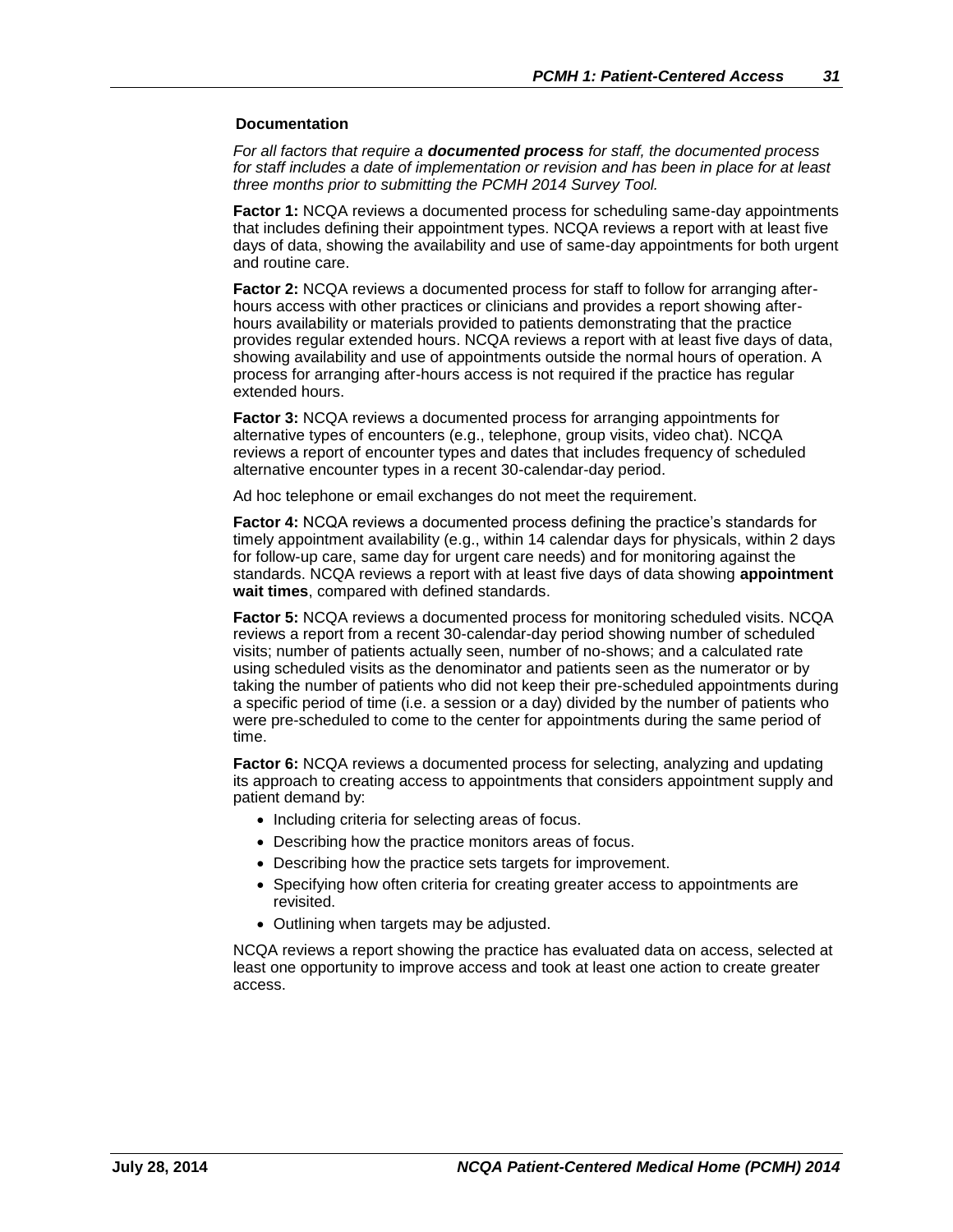### **Documentation**

*For all factors that require a documented process for staff, the documented process for staff includes a date of implementation or revision and has been in place for at least three months prior to submitting the PCMH 2014 Survey Tool.*

**Factor 1:** NCQA reviews a documented process for scheduling same-day appointments that includes defining their appointment types. NCQA reviews a report with at least five days of data, showing the availability and use of same-day appointments for both urgent and routine care.

**Factor 2: NCQA reviews a documented process for staff to follow for arranging after**hours access with other practices or clinicians and provides a report showing afterhours availability or materials provided to patients demonstrating that the practice provides regular extended hours. NCQA reviews a report with at least five days of data, showing availability and use of appointments outside the normal hours of operation. A process for arranging after-hours access is not required if the practice has regular extended hours.

**Factor 3:** NCQA reviews a documented process for arranging appointments for alternative types of encounters (e.g., telephone, group visits, video chat). NCQA reviews a report of encounter types and dates that includes frequency of scheduled alternative encounter types in a recent 30-calendar-day period.

Ad hoc telephone or email exchanges do not meet the requirement.

**Factor 4:** NCQA reviews a documented process defining the practice's standards for timely appointment availability (e.g., within 14 calendar days for physicals, within 2 days for follow-up care, same day for urgent care needs) and for monitoring against the standards. NCQA reviews a report with at least five days of data showing **appointment wait times**, compared with defined standards.

**Factor 5:** NCQA reviews a documented process for monitoring scheduled visits. NCQA reviews a report from a recent 30-calendar-day period showing number of scheduled visits; number of patients actually seen, number of no-shows; and a calculated rate using scheduled visits as the denominator and patients seen as the numerator or by taking the number of patients who did not keep their pre-scheduled appointments during a specific period of time (i.e. a session or a day) divided by the number of patients who were pre-scheduled to come to the center for appointments during the same period of time.

**Factor 6:** NCQA reviews a documented process for selecting, analyzing and updating its approach to creating access to appointments that considers appointment supply and patient demand by:

- Including criteria for selecting areas of focus.
- Describing how the practice monitors areas of focus.
- Describing how the practice sets targets for improvement.
- Specifying how often criteria for creating greater access to appointments are revisited.
- Outlining when targets may be adjusted.

NCQA reviews a report showing the practice has evaluated data on access, selected at least one opportunity to improve access and took at least one action to create greater access.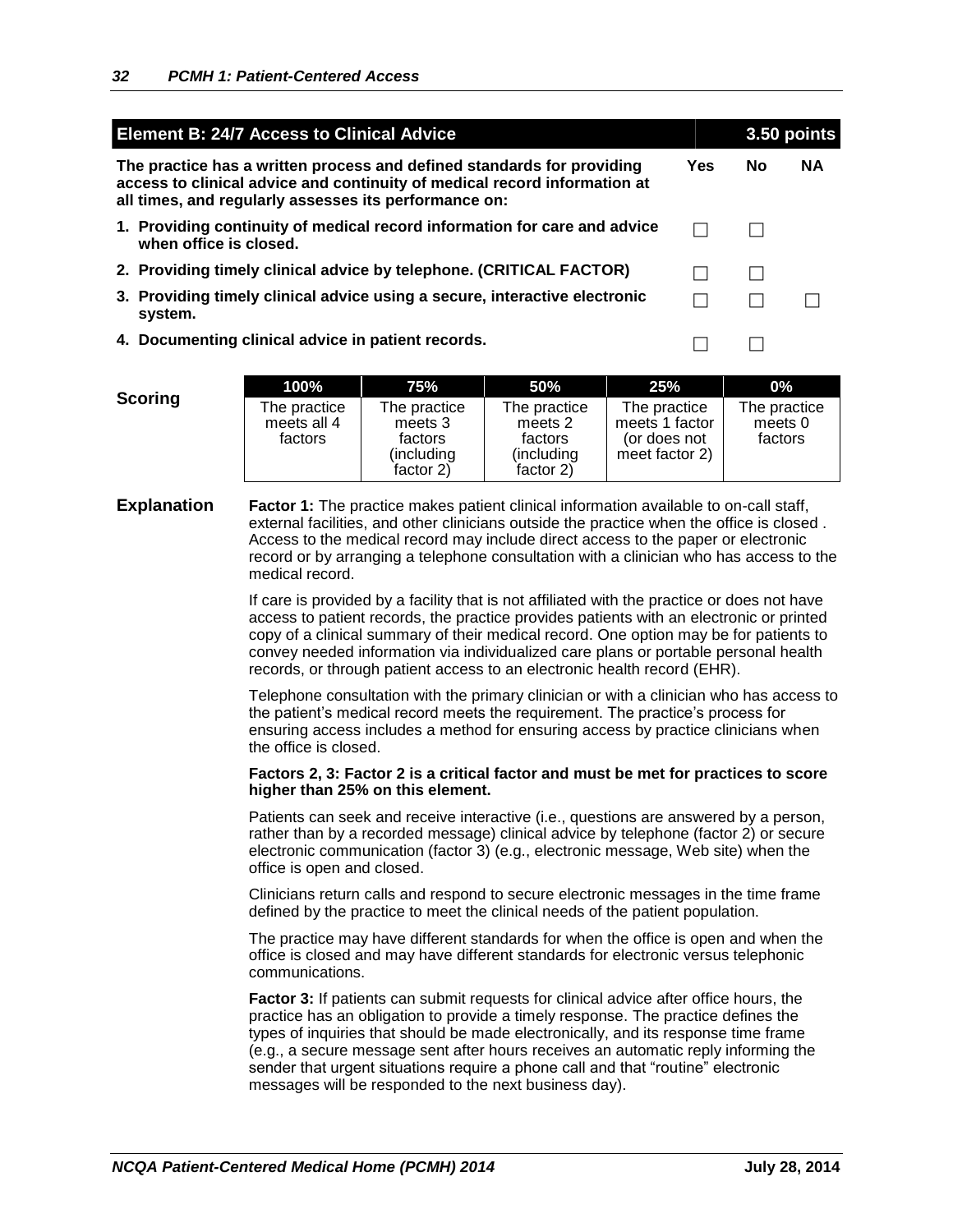| <b>Element B: 24/7 Access to Clinical Advice</b>                                                                                                                                                             |     |           | 3.50 points |
|--------------------------------------------------------------------------------------------------------------------------------------------------------------------------------------------------------------|-----|-----------|-------------|
| The practice has a written process and defined standards for providing<br>access to clinical advice and continuity of medical record information at<br>all times, and regularly assesses its performance on: | Yes | <b>No</b> | <b>NA</b>   |
| 1. Providing continuity of medical record information for care and advice<br>when office is closed.                                                                                                          |     |           |             |
| 2. Providing timely clinical advice by telephone. (CRITICAL FACTOR)                                                                                                                                          |     |           |             |
| 3. Providing timely clinical advice using a secure, interactive electronic<br>system.                                                                                                                        |     |           |             |
| 4. Documenting clinical advice in patient records.                                                                                                                                                           |     |           |             |
| 50%<br>75%<br>25%<br>100%                                                                                                                                                                                    |     | በ%        |             |

|         | 100%                                   | 75%                                                           | 50%                                                            | 25%                                                              | $0\%$                              |
|---------|----------------------------------------|---------------------------------------------------------------|----------------------------------------------------------------|------------------------------------------------------------------|------------------------------------|
| Scoring | The practice<br>meets all 4<br>factors | The practice<br>meets 3<br>factors<br>(including<br>factor 2) | The practice<br>meets 2<br>factors<br>(including)<br>factor 2) | The practice<br>meets 1 factor<br>(or does not<br>meet factor 2) | The practice<br>meets 0<br>factors |

#### **Explanation Factor 1:** The practice makes patient clinical information available to on-call staff, external facilities, and other clinicians outside the practice when the office is closed . Access to the medical record may include direct access to the paper or electronic record or by arranging a telephone consultation with a clinician who has access to the medical record.

If care is provided by a facility that is not affiliated with the practice or does not have access to patient records, the practice provides patients with an electronic or printed copy of a clinical summary of their medical record. One option may be for patients to convey needed information via individualized care plans or portable personal health records, or through patient access to an electronic health record (EHR).

Telephone consultation with the primary clinician or with a clinician who has access to the patient's medical record meets the requirement. The practice's process for ensuring access includes a method for ensuring access by practice clinicians when the office is closed.

#### **Factors 2, 3: Factor 2 is a critical factor and must be met for practices to score higher than 25% on this element.**

Patients can seek and receive interactive (i.e., questions are answered by a person, rather than by a recorded message) clinical advice by telephone (factor 2) or secure electronic communication (factor 3) (e.g., electronic message, Web site) when the office is open and closed.

Clinicians return calls and respond to secure electronic messages in the time frame defined by the practice to meet the clinical needs of the patient population.

The practice may have different standards for when the office is open and when the office is closed and may have different standards for electronic versus telephonic communications.

**Factor 3:** If patients can submit requests for clinical advice after office hours, the practice has an obligation to provide a timely response. The practice defines the types of inquiries that should be made electronically, and its response time frame (e.g., a secure message sent after hours receives an automatic reply informing the sender that urgent situations require a phone call and that "routine" electronic messages will be responded to the next business day).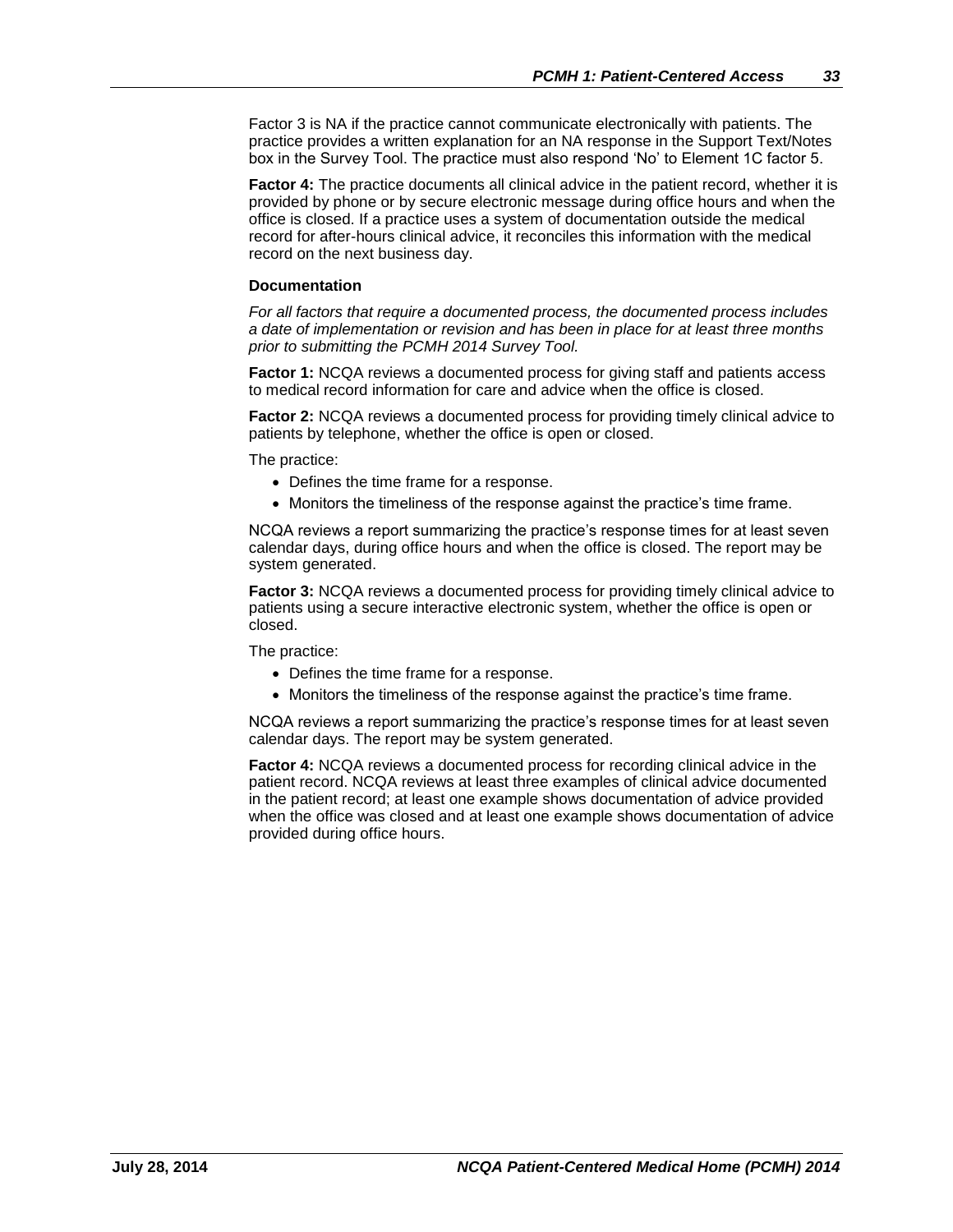Factor 3 is NA if the practice cannot communicate electronically with patients. The practice provides a written explanation for an NA response in the Support Text/Notes box in the Survey Tool. The practice must also respond 'No' to Element 1C factor 5.

**Factor 4:** The practice documents all clinical advice in the patient record, whether it is provided by phone or by secure electronic message during office hours and when the office is closed. If a practice uses a system of documentation outside the medical record for after-hours clinical advice, it reconciles this information with the medical record on the next business day.

#### **Documentation**

*For all factors that require a documented process, the documented process includes a date of implementation or revision and has been in place for at least three months prior to submitting the PCMH 2014 Survey Tool.*

**Factor 1:** NCQA reviews a documented process for giving staff and patients access to medical record information for care and advice when the office is closed.

**Factor 2:** NCQA reviews a documented process for providing timely clinical advice to patients by telephone, whether the office is open or closed.

The practice:

- Defines the time frame for a response.
- Monitors the timeliness of the response against the practice's time frame.

NCQA reviews a report summarizing the practice's response times for at least seven calendar days, during office hours and when the office is closed. The report may be system generated.

**Factor 3:** NCQA reviews a documented process for providing timely clinical advice to patients using a secure interactive electronic system, whether the office is open or closed.

The practice:

- Defines the time frame for a response.
- Monitors the timeliness of the response against the practice's time frame.

NCQA reviews a report summarizing the practice's response times for at least seven calendar days. The report may be system generated.

**Factor 4:** NCQA reviews a documented process for recording clinical advice in the patient record. NCQA reviews at least three examples of clinical advice documented in the patient record; at least one example shows documentation of advice provided when the office was closed and at least one example shows documentation of advice provided during office hours.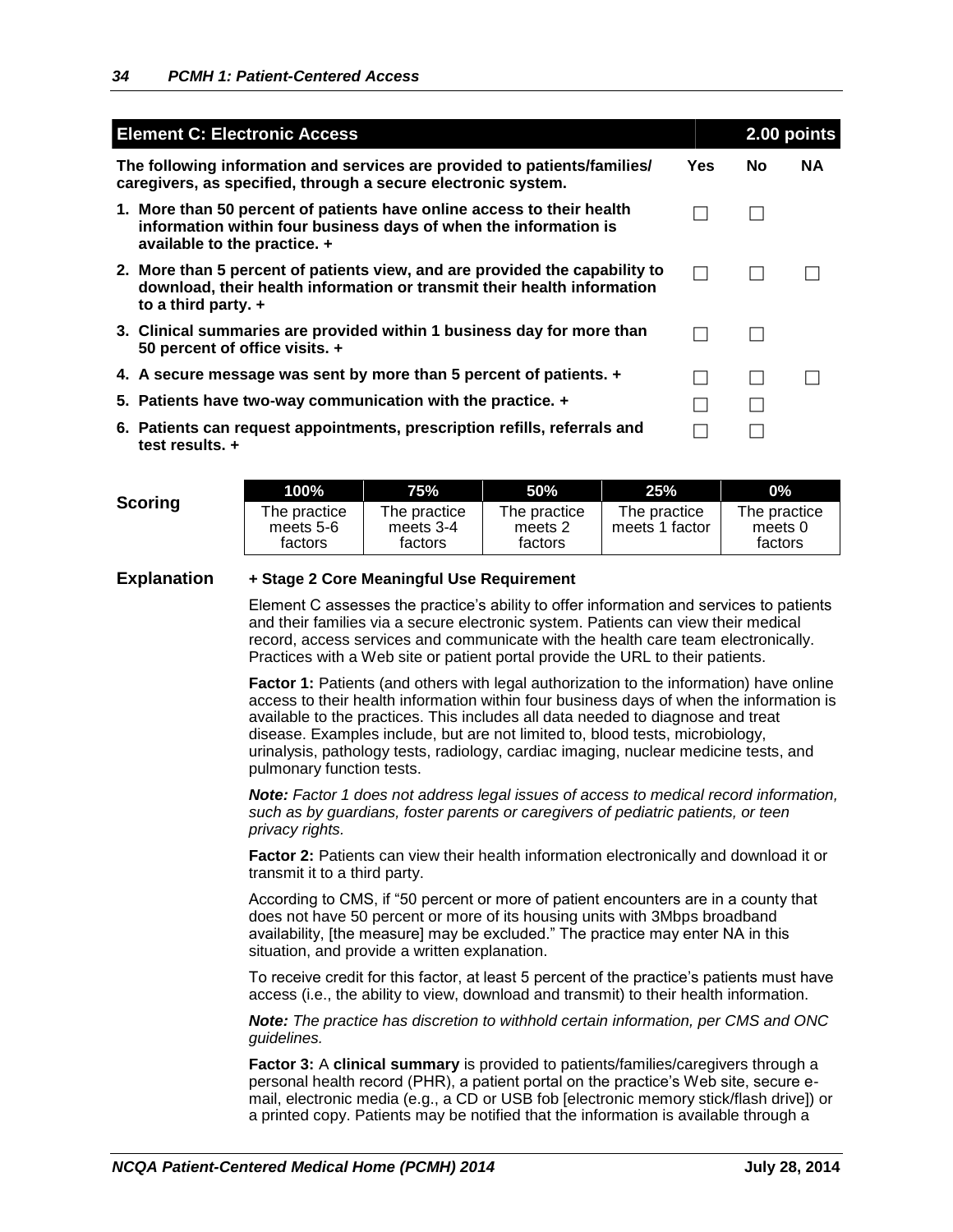| <b>Element C: Electronic Access</b>                                                                                                                                           |      |           |           |
|-------------------------------------------------------------------------------------------------------------------------------------------------------------------------------|------|-----------|-----------|
| The following information and services are provided to patients/families/<br>caregivers, as specified, through a secure electronic system.                                    | Yes. | <b>No</b> | <b>NA</b> |
| 1. More than 50 percent of patients have online access to their health<br>information within four business days of when the information is<br>available to the practice. +    |      |           |           |
| 2. More than 5 percent of patients view, and are provided the capability to<br>download, their health information or transmit their health information<br>to a third party. + |      |           |           |
| 3. Clinical summaries are provided within 1 business day for more than<br>50 percent of office visits. +                                                                      |      |           |           |
| 4. A secure message was sent by more than 5 percent of patients. +                                                                                                            |      |           |           |
| 5. Patients have two-way communication with the practice. +                                                                                                                   |      |           |           |
| 6. Patients can request appointments, prescription refills, referrals and<br>test results. +                                                                                  |      |           |           |

|         | 100%                                 | 75%                                  | 50%                                | 25%                            | $0\%$                              |
|---------|--------------------------------------|--------------------------------------|------------------------------------|--------------------------------|------------------------------------|
| Scoring | The practice<br>meets 5-6<br>factors | The practice<br>meets 3-4<br>factors | The practice<br>meets 2<br>factors | The practice<br>meets 1 factor | The practice<br>meets 0<br>factors |

#### **Explanation + Stage 2 Core Meaningful Use Requirement**

Element C assesses the practice's ability to offer information and services to patients and their families via a secure electronic system. Patients can view their medical record, access services and communicate with the health care team electronically. Practices with a Web site or patient portal provide the URL to their patients.

**Factor 1:** Patients (and others with legal authorization to the information) have online access to their health information within four business days of when the information is available to the practices. This includes all data needed to diagnose and treat disease. Examples include, but are not limited to, blood tests, microbiology, urinalysis, pathology tests, radiology, cardiac imaging, nuclear medicine tests, and pulmonary function tests.

*Note: Factor 1 does not address legal issues of access to medical record information, such as by guardians, foster parents or caregivers of pediatric patients, or teen privacy rights.*

**Factor 2:** Patients can view their health information electronically and download it or transmit it to a third party.

According to CMS, if "50 percent or more of patient encounters are in a county that does not have 50 percent or more of its housing units with 3Mbps broadband availability, [the measure] may be excluded." The practice may enter NA in this situation, and provide a written explanation.

To receive credit for this factor, at least 5 percent of the practice's patients must have access (i.e., the ability to view, download and transmit) to their health information.

*Note: The practice has discretion to withhold certain information, per CMS and ONC guidelines.*

**Factor 3:** A **clinical summary** is provided to patients/families/caregivers through a personal health record (PHR), a patient portal on the practice's Web site, secure email, electronic media (e.g., a CD or USB fob [electronic memory stick/flash drive]) or a printed copy. Patients may be notified that the information is available through a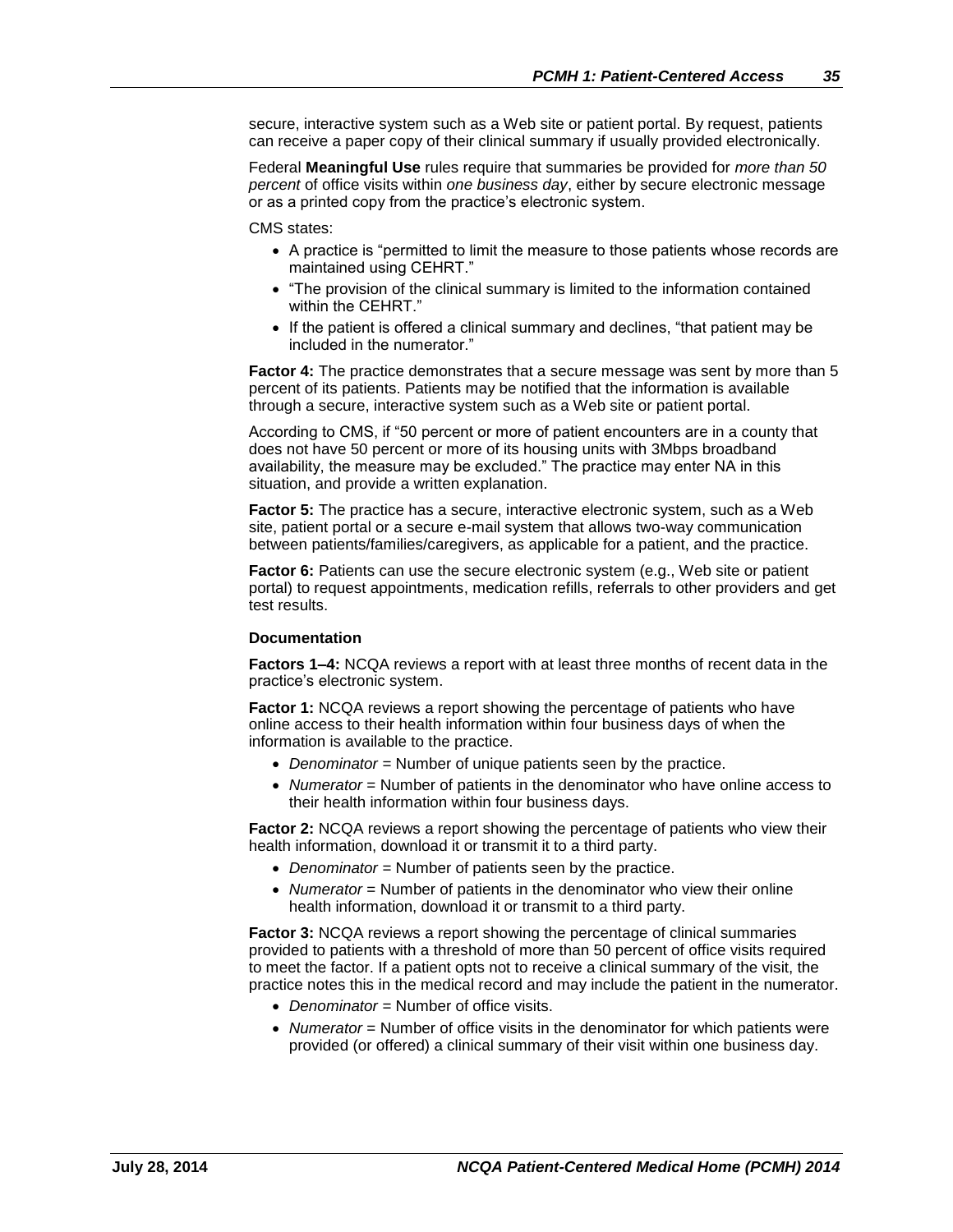secure, interactive system such as a Web site or patient portal. By request, patients can receive a paper copy of their clinical summary if usually provided electronically.

Federal **Meaningful Use** rules require that summaries be provided for *more than 50 percent* of office visits within *one business day*, either by secure electronic message or as a printed copy from the practice's electronic system.

CMS states:

- A practice is "permitted to limit the measure to those patients whose records are maintained using CEHRT."
- "The provision of the clinical summary is limited to the information contained within the CEHRT."
- If the patient is offered a clinical summary and declines, "that patient may be included in the numerator."

**Factor 4:** The practice demonstrates that a secure message was sent by more than 5 percent of its patients. Patients may be notified that the information is available through a secure, interactive system such as a Web site or patient portal.

According to CMS, if "50 percent or more of patient encounters are in a county that does not have 50 percent or more of its housing units with 3Mbps broadband availability, the measure may be excluded." The practice may enter NA in this situation, and provide a written explanation.

**Factor 5:** The practice has a secure, interactive electronic system, such as a Web site, patient portal or a secure e-mail system that allows two-way communication between patients/families/caregivers, as applicable for a patient, and the practice.

**Factor 6:** Patients can use the secure electronic system (e.g., Web site or patient portal) to request appointments, medication refills, referrals to other providers and get test results.

### **Documentation**

**Factors 1–4:** NCQA reviews a report with at least three months of recent data in the practice's electronic system.

**Factor 1:** NCQA reviews a report showing the percentage of patients who have online access to their health information within four business days of when the information is available to the practice.

- *Denominator* = Number of unique patients seen by the practice.
- *Numerator* = Number of patients in the denominator who have online access to their health information within four business days.

**Factor 2:** NCQA reviews a report showing the percentage of patients who view their health information, download it or transmit it to a third party.

- *Denominator* = Number of patients seen by the practice.
- Numerator = Number of patients in the denominator who view their online health information, download it or transmit to a third party.

**Factor 3:** NCQA reviews a report showing the percentage of clinical summaries provided to patients with a threshold of more than 50 percent of office visits required to meet the factor. If a patient opts not to receive a clinical summary of the visit, the practice notes this in the medical record and may include the patient in the numerator.

- *Denominator* = Number of office visits.
- Numerator = Number of office visits in the denominator for which patients were provided (or offered) a clinical summary of their visit within one business day.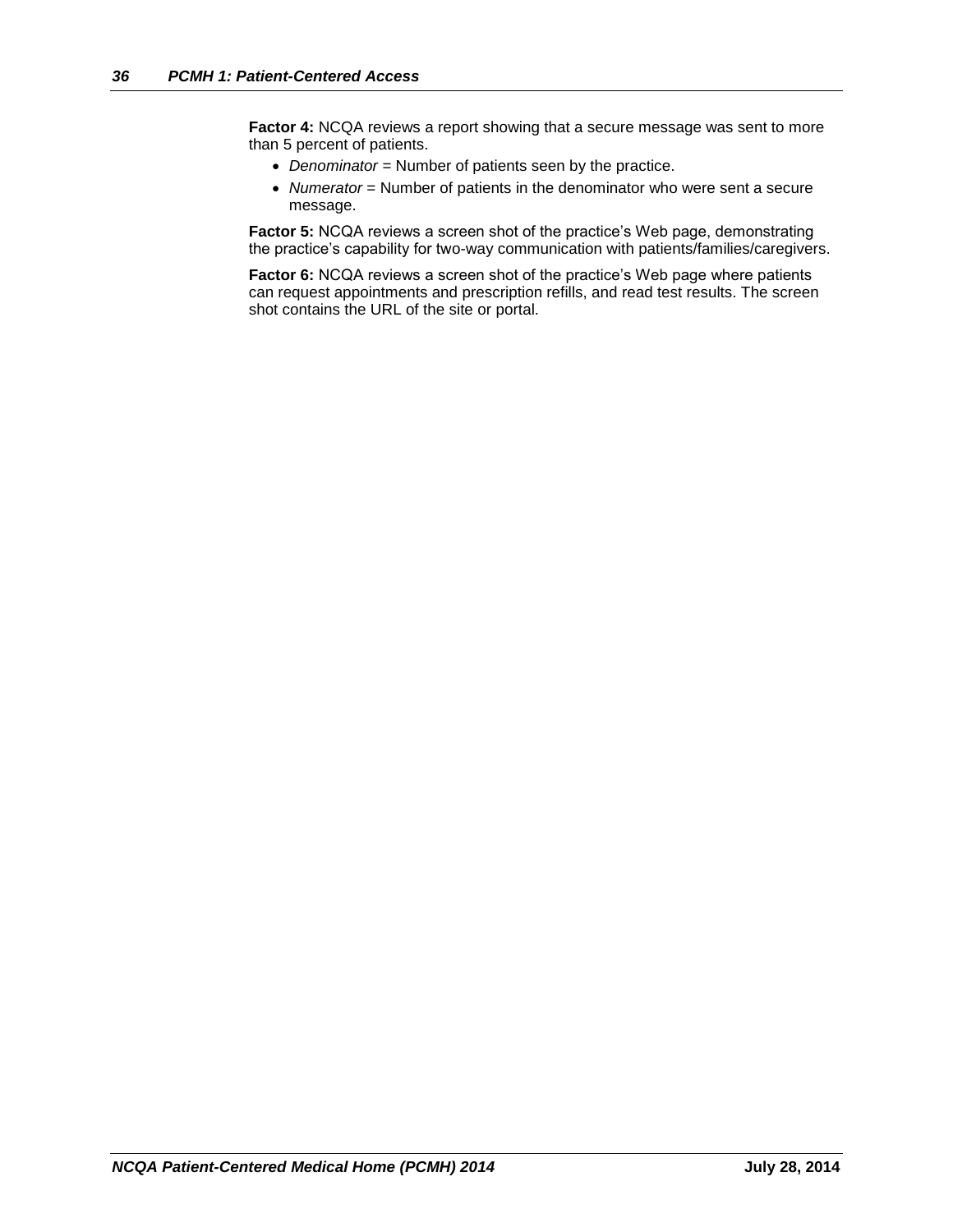**Factor 4:** NCQA reviews a report showing that a secure message was sent to more than 5 percent of patients.

- Denominator = Number of patients seen by the practice.
- Numerator = Number of patients in the denominator who were sent a secure message.

**Factor 5:** NCQA reviews a screen shot of the practice's Web page, demonstrating the practice's capability for two-way communication with patients/families/caregivers.

**Factor 6:** NCQA reviews a screen shot of the practice's Web page where patients can request appointments and prescription refills, and read test results. The screen shot contains the URL of the site or portal.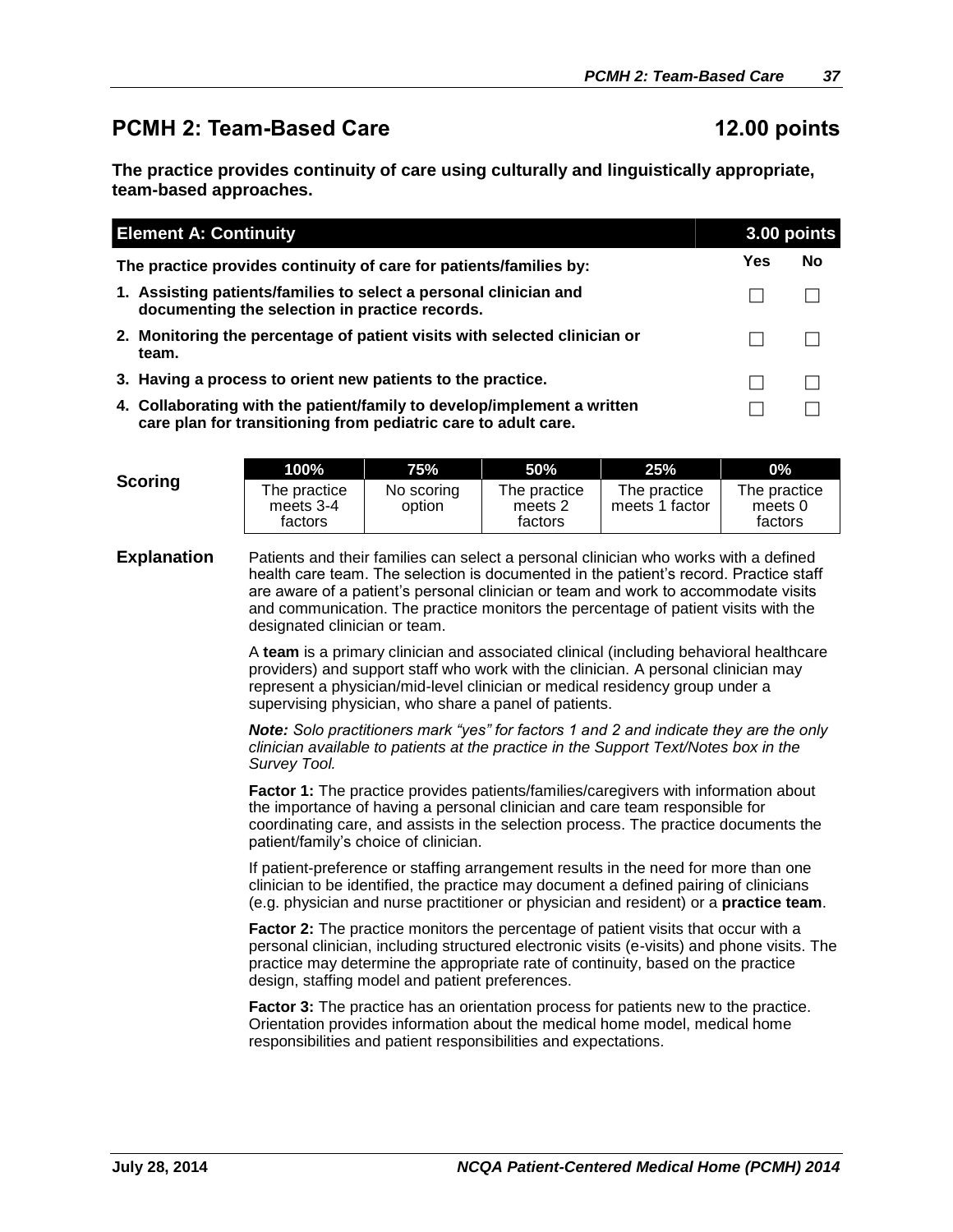# **PCMH 2: Team-Based Care 12.00 points**

**The practice provides continuity of care using culturally and linguistically appropriate, team-based approaches.**

| <b>Element A: Continuity</b><br>3.00 points                                                                                               |     |    |
|-------------------------------------------------------------------------------------------------------------------------------------------|-----|----|
| The practice provides continuity of care for patients/families by:                                                                        | Yes | No |
| 1. Assisting patients/families to select a personal clinician and<br>documenting the selection in practice records.                       |     |    |
| 2. Monitoring the percentage of patient visits with selected clinician or<br>team.                                                        |     |    |
| 3. Having a process to orient new patients to the practice.                                                                               |     |    |
| 4. Collaborating with the patient/family to develop/implement a written<br>care plan for transitioning from pediatric care to adult care. |     |    |

|         | 100%                                 | 75%                  | <b>50%</b>                         | 25%                            | $0\%$                              |
|---------|--------------------------------------|----------------------|------------------------------------|--------------------------------|------------------------------------|
| Scoring | The practice<br>meets 3-4<br>factors | No scoring<br>option | The practice<br>meets 2<br>factors | The practice<br>meets 1 factor | The practice<br>meets 0<br>factors |

**Explanation** Patients and their families can select a personal clinician who works with a defined health care team. The selection is documented in the patient's record. Practice staff are aware of a patient's personal clinician or team and work to accommodate visits and communication. The practice monitors the percentage of patient visits with the designated clinician or team.

> A **team** is a primary clinician and associated clinical (including behavioral healthcare providers) and support staff who work with the clinician. A personal clinician may represent a physician/mid-level clinician or medical residency group under a supervising physician, who share a panel of patients.

> *Note: Solo practitioners mark "yes" for factors 1 and 2 and indicate they are the only clinician available to patients at the practice in the Support Text/Notes box in the Survey Tool.*

**Factor 1:** The practice provides patients/families/caregivers with information about the importance of having a personal clinician and care team responsible for coordinating care, and assists in the selection process. The practice documents the patient/family's choice of clinician.

If patient-preference or staffing arrangement results in the need for more than one clinician to be identified, the practice may document a defined pairing of clinicians (e.g. physician and nurse practitioner or physician and resident) or a **practice team**.

**Factor 2:** The practice monitors the percentage of patient visits that occur with a personal clinician, including structured electronic visits (e-visits) and phone visits. The practice may determine the appropriate rate of continuity, based on the practice design, staffing model and patient preferences.

**Factor 3:** The practice has an orientation process for patients new to the practice. Orientation provides information about the medical home model, medical home responsibilities and patient responsibilities and expectations.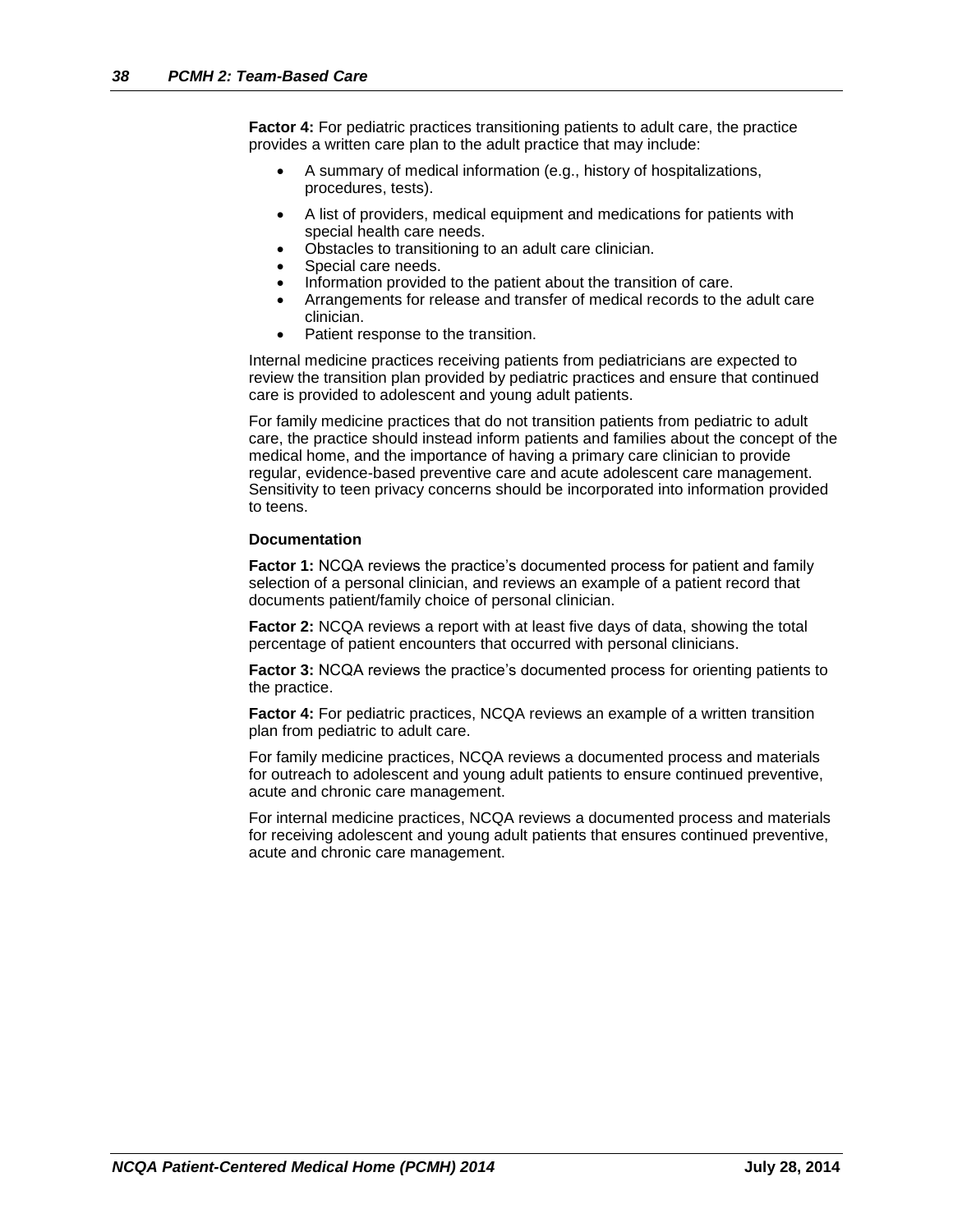**Factor 4:** For pediatric practices transitioning patients to adult care, the practice provides a written care plan to the adult practice that may include:

- A summary of medical information (e.g., history of hospitalizations, procedures, tests).
- A list of providers, medical equipment and medications for patients with special health care needs.
- Obstacles to transitioning to an adult care clinician.
- Special care needs.
- Information provided to the patient about the transition of care.
- Arrangements for release and transfer of medical records to the adult care clinician.
- Patient response to the transition.

Internal medicine practices receiving patients from pediatricians are expected to review the transition plan provided by pediatric practices and ensure that continued care is provided to adolescent and young adult patients.

For family medicine practices that do not transition patients from pediatric to adult care, the practice should instead inform patients and families about the concept of the medical home, and the importance of having a primary care clinician to provide regular, evidence-based preventive care and acute adolescent care management. Sensitivity to teen privacy concerns should be incorporated into information provided to teens.

#### **Documentation**

**Factor 1:** NCQA reviews the practice's documented process for patient and family selection of a personal clinician, and reviews an example of a patient record that documents patient/family choice of personal clinician.

**Factor 2:** NCQA reviews a report with at least five days of data, showing the total percentage of patient encounters that occurred with personal clinicians.

**Factor 3:** NCQA reviews the practice's documented process for orienting patients to the practice.

**Factor 4:** For pediatric practices, NCQA reviews an example of a written transition plan from pediatric to adult care.

For family medicine practices, NCQA reviews a documented process and materials for outreach to adolescent and young adult patients to ensure continued preventive, acute and chronic care management.

For internal medicine practices, NCQA reviews a documented process and materials for receiving adolescent and young adult patients that ensures continued preventive, acute and chronic care management.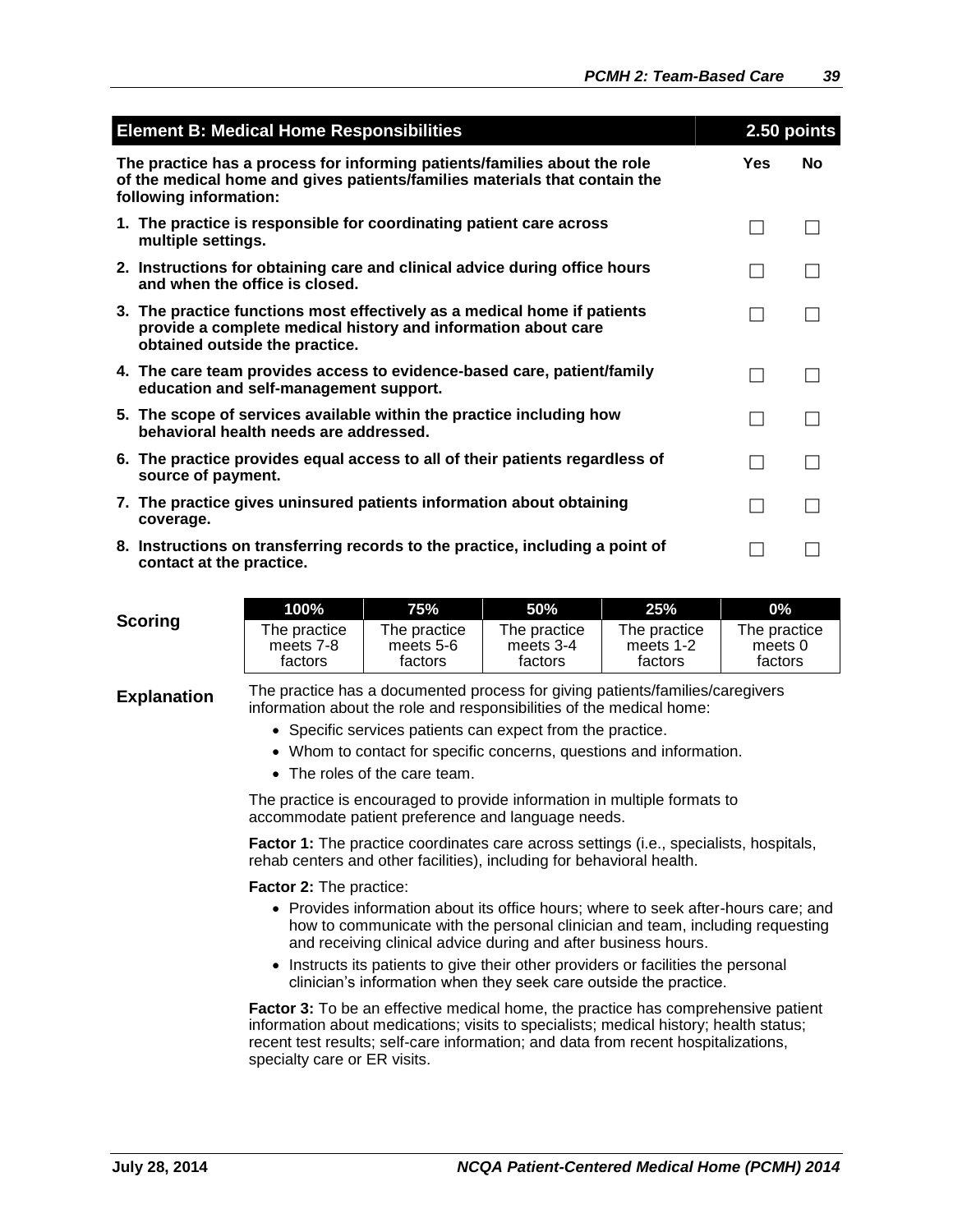| <b>Element B: Medical Home Responsibilities</b>                                                                                                                                   | 2.50 points |    |
|-----------------------------------------------------------------------------------------------------------------------------------------------------------------------------------|-------------|----|
| The practice has a process for informing patients/families about the role<br>of the medical home and gives patients/families materials that contain the<br>following information: | Yes         | No |
| 1. The practice is responsible for coordinating patient care across<br>multiple settings.                                                                                         |             |    |
| 2. Instructions for obtaining care and clinical advice during office hours<br>and when the office is closed.                                                                      |             |    |
| 3. The practice functions most effectively as a medical home if patients<br>provide a complete medical history and information about care<br>obtained outside the practice.       |             |    |
| 4. The care team provides access to evidence-based care, patient/family<br>education and self-management support.                                                                 |             |    |
| 5. The scope of services available within the practice including how<br>behavioral health needs are addressed.                                                                    |             |    |
| 6. The practice provides equal access to all of their patients regardless of<br>source of payment.                                                                                |             |    |
| 7. The practice gives uninsured patients information about obtaining<br>coverage.                                                                                                 |             |    |
| 8. Instructions on transferring records to the practice, including a point of<br>contact at the practice.                                                                         |             |    |

|                | 100%         | 75%          | 50%          | <b>25%</b>   | $0\%$        |
|----------------|--------------|--------------|--------------|--------------|--------------|
| <b>Scoring</b> | The practice | The practice | The practice | The practice | The practice |
|                | meets 7-8    | meets 5-6    | meets 3-4    | meets 1-2    | meets 0      |
|                | factors      | factors      | factors      | factors      | factors      |

**Explanation** The practice has a documented process for giving patients/families/caregivers information about the role and responsibilities of the medical home:

- Specific services patients can expect from the practice.
- Whom to contact for specific concerns, questions and information.
- The roles of the care team.

The practice is encouraged to provide information in multiple formats to accommodate patient preference and language needs.

**Factor 1:** The practice coordinates care across settings (i.e., specialists, hospitals, rehab centers and other facilities), including for behavioral health.

**Factor 2:** The practice:

- Provides information about its office hours; where to seek after-hours care; and how to communicate with the personal clinician and team, including requesting and receiving clinical advice during and after business hours.
- Instructs its patients to give their other providers or facilities the personal clinician's information when they seek care outside the practice.

**Factor 3:** To be an effective medical home, the practice has comprehensive patient information about medications; visits to specialists; medical history; health status; recent test results; self-care information; and data from recent hospitalizations, specialty care or ER visits.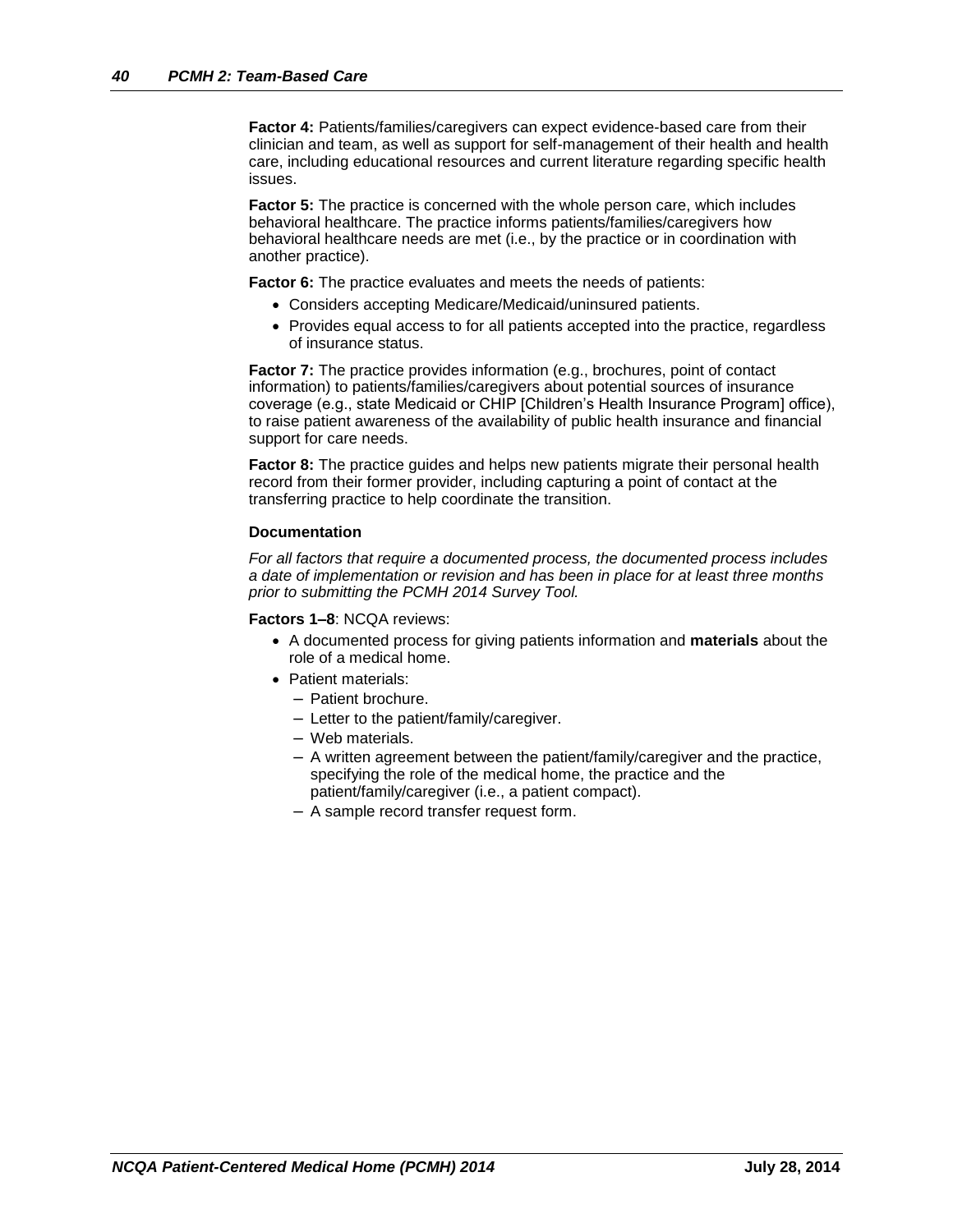**Factor 4:** Patients/families/caregivers can expect evidence-based care from their clinician and team, as well as support for self-management of their health and health care, including educational resources and current literature regarding specific health issues.

**Factor 5:** The practice is concerned with the whole person care, which includes behavioral healthcare. The practice informs patients/families/caregivers how behavioral healthcare needs are met (i.e., by the practice or in coordination with another practice).

**Factor 6:** The practice evaluates and meets the needs of patients:

- Considers accepting Medicare/Medicaid/uninsured patients.
- Provides equal access to for all patients accepted into the practice, regardless of insurance status.

Factor 7: The practice provides information (e.g., brochures, point of contact information) to patients/families/caregivers about potential sources of insurance coverage (e.g., state Medicaid or CHIP [Children's Health Insurance Program] office), to raise patient awareness of the availability of public health insurance and financial support for care needs.

**Factor 8:** The practice guides and helps new patients migrate their personal health record from their former provider, including capturing a point of contact at the transferring practice to help coordinate the transition.

#### **Documentation**

*For all factors that require a documented process, the documented process includes a date of implementation or revision and has been in place for at least three months prior to submitting the PCMH 2014 Survey Tool.*

**Factors 1–8**: NCQA reviews:

- A documented process for giving patients information and **materials** about the role of a medical home.
- Patient materials:
	- Patient brochure.
	- Letter to the patient/family/caregiver.
	- Web materials.
	- A written agreement between the patient/family/caregiver and the practice, specifying the role of the medical home, the practice and the patient/family/caregiver (i.e., a patient compact).
	- A sample record transfer request form.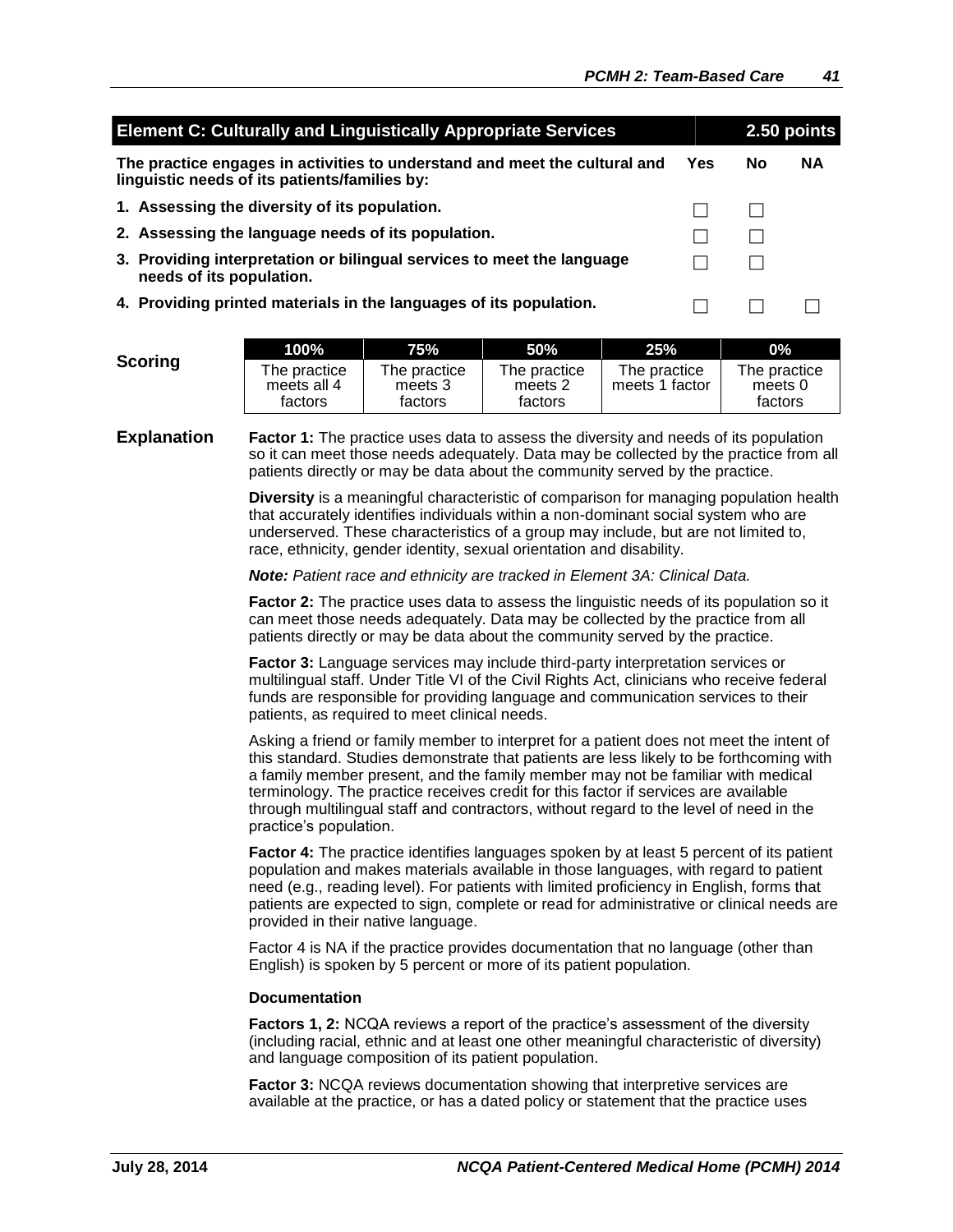| <b>Element C: Culturally and Linguistically Appropriate Services</b>                                                        |     |    | $2.50$ points |
|-----------------------------------------------------------------------------------------------------------------------------|-----|----|---------------|
| The practice engages in activities to understand and meet the cultural and<br>linguistic needs of its patients/families by: | Yes | No | <b>NA</b>     |
| 1. Assessing the diversity of its population.                                                                               |     |    |               |
| 2. Assessing the language needs of its population.                                                                          |     |    |               |
| 3. Providing interpretation or bilingual services to meet the language<br>needs of its population.                          |     |    |               |
| 4. Providing printed materials in the languages of its population.                                                          |     |    |               |

| The practice<br>The practice<br>The practice<br>The practice<br>meets all 4<br>meets 1 factor<br>meets 2<br>meets 3<br>meets 0 |         | 100%    | 75%     | 50%     | 25% | $0\%$                   |
|--------------------------------------------------------------------------------------------------------------------------------|---------|---------|---------|---------|-----|-------------------------|
|                                                                                                                                | Scoring | factors | factors | factors |     | The practice<br>factors |

**Explanation Factor 1:** The practice uses data to assess the diversity and needs of its population so it can meet those needs adequately. Data may be collected by the practice from all patients directly or may be data about the community served by the practice.

> **Diversity** is a meaningful characteristic of comparison for managing population health that accurately identifies individuals within a non-dominant social system who are underserved. These characteristics of a group may include, but are not limited to, race, ethnicity, gender identity, sexual orientation and disability.

*Note: Patient race and ethnicity are tracked in Element 3A: Clinical Data.*

**Factor 2:** The practice uses data to assess the linguistic needs of its population so it can meet those needs adequately. Data may be collected by the practice from all patients directly or may be data about the community served by the practice.

**Factor 3:** Language services may include third-party interpretation services or multilingual staff. Under Title VI of the Civil Rights Act, clinicians who receive federal funds are responsible for providing language and communication services to their patients, as required to meet clinical needs.

Asking a friend or family member to interpret for a patient does not meet the intent of this standard. Studies demonstrate that patients are less likely to be forthcoming with a family member present, and the family member may not be familiar with medical terminology. The practice receives credit for this factor if services are available through multilingual staff and contractors, without regard to the level of need in the practice's population.

**Factor 4:** The practice identifies languages spoken by at least 5 percent of its patient population and makes materials available in those languages, with regard to patient need (e.g., reading level). For patients with limited proficiency in English, forms that patients are expected to sign, complete or read for administrative or clinical needs are provided in their native language.

Factor 4 is NA if the practice provides documentation that no language (other than English) is spoken by 5 percent or more of its patient population.

#### **Documentation**

**Factors 1, 2:** NCQA reviews a report of the practice's assessment of the diversity (including racial, ethnic and at least one other meaningful characteristic of diversity) and language composition of its patient population.

**Factor 3:** NCQA reviews documentation showing that interpretive services are available at the practice, or has a dated policy or statement that the practice uses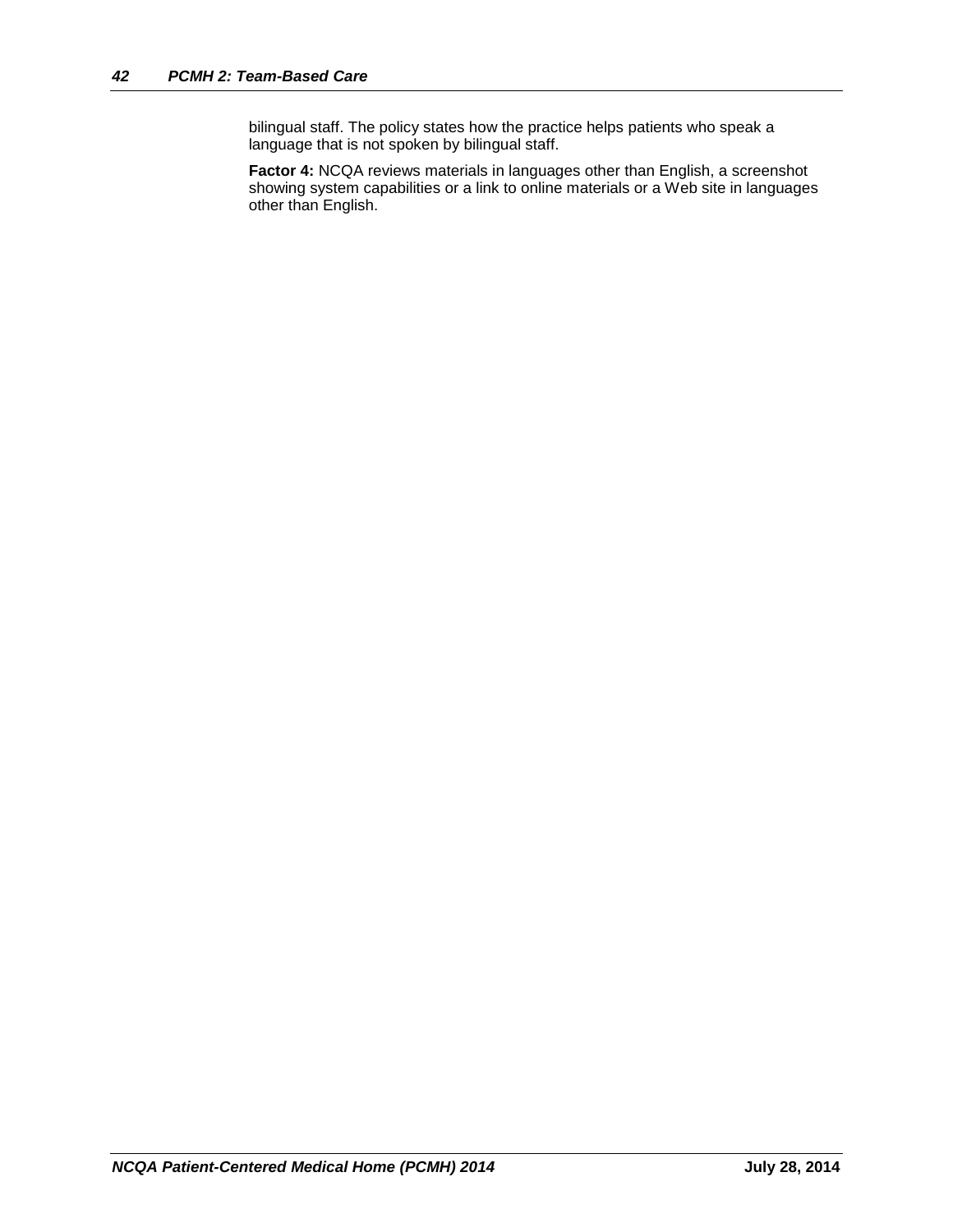bilingual staff. The policy states how the practice helps patients who speak a language that is not spoken by bilingual staff.

**Factor 4:** NCQA reviews materials in languages other than English, a screenshot showing system capabilities or a link to online materials or a Web site in languages other than English.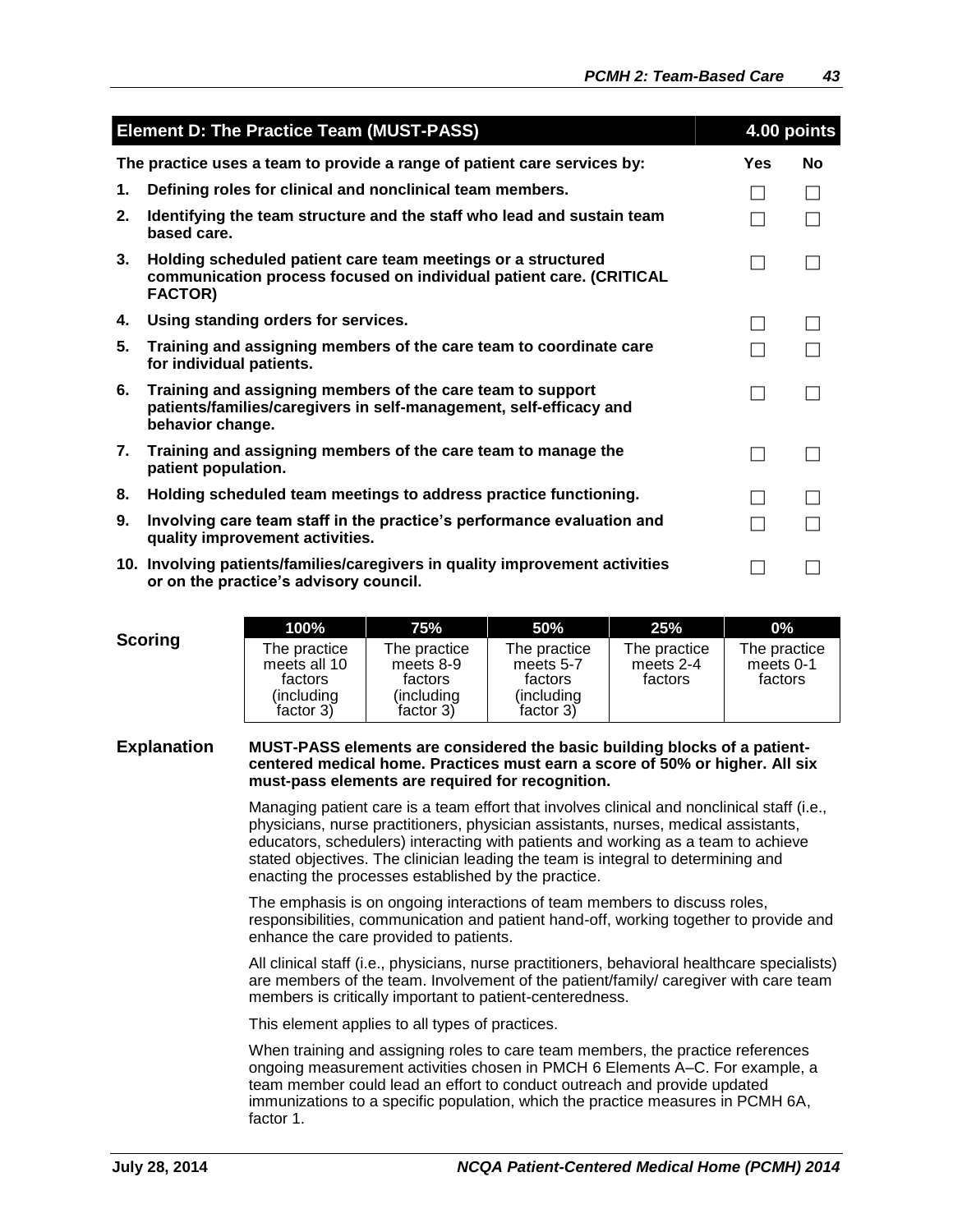|    | <b>Element D: The Practice Team (MUST-PASS)</b>                                                                                                       | 4.00 points |    |
|----|-------------------------------------------------------------------------------------------------------------------------------------------------------|-------------|----|
|    | The practice uses a team to provide a range of patient care services by:                                                                              | Yes         | No |
| 1. | Defining roles for clinical and nonclinical team members.                                                                                             |             |    |
| 2. | Identifying the team structure and the staff who lead and sustain team<br>based care.                                                                 |             |    |
| 3. | Holding scheduled patient care team meetings or a structured<br>communication process focused on individual patient care. (CRITICAL<br><b>FACTOR)</b> | <b>Tale</b> |    |
| 4. | Using standing orders for services.                                                                                                                   |             |    |
| 5. | Training and assigning members of the care team to coordinate care<br>for individual patients.                                                        |             |    |
| 6. | Training and assigning members of the care team to support<br>patients/families/caregivers in self-management, self-efficacy and<br>behavior change.  |             |    |
| 7. | Training and assigning members of the care team to manage the<br>patient population.                                                                  |             |    |
| 8. | Holding scheduled team meetings to address practice functioning.                                                                                      |             |    |
| 9. | Involving care team staff in the practice's performance evaluation and<br>quality improvement activities.                                             |             |    |
|    | 10. Involving patients/families/caregivers in quality improvement activities<br>or on the practice's advisory council.                                |             |    |

|         | 100%                                                                | 75%                                                             | <b>50%</b>                                                       | 25%                                  | $0\%$                                |
|---------|---------------------------------------------------------------------|-----------------------------------------------------------------|------------------------------------------------------------------|--------------------------------------|--------------------------------------|
| Scoring | The practice<br>meets all 10<br>factors<br>(including)<br>factor 3) | The practice<br>meets 8-9<br>factors<br>(including<br>factor 3) | The practice<br>meets 5-7<br>factors<br>(including)<br>factor 3) | The practice<br>meets 2-4<br>factors | The practice<br>meets 0-1<br>factors |

**Explanation MUST-PASS elements are considered the basic building blocks of a patientcentered medical home. Practices must earn a score of 50% or higher. All six must-pass elements are required for recognition.**

> Managing patient care is a team effort that involves clinical and nonclinical staff (i.e., physicians, nurse practitioners, physician assistants, nurses, medical assistants, educators, schedulers) interacting with patients and working as a team to achieve stated objectives. The clinician leading the team is integral to determining and enacting the processes established by the practice.

The emphasis is on ongoing interactions of team members to discuss roles, responsibilities, communication and patient hand-off, working together to provide and enhance the care provided to patients.

All clinical staff (i.e., physicians, nurse practitioners, behavioral healthcare specialists) are members of the team. Involvement of the patient/family/ caregiver with care team members is critically important to patient-centeredness.

This element applies to all types of practices.

When training and assigning roles to care team members, the practice references ongoing measurement activities chosen in PMCH 6 Elements A–C. For example, a team member could lead an effort to conduct outreach and provide updated immunizations to a specific population, which the practice measures in PCMH 6A, factor 1.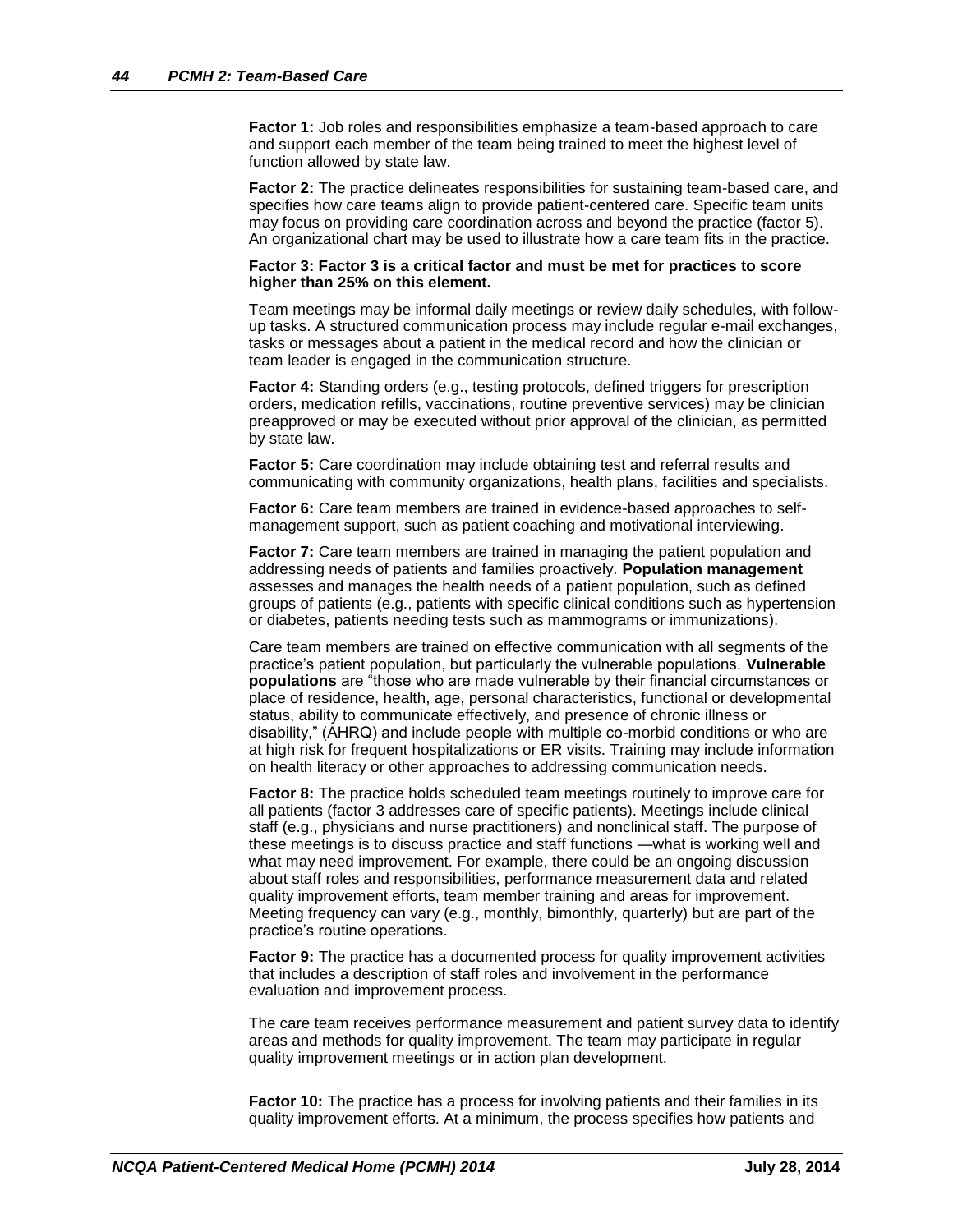**Factor 1:** Job roles and responsibilities emphasize a team-based approach to care and support each member of the team being trained to meet the highest level of function allowed by state law.

**Factor 2:** The practice delineates responsibilities for sustaining team-based care, and specifies how care teams align to provide patient-centered care. Specific team units may focus on providing care coordination across and beyond the practice (factor 5). An organizational chart may be used to illustrate how a care team fits in the practice.

#### **Factor 3: Factor 3 is a critical factor and must be met for practices to score higher than 25% on this element.**

Team meetings may be informal daily meetings or review daily schedules, with followup tasks. A structured communication process may include regular e-mail exchanges, tasks or messages about a patient in the medical record and how the clinician or team leader is engaged in the communication structure.

**Factor 4:** Standing orders (e.g., testing protocols, defined triggers for prescription orders, medication refills, vaccinations, routine preventive services) may be clinician preapproved or may be executed without prior approval of the clinician, as permitted by state law.

**Factor 5:** Care coordination may include obtaining test and referral results and communicating with community organizations, health plans, facilities and specialists.

**Factor 6:** Care team members are trained in evidence-based approaches to selfmanagement support, such as patient coaching and motivational interviewing.

**Factor 7:** Care team members are trained in managing the patient population and addressing needs of patients and families proactively. **Population management** assesses and manages the health needs of a patient population, such as defined groups of patients (e.g., patients with specific clinical conditions such as hypertension or diabetes, patients needing tests such as mammograms or immunizations).

Care team members are trained on effective communication with all segments of the practice's patient population, but particularly the vulnerable populations. **Vulnerable populations** are "those who are made vulnerable by their financial circumstances or place of residence, health, age, personal characteristics, functional or developmental status, ability to communicate effectively, and presence of chronic illness or disability," (AHRQ) and include people with multiple co-morbid conditions or who are at high risk for frequent hospitalizations or ER visits. Training may include information on health literacy or other approaches to addressing communication needs.

**Factor 8:** The practice holds scheduled team meetings routinely to improve care for all patients (factor 3 addresses care of specific patients). Meetings include clinical staff (e.g., physicians and nurse practitioners) and nonclinical staff. The purpose of these meetings is to discuss practice and staff functions —what is working well and what may need improvement. For example, there could be an ongoing discussion about staff roles and responsibilities, performance measurement data and related quality improvement efforts, team member training and areas for improvement. Meeting frequency can vary (e.g., monthly, bimonthly, quarterly) but are part of the practice's routine operations.

**Factor 9:** The practice has a documented process for quality improvement activities that includes a description of staff roles and involvement in the performance evaluation and improvement process.

The care team receives performance measurement and patient survey data to identify areas and methods for quality improvement. The team may participate in regular quality improvement meetings or in action plan development.

**Factor 10:** The practice has a process for involving patients and their families in its quality improvement efforts. At a minimum, the process specifies how patients and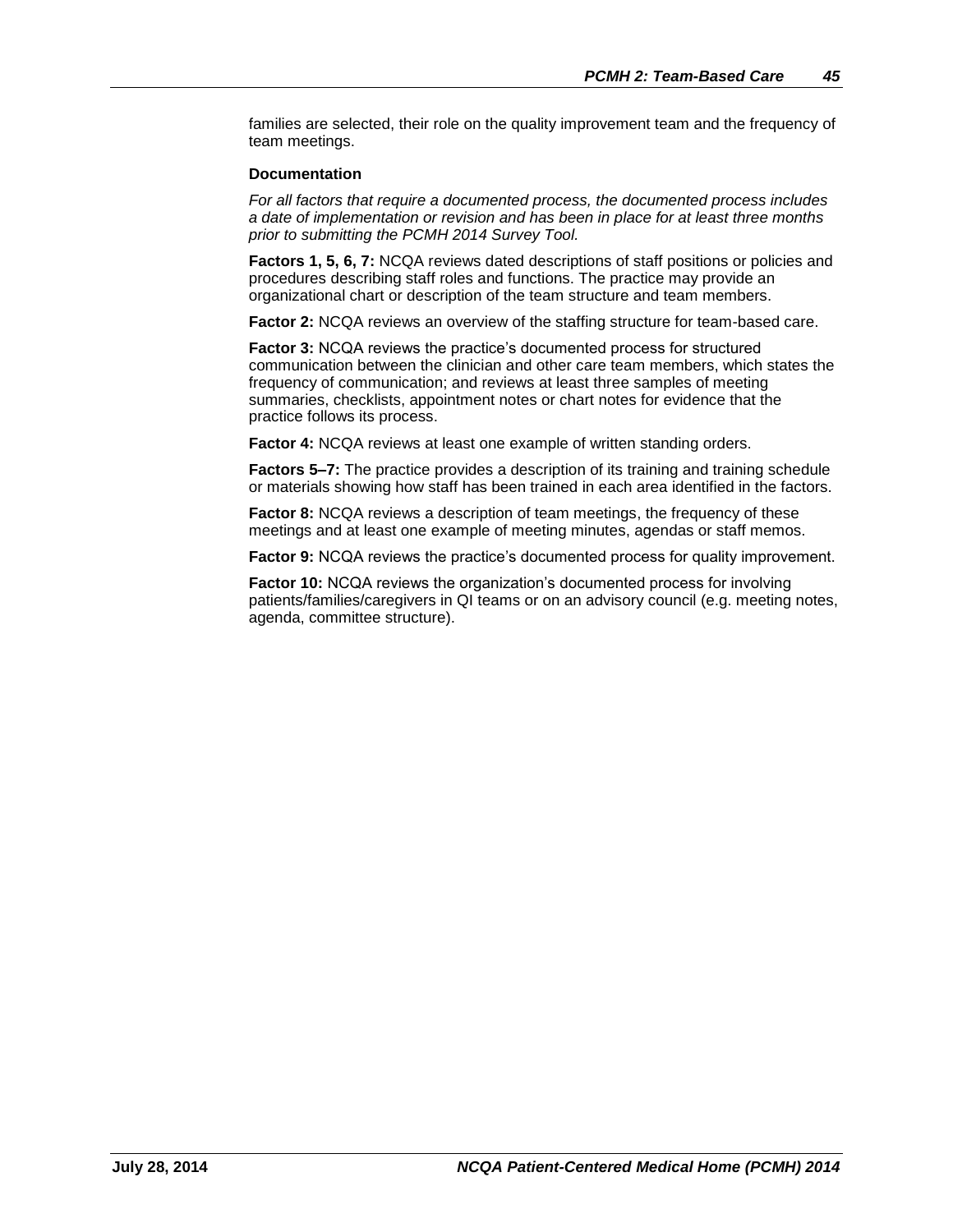families are selected, their role on the quality improvement team and the frequency of team meetings.

#### **Documentation**

*For all factors that require a documented process, the documented process includes a date of implementation or revision and has been in place for at least three months prior to submitting the PCMH 2014 Survey Tool.*

**Factors 1, 5, 6, 7:** NCQA reviews dated descriptions of staff positions or policies and procedures describing staff roles and functions. The practice may provide an organizational chart or description of the team structure and team members.

**Factor 2:** NCQA reviews an overview of the staffing structure for team-based care.

**Factor 3:** NCQA reviews the practice's documented process for structured communication between the clinician and other care team members, which states the frequency of communication; and reviews at least three samples of meeting summaries, checklists, appointment notes or chart notes for evidence that the practice follows its process.

**Factor 4:** NCQA reviews at least one example of written standing orders.

**Factors 5–7:** The practice provides a description of its training and training schedule or materials showing how staff has been trained in each area identified in the factors.

**Factor 8:** NCQA reviews a description of team meetings, the frequency of these meetings and at least one example of meeting minutes, agendas or staff memos.

**Factor 9:** NCQA reviews the practice's documented process for quality improvement.

**Factor 10:** NCQA reviews the organization's documented process for involving patients/families/caregivers in QI teams or on an advisory council (e.g. meeting notes, agenda, committee structure).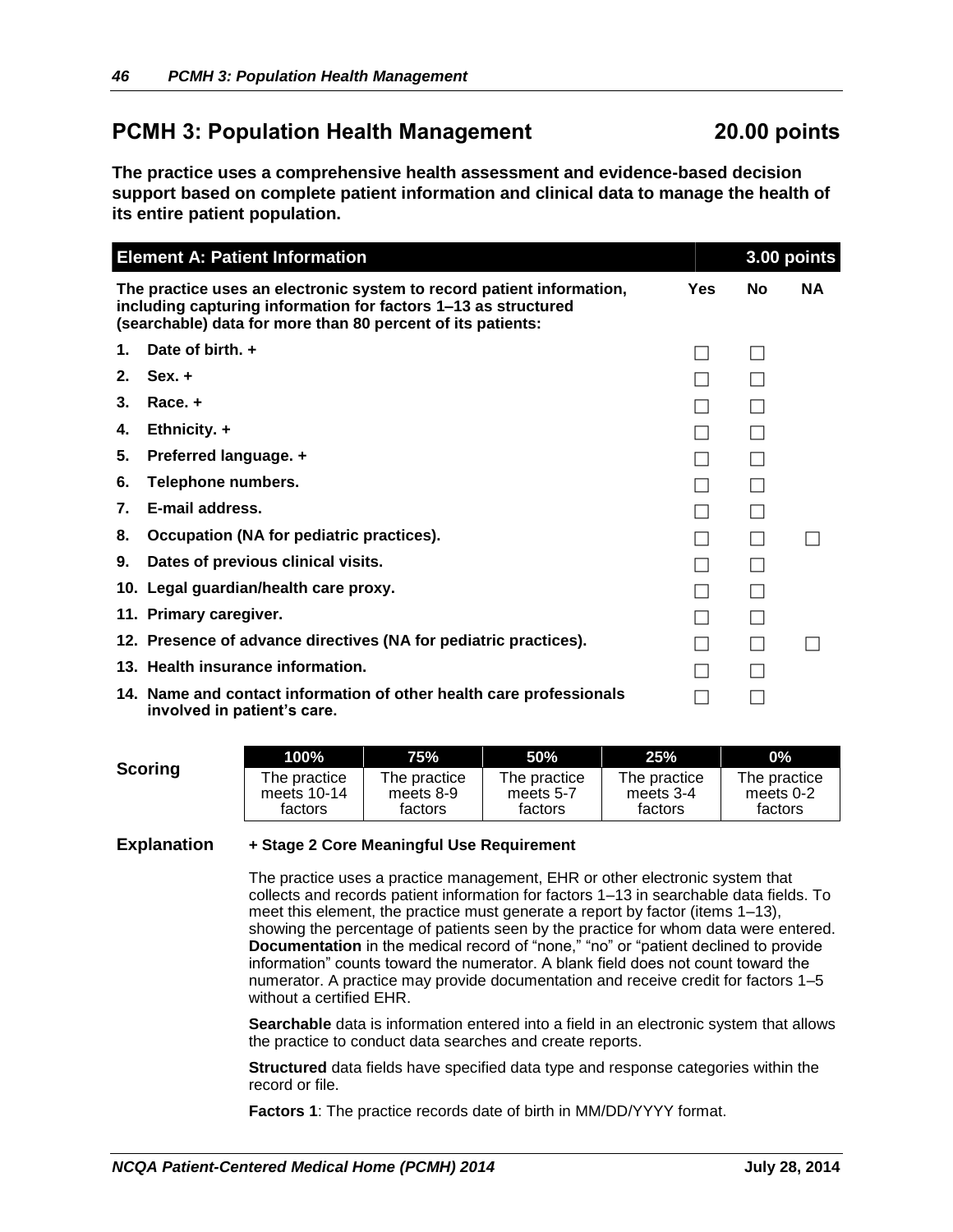# **PCMH** 3: Population Health Management 20.00 points

**The practice uses a comprehensive health assessment and evidence-based decision support based on complete patient information and clinical data to manage the health of its entire patient population.**

|    | <b>Element A: Patient Information</b>                                                                                                                                                                  |            |    | 3.00 points |
|----|--------------------------------------------------------------------------------------------------------------------------------------------------------------------------------------------------------|------------|----|-------------|
|    | The practice uses an electronic system to record patient information,<br>including capturing information for factors 1-13 as structured<br>(searchable) data for more than 80 percent of its patients: | <b>Yes</b> | No | ΝA          |
| 1. | Date of birth. +                                                                                                                                                                                       |            |    |             |
| 2. | $Sex. +$                                                                                                                                                                                               |            |    |             |
| 3. | Race. +                                                                                                                                                                                                |            |    |             |
| 4. | Ethnicity. +                                                                                                                                                                                           |            |    |             |
| 5. | Preferred language. +                                                                                                                                                                                  |            |    |             |
| 6. | Telephone numbers.                                                                                                                                                                                     |            |    |             |
| 7. | E-mail address.                                                                                                                                                                                        |            |    |             |
| 8. | Occupation (NA for pediatric practices).                                                                                                                                                               |            |    |             |
| 9. | Dates of previous clinical visits.                                                                                                                                                                     |            |    |             |
|    | 10. Legal guardian/health care proxy.                                                                                                                                                                  |            |    |             |
|    | 11. Primary caregiver.                                                                                                                                                                                 |            |    |             |
|    | 12. Presence of advance directives (NA for pediatric practices).                                                                                                                                       |            |    |             |
|    | 13. Health insurance information.                                                                                                                                                                      |            |    |             |
|    | 14. Name and contact information of other health care professionals<br>involved in patient's care.                                                                                                     |            |    |             |

|         | 100%           | 75%          | 50%          | 25%          | $0\%$        |
|---------|----------------|--------------|--------------|--------------|--------------|
| Scoring | The practice l | The practice | The practice | The practice | The practice |
|         | meets $10-14$  | meets 8-9    | meets 5-7    | meets 3-4    | meets $0-2$  |
|         | factors        | factors      | factors      | factors      | factors      |

### **Explanation + Stage 2 Core Meaningful Use Requirement**

The practice uses a practice management, EHR or other electronic system that collects and records patient information for factors 1–13 in searchable data fields. To meet this element, the practice must generate a report by factor (items 1–13), showing the percentage of patients seen by the practice for whom data were entered. **Documentation** in the medical record of "none," "no" or "patient declined to provide information" counts toward the numerator. A blank field does not count toward the numerator. A practice may provide documentation and receive credit for factors 1–5 without a certified EHR.

**Searchable** data is information entered into a field in an electronic system that allows the practice to conduct data searches and create reports.

**Structured** data fields have specified data type and response categories within the record or file.

**Factors 1**: The practice records date of birth in MM/DD/YYYY format.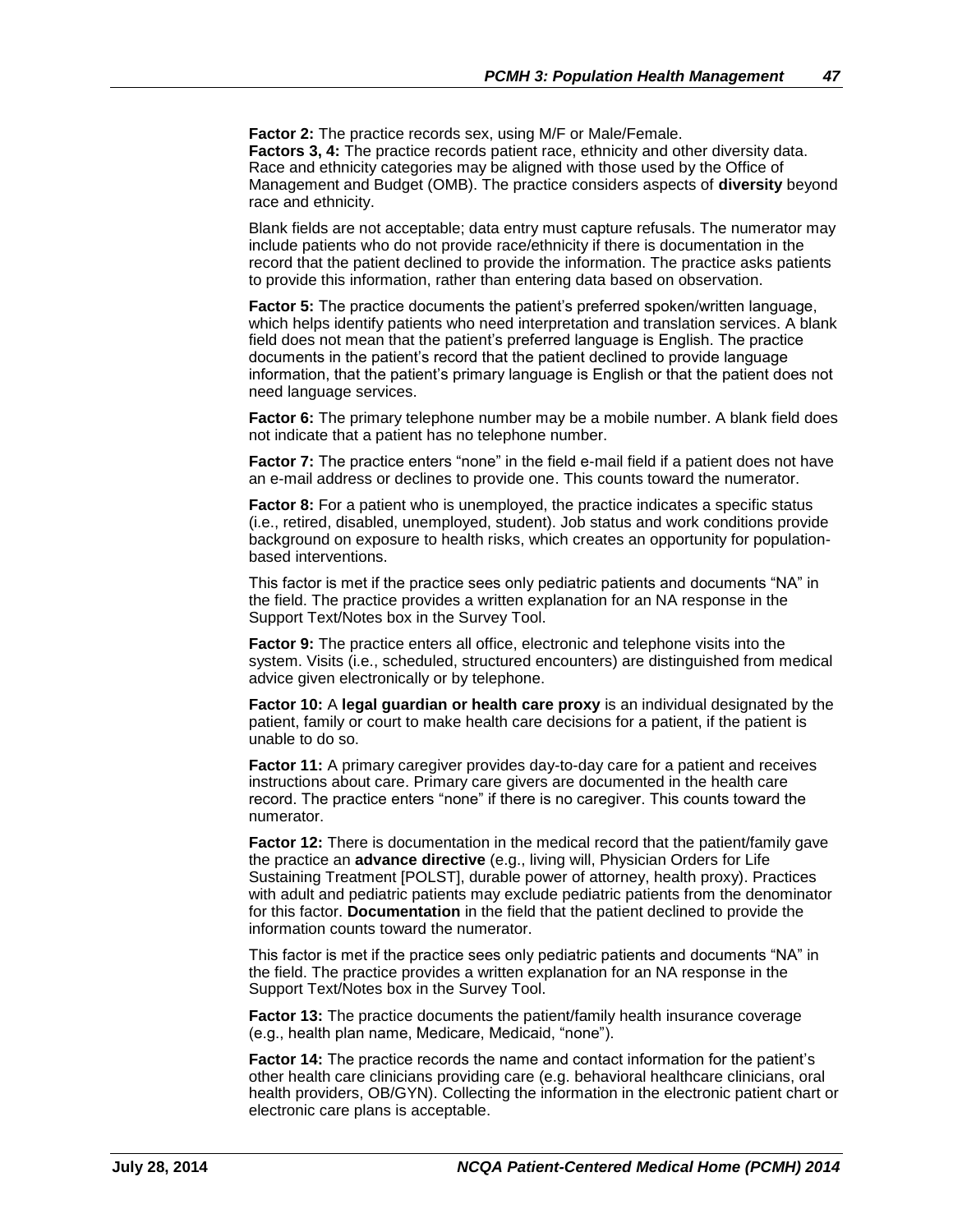**Factor 2:** The practice records sex, using M/F or Male/Female. **Factors 3, 4:** The practice records patient race, ethnicity and other diversity data. Race and ethnicity categories may be aligned with those used by the Office of Management and Budget (OMB). The practice considers aspects of **diversity** beyond race and ethnicity.

Blank fields are not acceptable; data entry must capture refusals. The numerator may include patients who do not provide race/ethnicity if there is documentation in the record that the patient declined to provide the information. The practice asks patients to provide this information, rather than entering data based on observation.

**Factor 5:** The practice documents the patient's preferred spoken/written language, which helps identify patients who need interpretation and translation services. A blank field does not mean that the patient's preferred language is English. The practice documents in the patient's record that the patient declined to provide language information, that the patient's primary language is English or that the patient does not need language services.

**Factor 6:** The primary telephone number may be a mobile number. A blank field does not indicate that a patient has no telephone number.

**Factor 7:** The practice enters "none" in the field e-mail field if a patient does not have an e-mail address or declines to provide one. This counts toward the numerator.

**Factor 8:** For a patient who is unemployed, the practice indicates a specific status (i.e., retired, disabled, unemployed, student). Job status and work conditions provide background on exposure to health risks, which creates an opportunity for populationbased interventions.

This factor is met if the practice sees only pediatric patients and documents "NA" in the field. The practice provides a written explanation for an NA response in the Support Text/Notes box in the Survey Tool.

**Factor 9:** The practice enters all office, electronic and telephone visits into the system. Visits (i.e., scheduled, structured encounters) are distinguished from medical advice given electronically or by telephone.

**Factor 10:** A **legal guardian or health care proxy** is an individual designated by the patient, family or court to make health care decisions for a patient, if the patient is unable to do so.

**Factor 11:** A primary caregiver provides day-to-day care for a patient and receives instructions about care. Primary care givers are documented in the health care record. The practice enters "none" if there is no caregiver. This counts toward the numerator.

**Factor 12:** There is documentation in the medical record that the patient/family gave the practice an **advance directive** (e.g., living will, Physician Orders for Life Sustaining Treatment [POLST], durable power of attorney, health proxy). Practices with adult and pediatric patients may exclude pediatric patients from the denominator for this factor. **Documentation** in the field that the patient declined to provide the information counts toward the numerator.

This factor is met if the practice sees only pediatric patients and documents "NA" in the field. The practice provides a written explanation for an NA response in the Support Text/Notes box in the Survey Tool.

**Factor 13:** The practice documents the patient/family health insurance coverage (e.g., health plan name, Medicare, Medicaid, "none").

**Factor 14:** The practice records the name and contact information for the patient's other health care clinicians providing care (e.g. behavioral healthcare clinicians, oral health providers, OB/GYN). Collecting the information in the electronic patient chart or electronic care plans is acceptable.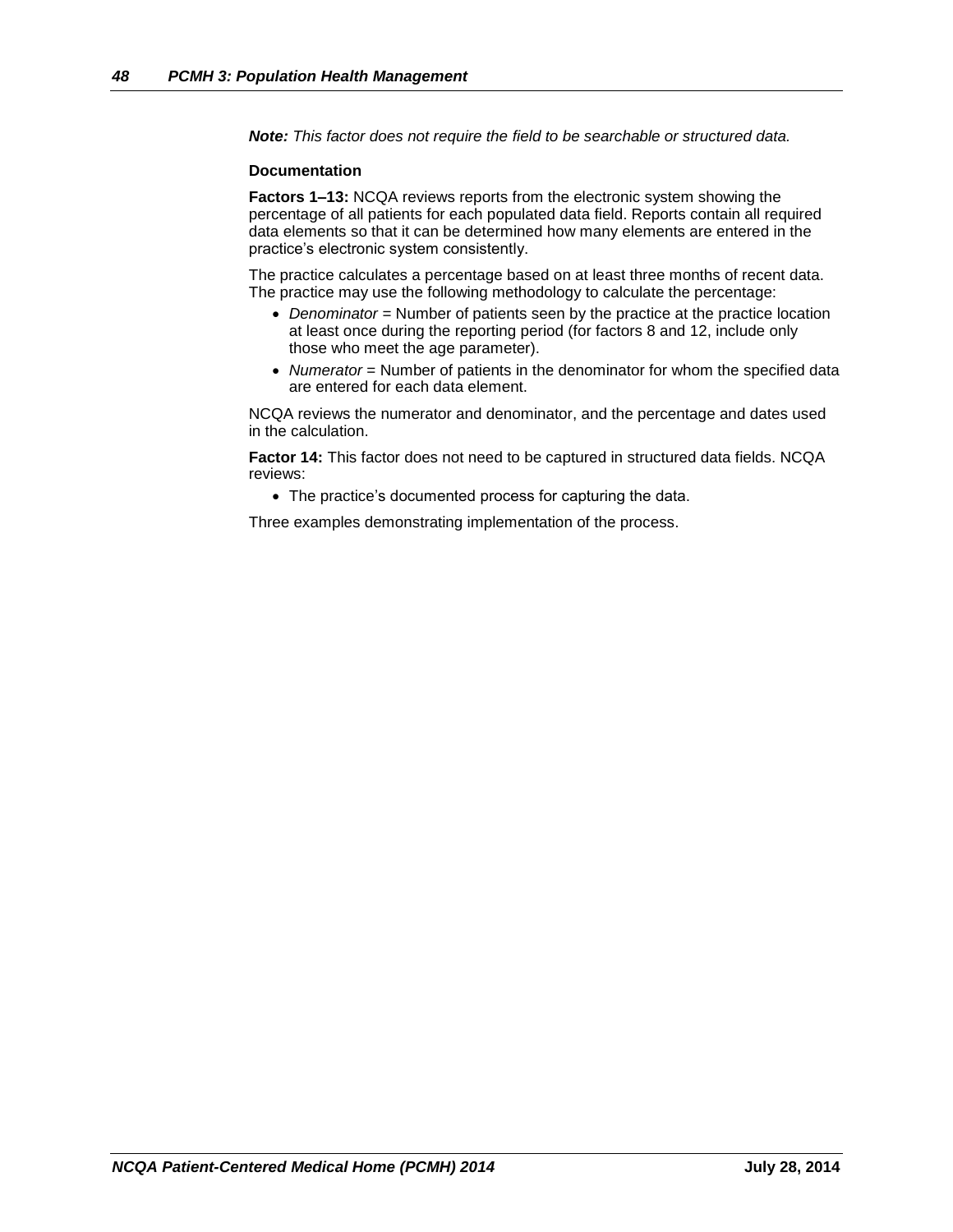*Note: This factor does not require the field to be searchable or structured data.*

#### **Documentation**

**Factors 1–13:** NCQA reviews reports from the electronic system showing the percentage of all patients for each populated data field. Reports contain all required data elements so that it can be determined how many elements are entered in the practice's electronic system consistently.

The practice calculates a percentage based on at least three months of recent data. The practice may use the following methodology to calculate the percentage:

- Denominator = Number of patients seen by the practice at the practice location at least once during the reporting period (for factors 8 and 12, include only those who meet the age parameter).
- Numerator = Number of patients in the denominator for whom the specified data are entered for each data element.

NCQA reviews the numerator and denominator, and the percentage and dates used in the calculation.

**Factor 14:** This factor does not need to be captured in structured data fields. NCQA reviews:

The practice's documented process for capturing the data.

Three examples demonstrating implementation of the process.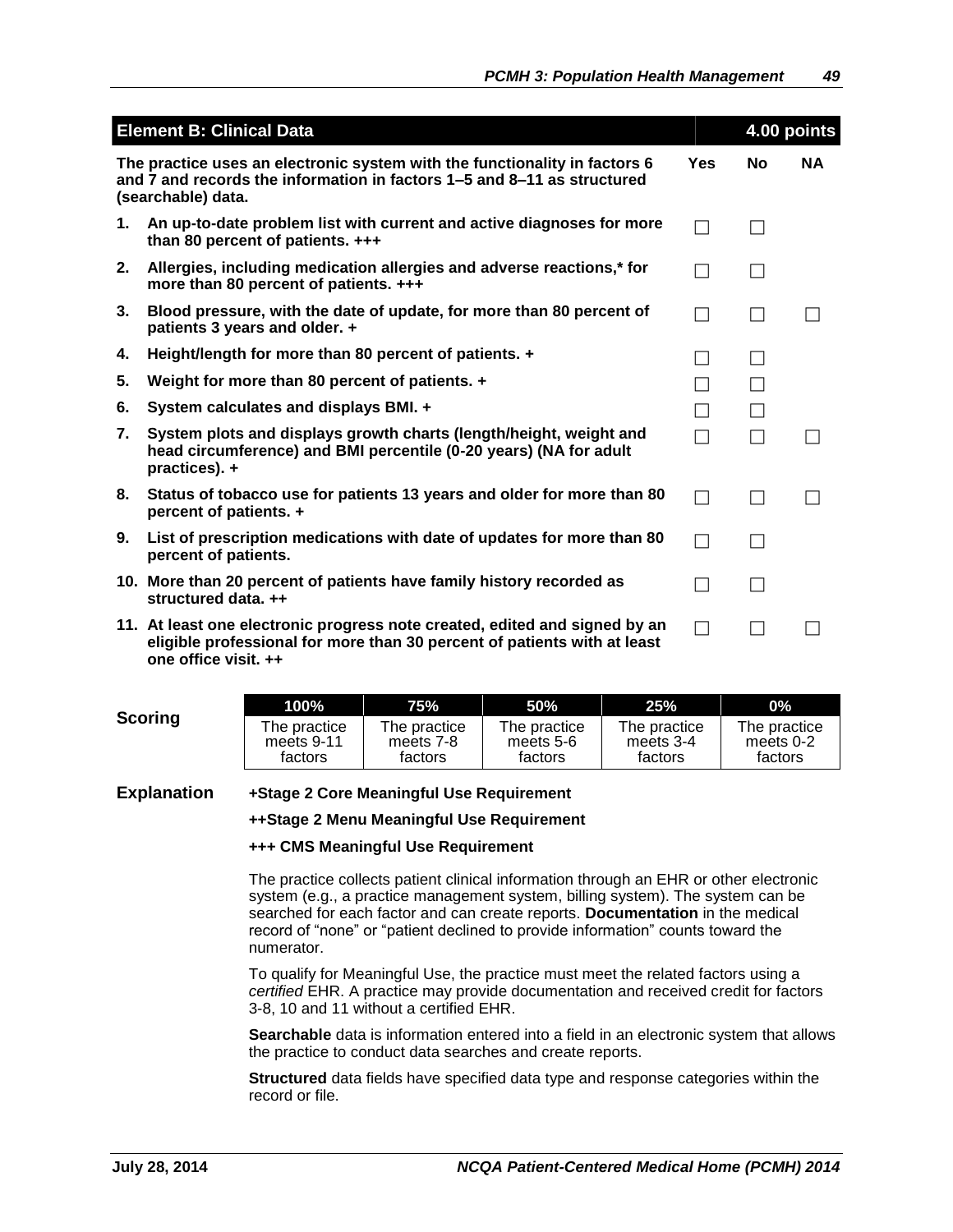|    | <b>Element B: Clinical Data</b>                                                                                                                                                |            | 4.00 points              |           |
|----|--------------------------------------------------------------------------------------------------------------------------------------------------------------------------------|------------|--------------------------|-----------|
|    | The practice uses an electronic system with the functionality in factors 6<br>and 7 and records the information in factors 1–5 and 8–11 as structured<br>(searchable) data.    | <b>Yes</b> | <b>No</b>                | <b>NA</b> |
| 1. | An up-to-date problem list with current and active diagnoses for more<br>than 80 percent of patients. +++                                                                      |            |                          |           |
| 2. | Allergies, including medication allergies and adverse reactions,* for<br>more than 80 percent of patients. +++                                                                 | $\Box$     |                          |           |
| 3. | Blood pressure, with the date of update, for more than 80 percent of<br>patients 3 years and older. +                                                                          | П          |                          |           |
| 4. | Height/length for more than 80 percent of patients. +                                                                                                                          |            | $\overline{\phantom{a}}$ |           |
| 5. | Weight for more than 80 percent of patients. +                                                                                                                                 |            |                          |           |
| 6. | System calculates and displays BMI. +                                                                                                                                          |            |                          |           |
| 7. | System plots and displays growth charts (length/height, weight and<br>head circumference) and BMI percentile (0-20 years) (NA for adult<br>practices). +                       | П          |                          |           |
| 8. | Status of tobacco use for patients 13 years and older for more than 80<br>percent of patients. +                                                                               | П          |                          |           |
| 9. | List of prescription medications with date of updates for more than 80<br>percent of patients.                                                                                 |            |                          |           |
|    | 10. More than 20 percent of patients have family history recorded as<br>structured data. ++                                                                                    |            |                          |           |
|    | 11. At least one electronic progress note created, edited and signed by an<br>eligible professional for more than 30 percent of patients with at least<br>one office visit. ++ | П          |                          |           |

|         | $100\%$      | 75%          | <b>50%</b>   | 25%          | $0\%$        |
|---------|--------------|--------------|--------------|--------------|--------------|
| Scoring | The practice | The practice | The practice | The practice | The practice |
|         | meets 9-11   | meets 7-8    | meets 5-6    | meets 3-4    | meets 0-2    |
|         | factors      | factors      | factors      | factors      | factors      |

**Explanation +Stage 2 Core Meaningful Use Requirement** 

**++Stage 2 Menu Meaningful Use Requirement**

#### **+++ CMS Meaningful Use Requirement**

The practice collects patient clinical information through an EHR or other electronic system (e.g., a practice management system, billing system). The system can be searched for each factor and can create reports. **Documentation** in the medical record of "none" or "patient declined to provide information" counts toward the numerator.

To qualify for Meaningful Use, the practice must meet the related factors using a *certified* EHR. A practice may provide documentation and received credit for factors 3-8, 10 and 11 without a certified EHR.

**Searchable** data is information entered into a field in an electronic system that allows the practice to conduct data searches and create reports.

**Structured** data fields have specified data type and response categories within the record or file.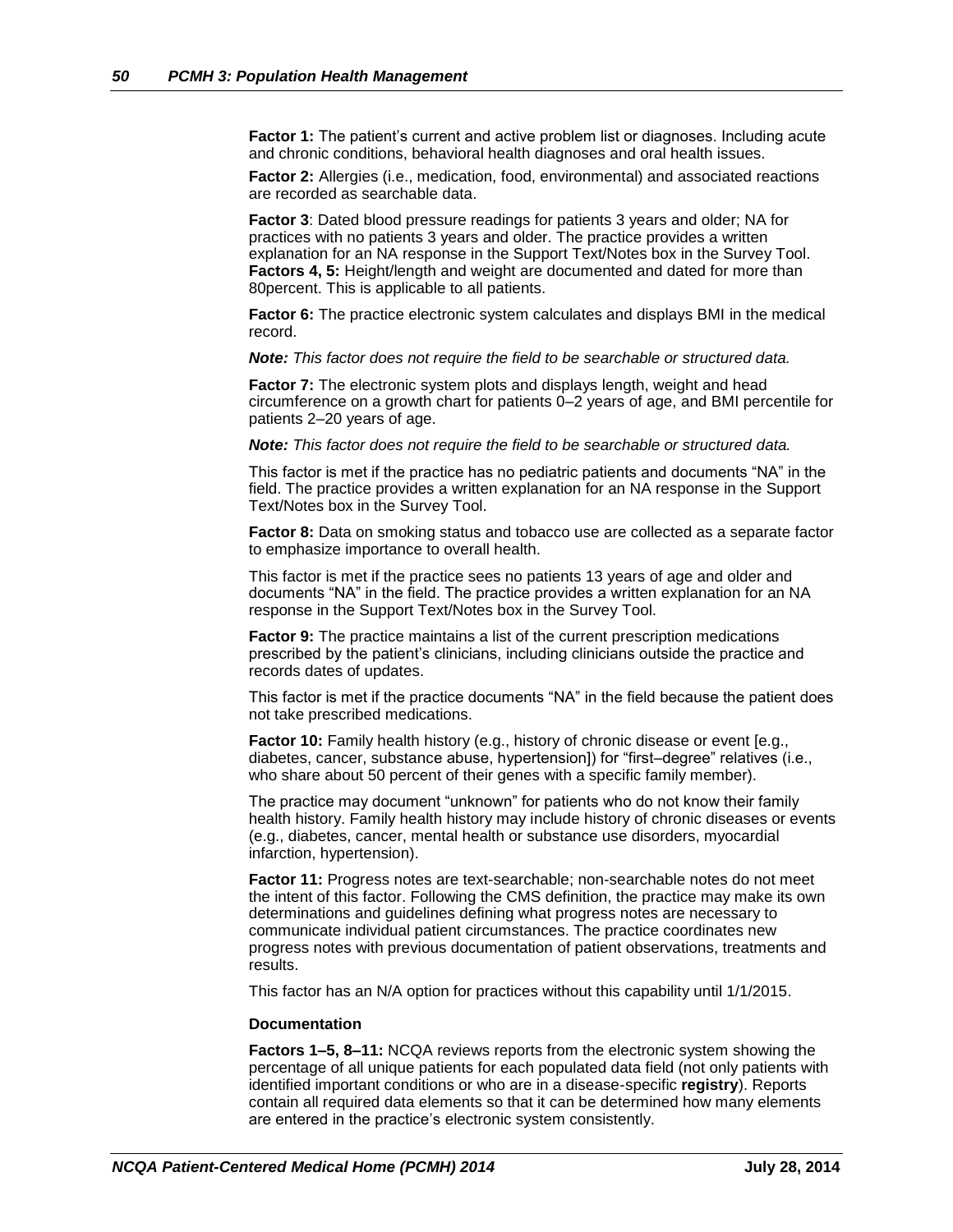Factor 1: The patient's current and active problem list or diagnoses. Including acute and chronic conditions, behavioral health diagnoses and oral health issues.

**Factor 2:** Allergies (i.e., medication, food, environmental) and associated reactions are recorded as searchable data.

**Factor 3**: Dated blood pressure readings for patients 3 years and older; NA for practices with no patients 3 years and older. The practice provides a written explanation for an NA response in the Support Text/Notes box in the Survey Tool. **Factors 4, 5:** Height/length and weight are documented and dated for more than 80percent. This is applicable to all patients.

**Factor 6:** The practice electronic system calculates and displays BMI in the medical record.

*Note: This factor does not require the field to be searchable or structured data.*

**Factor 7:** The electronic system plots and displays length, weight and head circumference on a growth chart for patients 0–2 years of age, and BMI percentile for patients 2–20 years of age.

*Note: This factor does not require the field to be searchable or structured data.*

This factor is met if the practice has no pediatric patients and documents "NA" in the field. The practice provides a written explanation for an NA response in the Support Text/Notes box in the Survey Tool.

**Factor 8:** Data on smoking status and tobacco use are collected as a separate factor to emphasize importance to overall health.

This factor is met if the practice sees no patients 13 years of age and older and documents "NA" in the field. The practice provides a written explanation for an NA response in the Support Text/Notes box in the Survey Tool.

**Factor 9:** The practice maintains a list of the current prescription medications prescribed by the patient's clinicians, including clinicians outside the practice and records dates of updates.

This factor is met if the practice documents "NA" in the field because the patient does not take prescribed medications.

**Factor 10:** Family health history (e.g., history of chronic disease or event [e.g., diabetes, cancer, substance abuse, hypertension]) for "first–degree" relatives (i.e., who share about 50 percent of their genes with a specific family member).

The practice may document "unknown" for patients who do not know their family health history. Family health history may include history of chronic diseases or events (e.g., diabetes, cancer, mental health or substance use disorders, myocardial infarction, hypertension).

**Factor 11:** Progress notes are text-searchable; non-searchable notes do not meet the intent of this factor. Following the CMS definition, the practice may make its own determinations and guidelines defining what progress notes are necessary to communicate individual patient circumstances. The practice coordinates new progress notes with previous documentation of patient observations, treatments and results.

This factor has an N/A option for practices without this capability until 1/1/2015.

#### **Documentation**

**Factors 1–5, 8–11:** NCQA reviews reports from the electronic system showing the percentage of all unique patients for each populated data field (not only patients with identified important conditions or who are in a disease-specific **registry**). Reports contain all required data elements so that it can be determined how many elements are entered in the practice's electronic system consistently.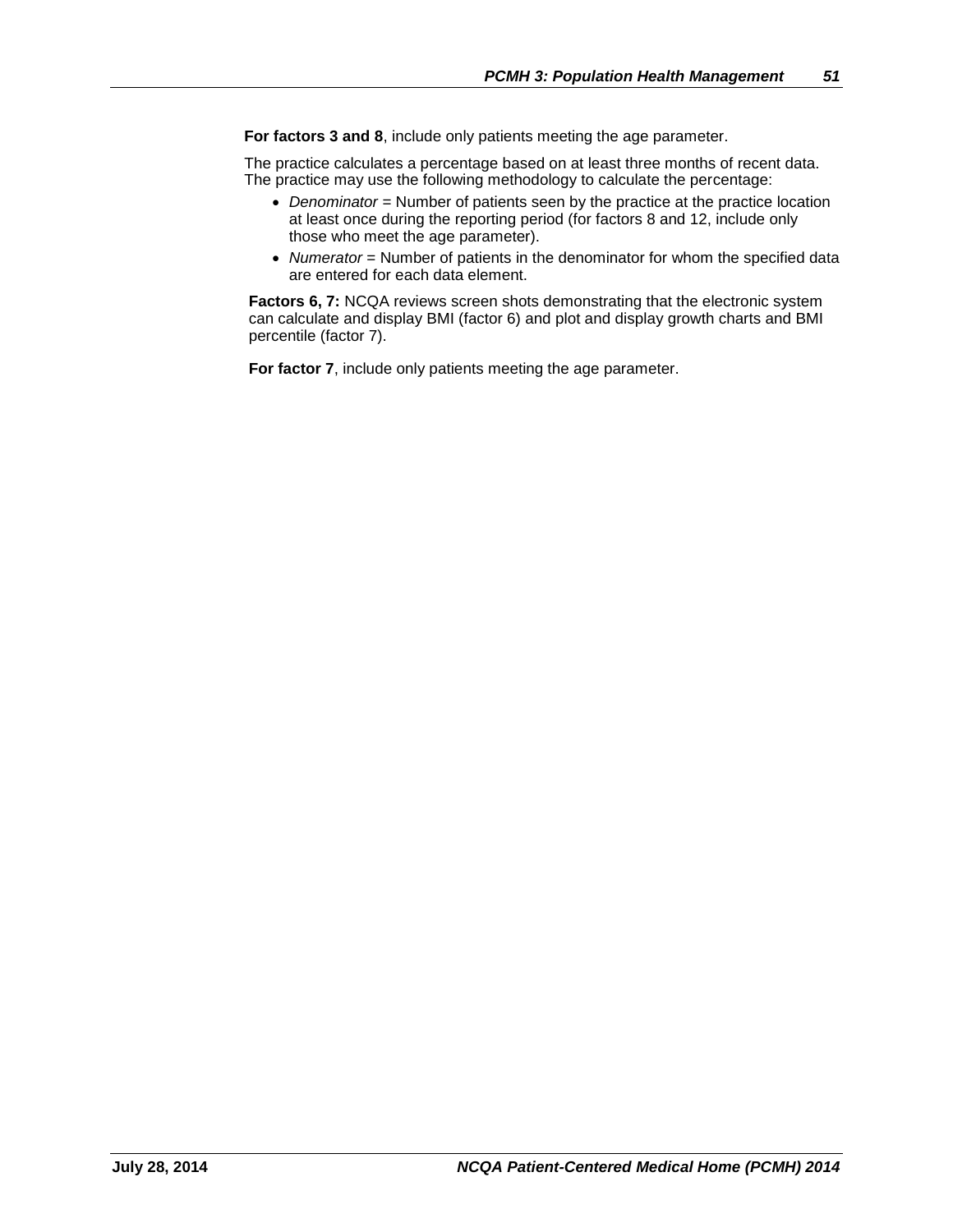**For factors 3 and 8**, include only patients meeting the age parameter.

The practice calculates a percentage based on at least three months of recent data. The practice may use the following methodology to calculate the percentage:

- *Denominator* = Number of patients seen by the practice at the practice location at least once during the reporting period (for factors 8 and 12, include only those who meet the age parameter).
- Numerator = Number of patients in the denominator for whom the specified data are entered for each data element.

**Factors 6, 7:** NCQA reviews screen shots demonstrating that the electronic system can calculate and display BMI (factor 6) and plot and display growth charts and BMI percentile (factor 7).

**For factor 7**, include only patients meeting the age parameter.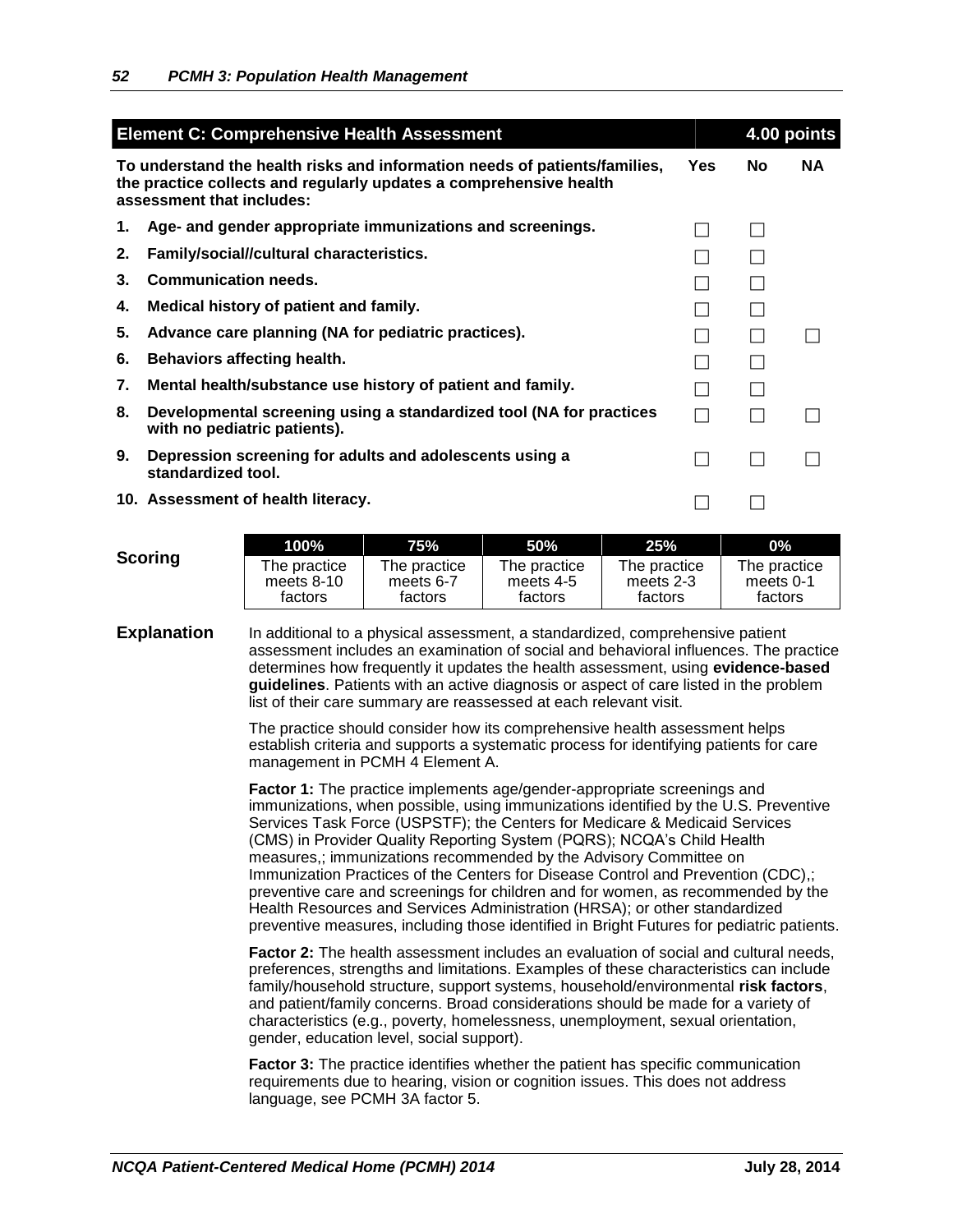|    | <b>Element C: Comprehensive Health Assessment</b>                                                                                                                             |            |    | 4.00 points |
|----|-------------------------------------------------------------------------------------------------------------------------------------------------------------------------------|------------|----|-------------|
|    | To understand the health risks and information needs of patients/families,<br>the practice collects and regularly updates a comprehensive health<br>assessment that includes: | <b>Yes</b> | No | <b>NA</b>   |
| 1. | Age- and gender appropriate immunizations and screenings.                                                                                                                     |            |    |             |
| 2. | Family/social//cultural characteristics.                                                                                                                                      |            |    |             |
| 3. | <b>Communication needs.</b>                                                                                                                                                   |            |    |             |
| 4. | Medical history of patient and family.                                                                                                                                        |            |    |             |
| 5. | Advance care planning (NA for pediatric practices).                                                                                                                           |            |    |             |
| 6. | Behaviors affecting health.                                                                                                                                                   |            |    |             |
| 7. | Mental health/substance use history of patient and family.                                                                                                                    |            |    |             |
| 8. | Developmental screening using a standardized tool (NA for practices<br>with no pediatric patients).                                                                           |            |    |             |
| 9. | Depression screening for adults and adolescents using a<br>standardized tool.                                                                                                 |            |    |             |
|    | 10. Assessment of health literacy.                                                                                                                                            |            |    |             |

|         | $100\%$      | 75%          | <b>50%</b>   | 25%          | $ 0\% $      |
|---------|--------------|--------------|--------------|--------------|--------------|
| Scoring | The practice | The practice | The practice | The practice | The practice |
|         | meets $8-10$ | meets 6-7    | meets 4-5    | meets 2-3    | meets 0-1    |
|         | factors      | factors      | factors      | factors      | factors      |

**Explanation** In additional to a physical assessment, a standardized, comprehensive patient assessment includes an examination of social and behavioral influences. The practice determines how frequently it updates the health assessment, using **evidence-based guidelines**. Patients with an active diagnosis or aspect of care listed in the problem list of their care summary are reassessed at each relevant visit.

> The practice should consider how its comprehensive health assessment helps establish criteria and supports a systematic process for identifying patients for care management in PCMH 4 Element A.

**Factor 1:** The practice implements age/gender-appropriate screenings and immunizations, when possible, using immunizations identified by the U.S. Preventive Services Task Force (USPSTF); the Centers for Medicare & Medicaid Services (CMS) in Provider Quality Reporting System (PQRS); NCQA's Child Health measures,; immunizations recommended by the Advisory Committee on Immunization Practices of the Centers for Disease Control and Prevention (CDC),; preventive care and screenings for children and for women, as recommended by the Health Resources and Services Administration (HRSA); or other standardized preventive measures, including those identified in Bright Futures for pediatric patients.

**Factor 2:** The health assessment includes an evaluation of social and cultural needs, preferences, strengths and limitations. Examples of these characteristics can include family/household structure, support systems, household/environmental **risk factors**, and patient/family concerns. Broad considerations should be made for a variety of characteristics (e.g., poverty, homelessness, unemployment, sexual orientation, gender, education level, social support).

**Factor 3:** The practice identifies whether the patient has specific communication requirements due to hearing, vision or cognition issues. This does not address language, see PCMH 3A factor 5.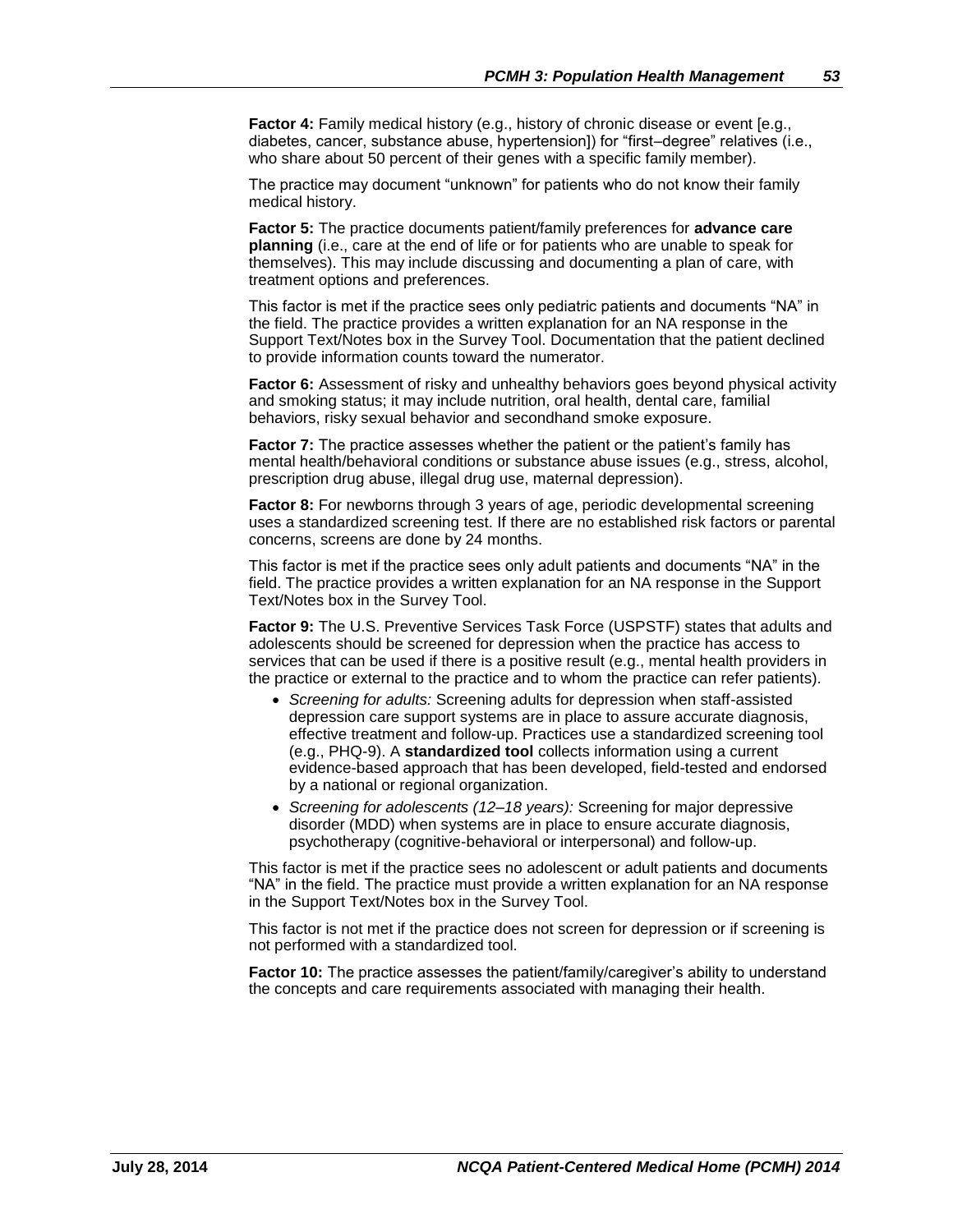**Factor 4:** Family medical history (e.g., history of chronic disease or event [e.g., diabetes, cancer, substance abuse, hypertension]) for "first–degree" relatives (i.e., who share about 50 percent of their genes with a specific family member).

The practice may document "unknown" for patients who do not know their family medical history.

**Factor 5:** The practice documents patient/family preferences for **advance care planning** (i.e., care at the end of life or for patients who are unable to speak for themselves). This may include discussing and documenting a plan of care, with treatment options and preferences.

This factor is met if the practice sees only pediatric patients and documents "NA" in the field. The practice provides a written explanation for an NA response in the Support Text/Notes box in the Survey Tool. Documentation that the patient declined to provide information counts toward the numerator.

**Factor 6:** Assessment of risky and unhealthy behaviors goes beyond physical activity and smoking status; it may include nutrition, oral health, dental care, familial behaviors, risky sexual behavior and secondhand smoke exposure.

**Factor 7:** The practice assesses whether the patient or the patient's family has mental health/behavioral conditions or substance abuse issues (e.g., stress, alcohol, prescription drug abuse, illegal drug use, maternal depression).

**Factor 8:** For newborns through 3 years of age, periodic developmental screening uses a standardized screening test. If there are no established risk factors or parental concerns, screens are done by 24 months.

This factor is met if the practice sees only adult patients and documents "NA" in the field. The practice provides a written explanation for an NA response in the Support Text/Notes box in the Survey Tool.

**Factor 9:** The U.S. Preventive Services Task Force (USPSTF) states that adults and adolescents should be screened for depression when the practice has access to services that can be used if there is a positive result (e.g., mental health providers in the practice or external to the practice and to whom the practice can refer patients).

- *Screening for adults:* Screening adults for depression when staff-assisted depression care support systems are in place to assure accurate diagnosis, effective treatment and follow-up. Practices use a standardized screening tool (e.g., PHQ-9). A **standardized tool** collects information using a current evidence-based approach that has been developed, field-tested and endorsed by a national or regional organization.
- *Screening for adolescents (12–18 years):* Screening for major depressive disorder (MDD) when systems are in place to ensure accurate diagnosis, psychotherapy (cognitive-behavioral or interpersonal) and follow-up.

This factor is met if the practice sees no adolescent or adult patients and documents "NA" in the field. The practice must provide a written explanation for an NA response in the Support Text/Notes box in the Survey Tool.

This factor is not met if the practice does not screen for depression or if screening is not performed with a standardized tool.

Factor 10: The practice assesses the patient/family/caregiver's ability to understand the concepts and care requirements associated with managing their health.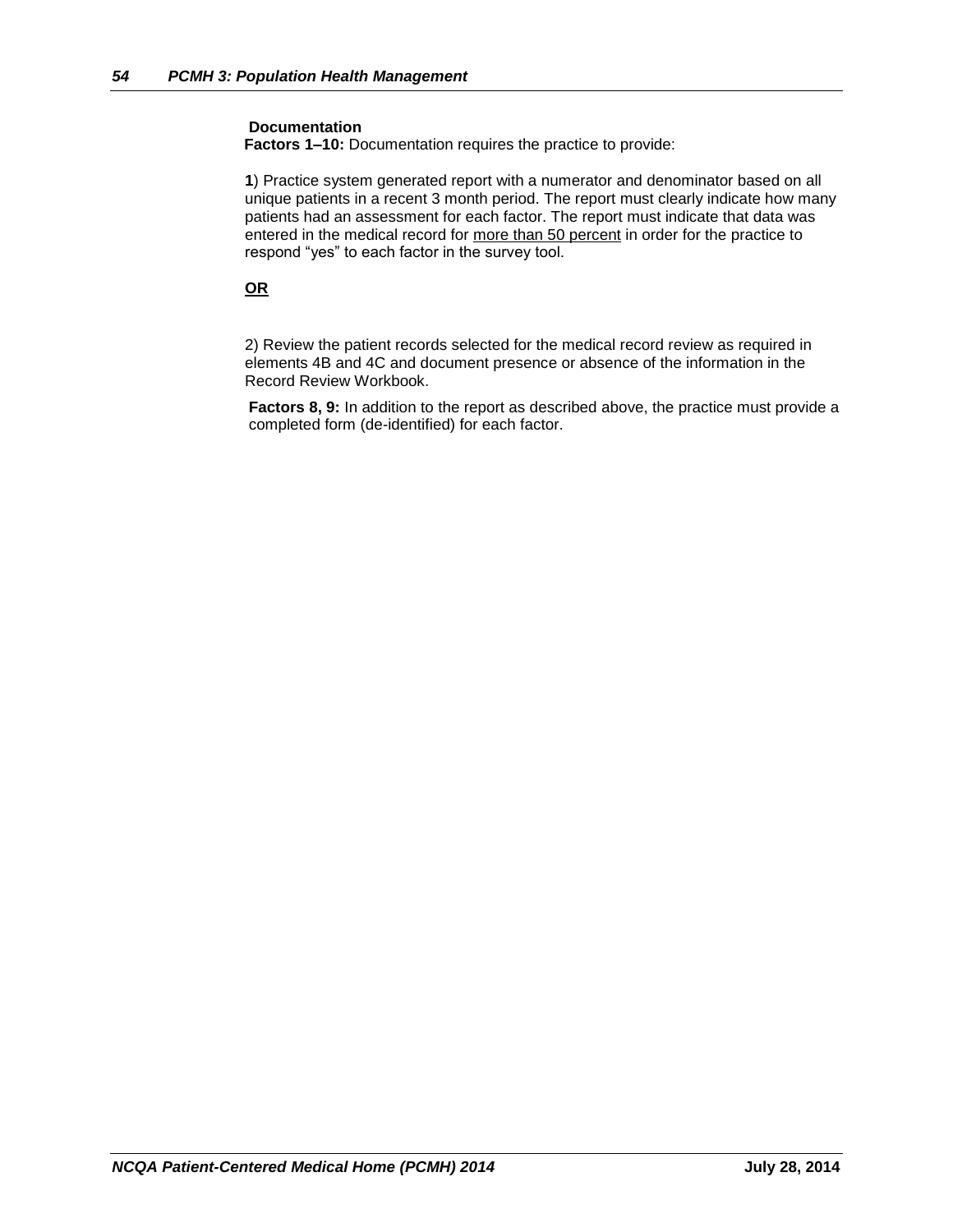### **Documentation**

**Factors 1–10:** Documentation requires the practice to provide:

**1**) Practice system generated report with a numerator and denominator based on all unique patients in a recent 3 month period. The report must clearly indicate how many patients had an assessment for each factor. The report must indicate that data was entered in the medical record for more than 50 percent in order for the practice to respond "yes" to each factor in the survey tool.

### **OR**

2) Review the patient records selected for the medical record review as required in elements 4B and 4C and document presence or absence of the information in the Record Review Workbook.

**Factors 8, 9:** In addition to the report as described above, the practice must provide a completed form (de-identified) for each factor.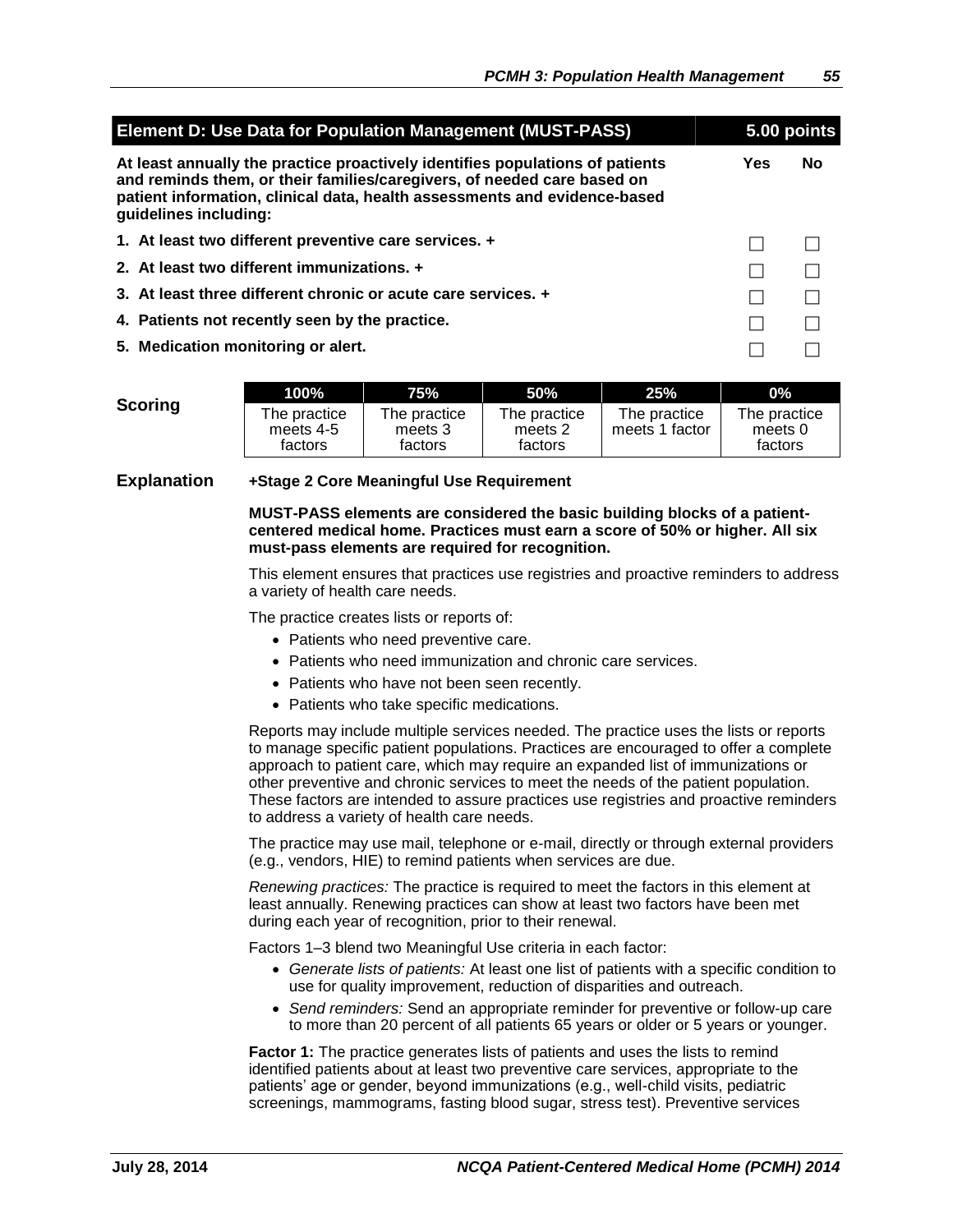| <b>Element D: Use Data for Population Management (MUST-PASS)</b>                                                                                                                                                                                               |            |    |
|----------------------------------------------------------------------------------------------------------------------------------------------------------------------------------------------------------------------------------------------------------------|------------|----|
| At least annually the practice proactively identifies populations of patients<br>and reminds them, or their families/caregivers, of needed care based on<br>patient information, clinical data, health assessments and evidence-based<br>guidelines including: | <b>Yes</b> | No |
| 1. At least two different preventive care services. +                                                                                                                                                                                                          |            |    |
| 2. At least two different immunizations. +                                                                                                                                                                                                                     |            |    |
| 3. At least three different chronic or acute care services. +                                                                                                                                                                                                  |            |    |
| 4. Patients not recently seen by the practice.                                                                                                                                                                                                                 |            |    |
| 5. Medication monitoring or alert.                                                                                                                                                                                                                             |            |    |

|         | 100% '                                 | 75%                                | 50%                                | 25%                            | $0\%$                              |
|---------|----------------------------------------|------------------------------------|------------------------------------|--------------------------------|------------------------------------|
| Scoring | The practice l<br>meets 4-5<br>factors | The practice<br>meets 3<br>factors | The practice<br>meets 2<br>factors | The practice<br>meets 1 factor | The practice<br>meets 0<br>factors |

#### **Explanation +Stage 2 Core Meaningful Use Requirement**

**MUST-PASS elements are considered the basic building blocks of a patientcentered medical home. Practices must earn a score of 50% or higher. All six must-pass elements are required for recognition.**

This element ensures that practices use registries and proactive reminders to address a variety of health care needs.

The practice creates lists or reports of:

- Patients who need preventive care.
- Patients who need immunization and chronic care services.
- Patients who have not been seen recently.
- Patients who take specific medications.

Reports may include multiple services needed. The practice uses the lists or reports to manage specific patient populations. Practices are encouraged to offer a complete approach to patient care, which may require an expanded list of immunizations or other preventive and chronic services to meet the needs of the patient population. These factors are intended to assure practices use registries and proactive reminders to address a variety of health care needs.

The practice may use mail, telephone or e-mail, directly or through external providers (e.g., vendors, HIE) to remind patients when services are due.

*Renewing practices:* The practice is required to meet the factors in this element at least annually. Renewing practices can show at least two factors have been met during each year of recognition, prior to their renewal.

Factors 1–3 blend two Meaningful Use criteria in each factor:

- *Generate lists of patients:* At least one list of patients with a specific condition to use for quality improvement, reduction of disparities and outreach.
- *Send reminders:* Send an appropriate reminder for preventive or follow-up care to more than 20 percent of all patients 65 years or older or 5 years or younger.

**Factor 1:** The practice generates lists of patients and uses the lists to remind identified patients about at least two preventive care services, appropriate to the patients' age or gender, beyond immunizations (e.g., well-child visits, pediatric screenings, mammograms, fasting blood sugar, stress test). Preventive services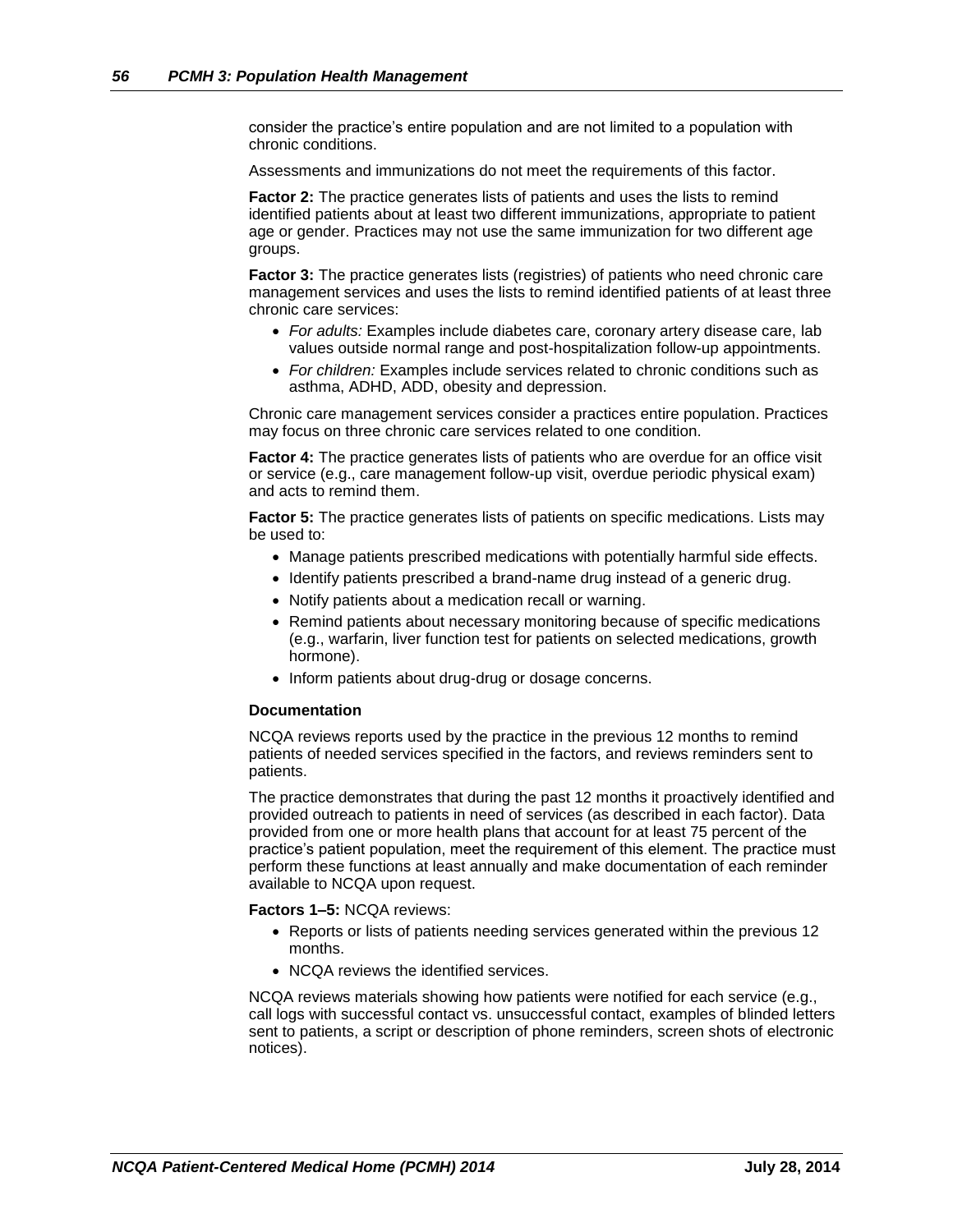consider the practice's entire population and are not limited to a population with chronic conditions.

Assessments and immunizations do not meet the requirements of this factor.

**Factor 2:** The practice generates lists of patients and uses the lists to remind identified patients about at least two different immunizations, appropriate to patient age or gender. Practices may not use the same immunization for two different age groups.

**Factor 3:** The practice generates lists (registries) of patients who need chronic care management services and uses the lists to remind identified patients of at least three chronic care services:

- *For adults:* Examples include diabetes care, coronary artery disease care, lab values outside normal range and post-hospitalization follow-up appointments.
- *For children:* Examples include services related to chronic conditions such as asthma, ADHD, ADD, obesity and depression.

Chronic care management services consider a practices entire population. Practices may focus on three chronic care services related to one condition.

**Factor 4:** The practice generates lists of patients who are overdue for an office visit or service (e.g., care management follow-up visit, overdue periodic physical exam) and acts to remind them.

**Factor 5:** The practice generates lists of patients on specific medications. Lists may be used to:

- Manage patients prescribed medications with potentially harmful side effects.
- Identify patients prescribed a brand-name drug instead of a generic drug.
- Notify patients about a medication recall or warning.
- Remind patients about necessary monitoring because of specific medications (e.g., warfarin, liver function test for patients on selected medications, growth hormone).
- Inform patients about drug-drug or dosage concerns.

#### **Documentation**

NCQA reviews reports used by the practice in the previous 12 months to remind patients of needed services specified in the factors, and reviews reminders sent to patients.

The practice demonstrates that during the past 12 months it proactively identified and provided outreach to patients in need of services (as described in each factor). Data provided from one or more health plans that account for at least 75 percent of the practice's patient population, meet the requirement of this element. The practice must perform these functions at least annually and make documentation of each reminder available to NCQA upon request.

**Factors 1–5:** NCQA reviews:

- Reports or lists of patients needing services generated within the previous 12 months.
- NCQA reviews the identified services.

NCQA reviews materials showing how patients were notified for each service (e.g., call logs with successful contact vs. unsuccessful contact, examples of blinded letters sent to patients, a script or description of phone reminders, screen shots of electronic notices).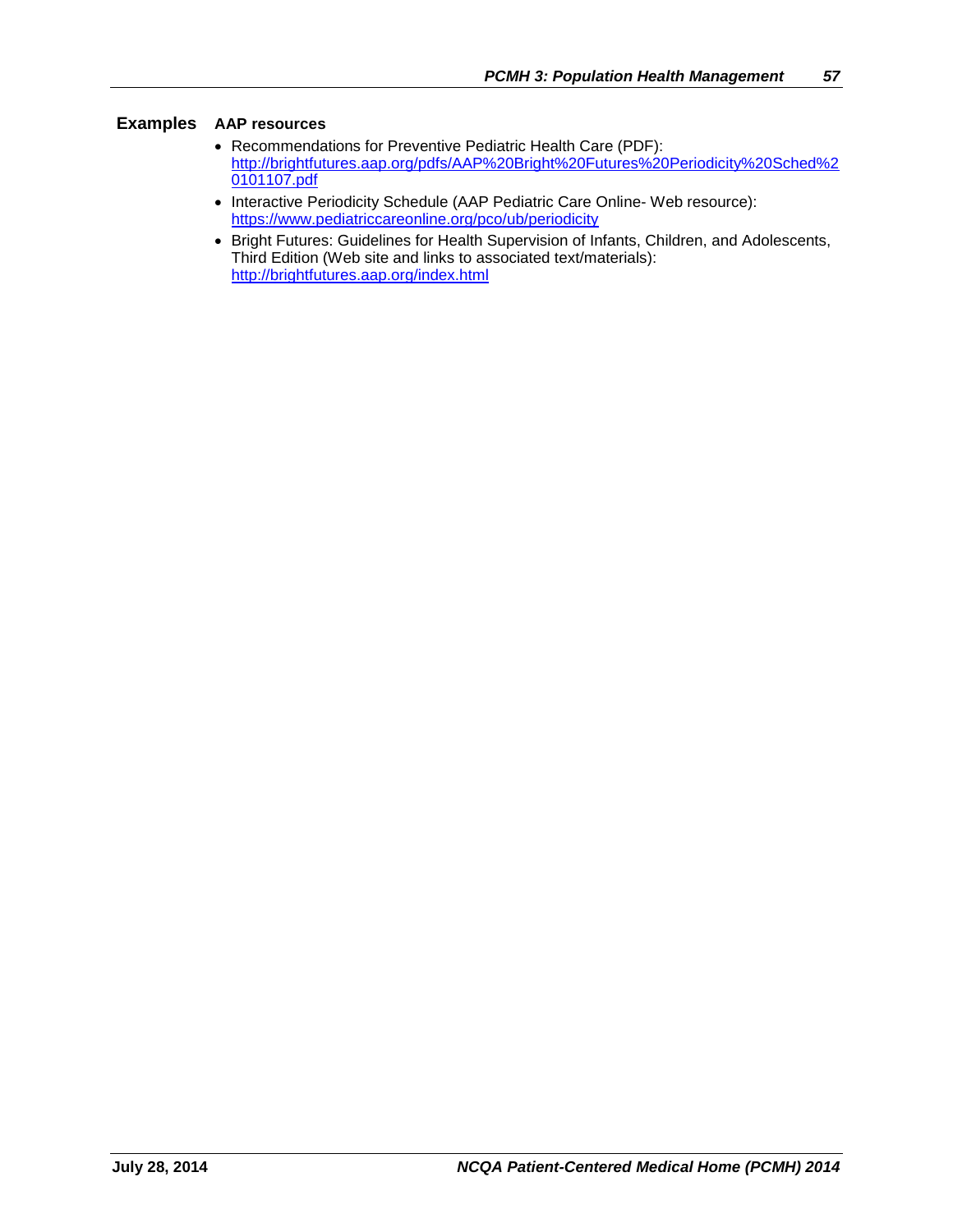### **Examples AAP resources**

- Recommendations for Preventive Pediatric Health Care (PDF): [http://brightfutures.aap.org/pdfs/AAP%20Bright%20Futures%20Periodicity%20Sched%2](http://brightfutures.aap.org/pdfs/AAP%20Bright%20Futures%20Periodicity%20Sched%20101107.pdf) [0101107.pdf](http://brightfutures.aap.org/pdfs/AAP%20Bright%20Futures%20Periodicity%20Sched%20101107.pdf)
- Interactive Periodicity Schedule (AAP Pediatric Care Online- Web resource): <https://www.pediatriccareonline.org/pco/ub/periodicity>
- Bright Futures: Guidelines for Health Supervision of Infants, Children, and Adolescents, Third Edition (Web site and links to associated text/materials): <http://brightfutures.aap.org/index.html>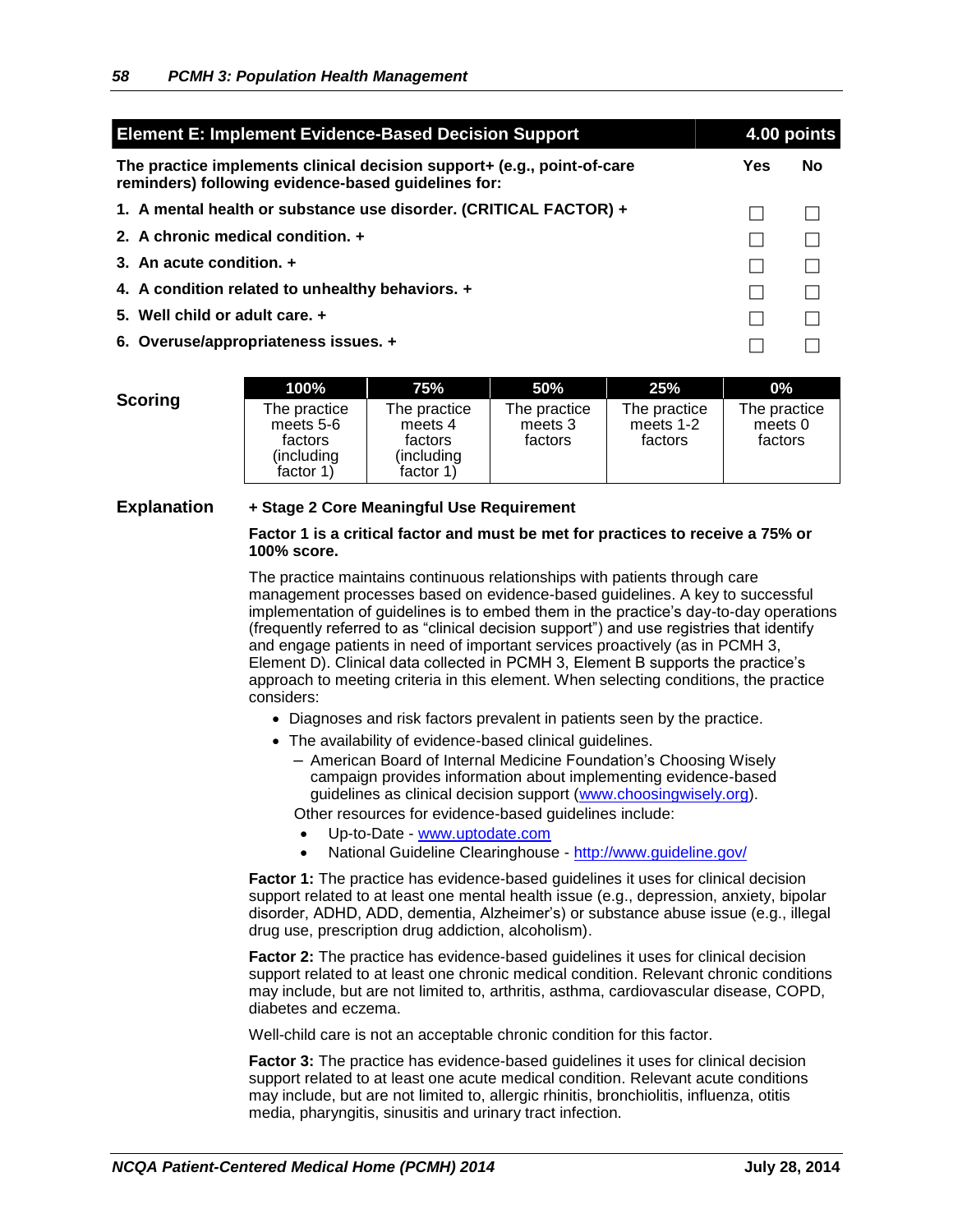| <b>Element E: Implement Evidence-Based Decision Support</b>                                                                    |     | 4.00 points |
|--------------------------------------------------------------------------------------------------------------------------------|-----|-------------|
| The practice implements clinical decision support+ (e.g., point-of-care<br>reminders) following evidence-based guidelines for: | Yes | No          |
| 1. A mental health or substance use disorder. (CRITICAL FACTOR) +                                                              |     |             |
| 2. A chronic medical condition. +                                                                                              |     |             |
| 3. An acute condition. +                                                                                                       |     |             |
| 4. A condition related to unhealthy behaviors. +                                                                               |     |             |
| 5. Well child or adult care. +                                                                                                 |     |             |
| 6. Overuse/appropriateness issues. +                                                                                           |     |             |

|         | 100%                                                            | 75%                                                            | <b>50%</b>                         | 25%                                  | $0\%$                              |
|---------|-----------------------------------------------------------------|----------------------------------------------------------------|------------------------------------|--------------------------------------|------------------------------------|
| Scoring | The practice<br>meets 5-6<br>factors<br>(including<br>factor 1) | The practice<br>meets 4<br>factors<br>(including)<br>factor 1) | The practice<br>meets 3<br>factors | The practice<br>meets 1-2<br>factors | The practice<br>meets 0<br>factors |

### **Explanation + Stage 2 Core Meaningful Use Requirement**

#### **Factor 1 is a critical factor and must be met for practices to receive a 75% or 100% score.**

The practice maintains continuous relationships with patients through care management processes based on evidence-based guidelines. A key to successful implementation of guidelines is to embed them in the practice's day-to-day operations (frequently referred to as "clinical decision support") and use registries that identify and engage patients in need of important services proactively (as in PCMH 3, Element D). Clinical data collected in PCMH 3, Element B supports the practice's approach to meeting criteria in this element. When selecting conditions, the practice considers:

- Diagnoses and risk factors prevalent in patients seen by the practice.
- The availability of evidence-based clinical guidelines.
	- American Board of Internal Medicine Foundation's Choosing Wisely campaign provides information about implementing evidence-based guidelines as clinical decision support [\(www.choosingwisely.org\)](http://www.choosingwisely.org/). Other resources for evidence-based guidelines include:
	- Up-to-Date [www.uptodate.com](http://www.uptodate.com/)
	- National Guideline Clearinghouse <http://www.guideline.gov/>

**Factor 1:** The practice has evidence-based guidelines it uses for clinical decision support related to at least one mental health issue (e.g., depression, anxiety, bipolar disorder, ADHD, ADD, dementia, Alzheimer's) or substance abuse issue (e.g., illegal drug use, prescription drug addiction, alcoholism).

**Factor 2:** The practice has evidence-based guidelines it uses for clinical decision support related to at least one chronic medical condition. Relevant chronic conditions may include, but are not limited to, arthritis, asthma, cardiovascular disease, COPD, diabetes and eczema.

Well-child care is not an acceptable chronic condition for this factor.

**Factor 3:** The practice has evidence-based guidelines it uses for clinical decision support related to at least one acute medical condition. Relevant acute conditions may include, but are not limited to, allergic rhinitis, bronchiolitis, influenza, otitis media, pharyngitis, sinusitis and urinary tract infection.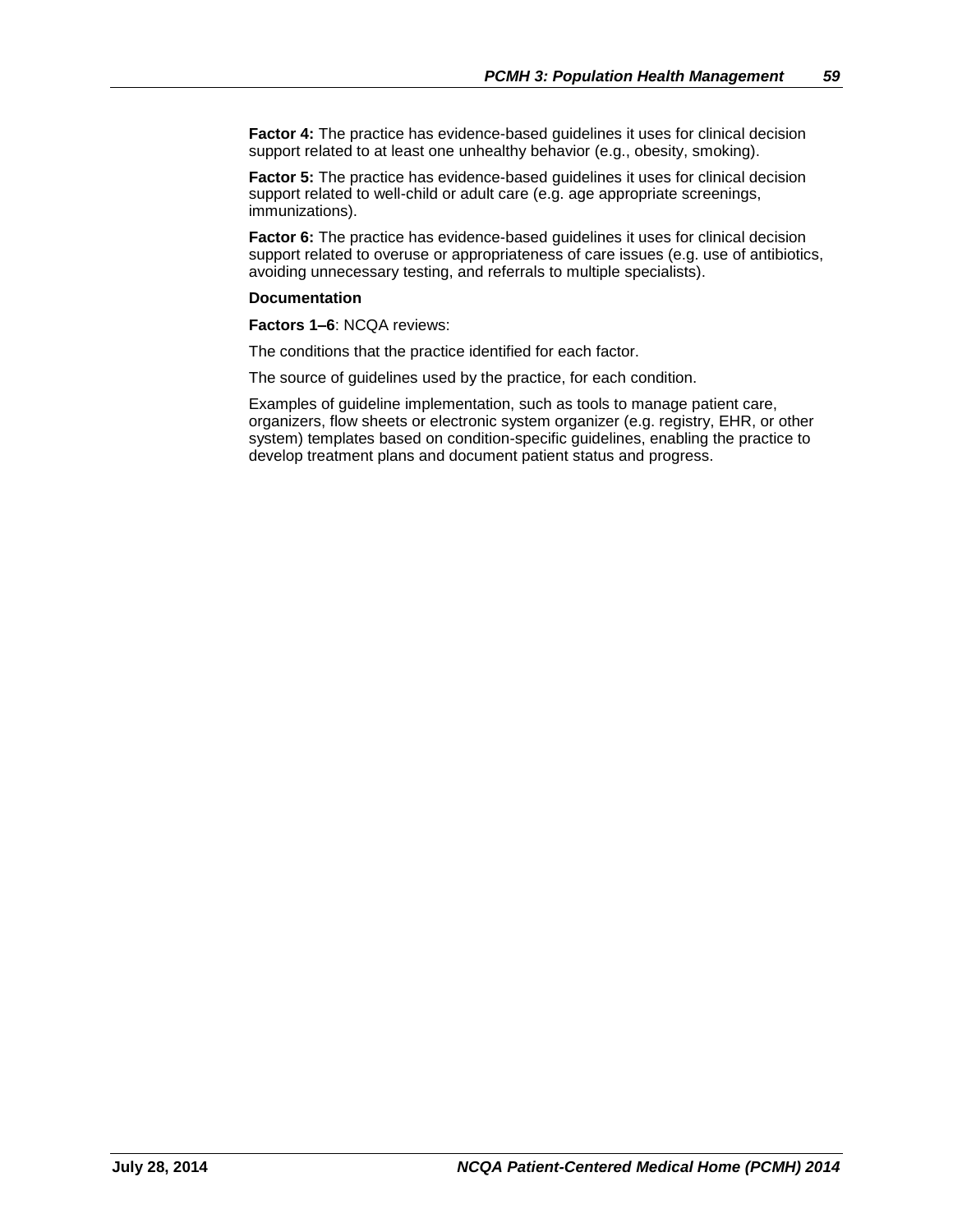**Factor 4:** The practice has evidence-based guidelines it uses for clinical decision support related to at least one unhealthy behavior (e.g., obesity, smoking).

**Factor 5:** The practice has evidence-based quidelines it uses for clinical decision support related to well-child or adult care (e.g. age appropriate screenings, immunizations).

**Factor 6:** The practice has evidence-based quidelines it uses for clinical decision support related to overuse or appropriateness of care issues (e.g. use of antibiotics, avoiding unnecessary testing, and referrals to multiple specialists).

#### **Documentation**

**Factors 1–6**: NCQA reviews:

The conditions that the practice identified for each factor.

The source of guidelines used by the practice, for each condition.

Examples of guideline implementation, such as tools to manage patient care, organizers, flow sheets or electronic system organizer (e.g. registry, EHR, or other system) templates based on condition-specific guidelines, enabling the practice to develop treatment plans and document patient status and progress.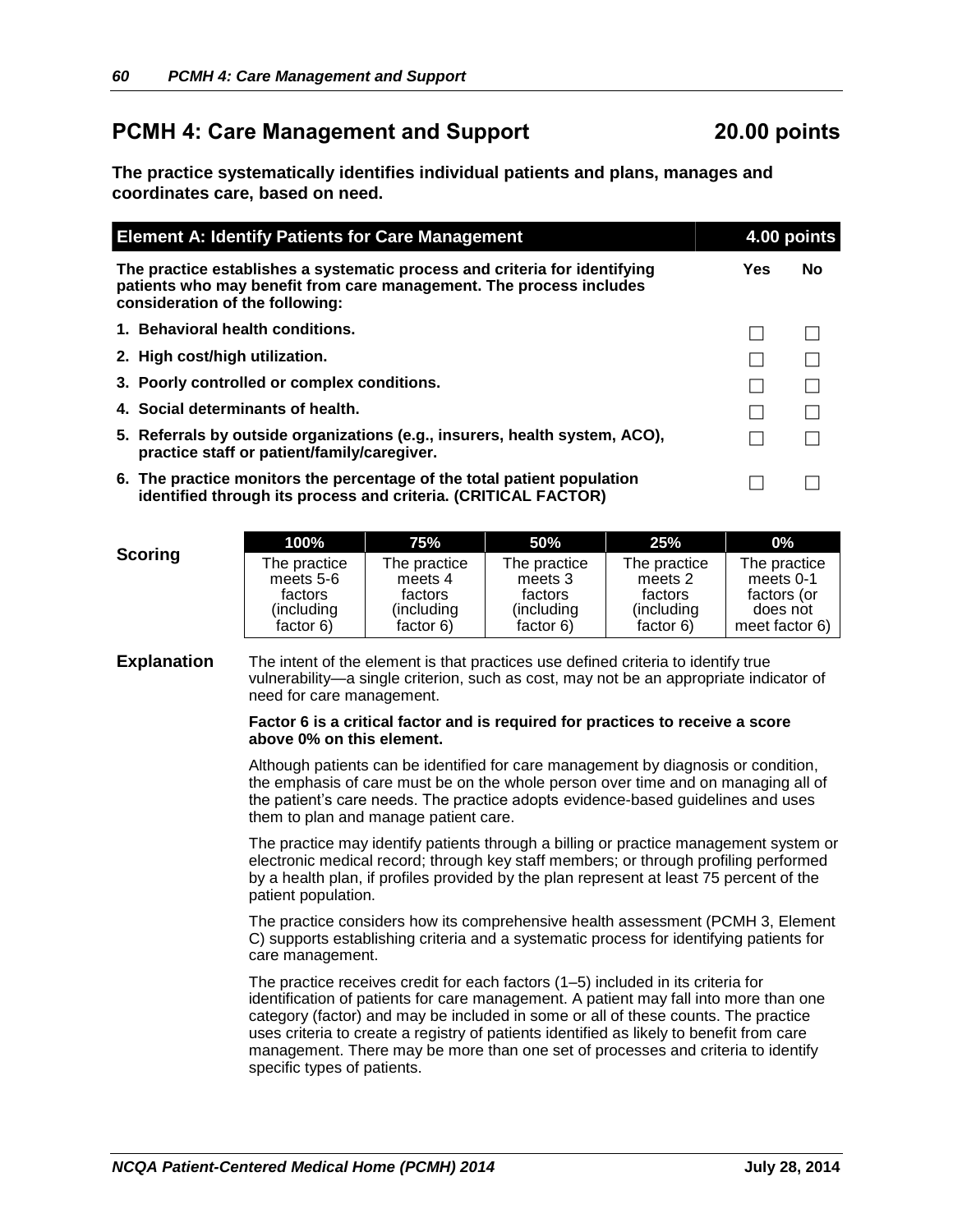# **PCMH 4: Care Management and Support 20.00 points**

**The practice systematically identifies individual patients and plans, manages and coordinates care, based on need.**

| <b>Element A: Identify Patients for Care Management</b>                                                                                                                              |     | 4.00 points |
|--------------------------------------------------------------------------------------------------------------------------------------------------------------------------------------|-----|-------------|
| The practice establishes a systematic process and criteria for identifying<br>patients who may benefit from care management. The process includes<br>consideration of the following: | Yes | No          |
| 1. Behavioral health conditions.                                                                                                                                                     |     |             |
| 2. High cost/high utilization.                                                                                                                                                       |     |             |
| 3. Poorly controlled or complex conditions.                                                                                                                                          |     |             |
| 4. Social determinants of health.                                                                                                                                                    |     |             |
| 5. Referrals by outside organizations (e.g., insurers, health system, ACO),<br>practice staff or patient/family/caregiver.                                                           |     |             |
| 6. The practice monitors the percentage of the total patient population<br>identified through its process and criteria. (CRITICAL FACTOR)                                            |     |             |

|         | 100%         | 75%          | 50%          | 25%          | $0\%$          |
|---------|--------------|--------------|--------------|--------------|----------------|
| Scoring | The practice | The practice | The practice | The practice | The practice   |
|         | meets 5-6    | meets 4      | meets 3      | meets 2      | meets 0-1      |
|         | factors      | factors      | factors      | factors      | factors (or    |
|         | (including)  | (including   | (including)  | (including)  | does not       |
|         | factor 6)    | factor 6)    | factor 6)    | factor 6)    | meet factor 6) |

**Explanation** The intent of the element is that practices use defined criteria to identify true vulnerability—a single criterion, such as cost, may not be an appropriate indicator of need for care management.

#### **Factor 6 is a critical factor and is required for practices to receive a score above 0% on this element.**

Although patients can be identified for care management by diagnosis or condition, the emphasis of care must be on the whole person over time and on managing all of the patient's care needs. The practice adopts evidence-based guidelines and uses them to plan and manage patient care.

The practice may identify patients through a billing or practice management system or electronic medical record; through key staff members; or through profiling performed by a health plan, if profiles provided by the plan represent at least 75 percent of the patient population.

The practice considers how its comprehensive health assessment (PCMH 3, Element C) supports establishing criteria and a systematic process for identifying patients for care management.

The practice receives credit for each factors (1–5) included in its criteria for identification of patients for care management. A patient may fall into more than one category (factor) and may be included in some or all of these counts. The practice uses criteria to create a registry of patients identified as likely to benefit from care management. There may be more than one set of processes and criteria to identify specific types of patients.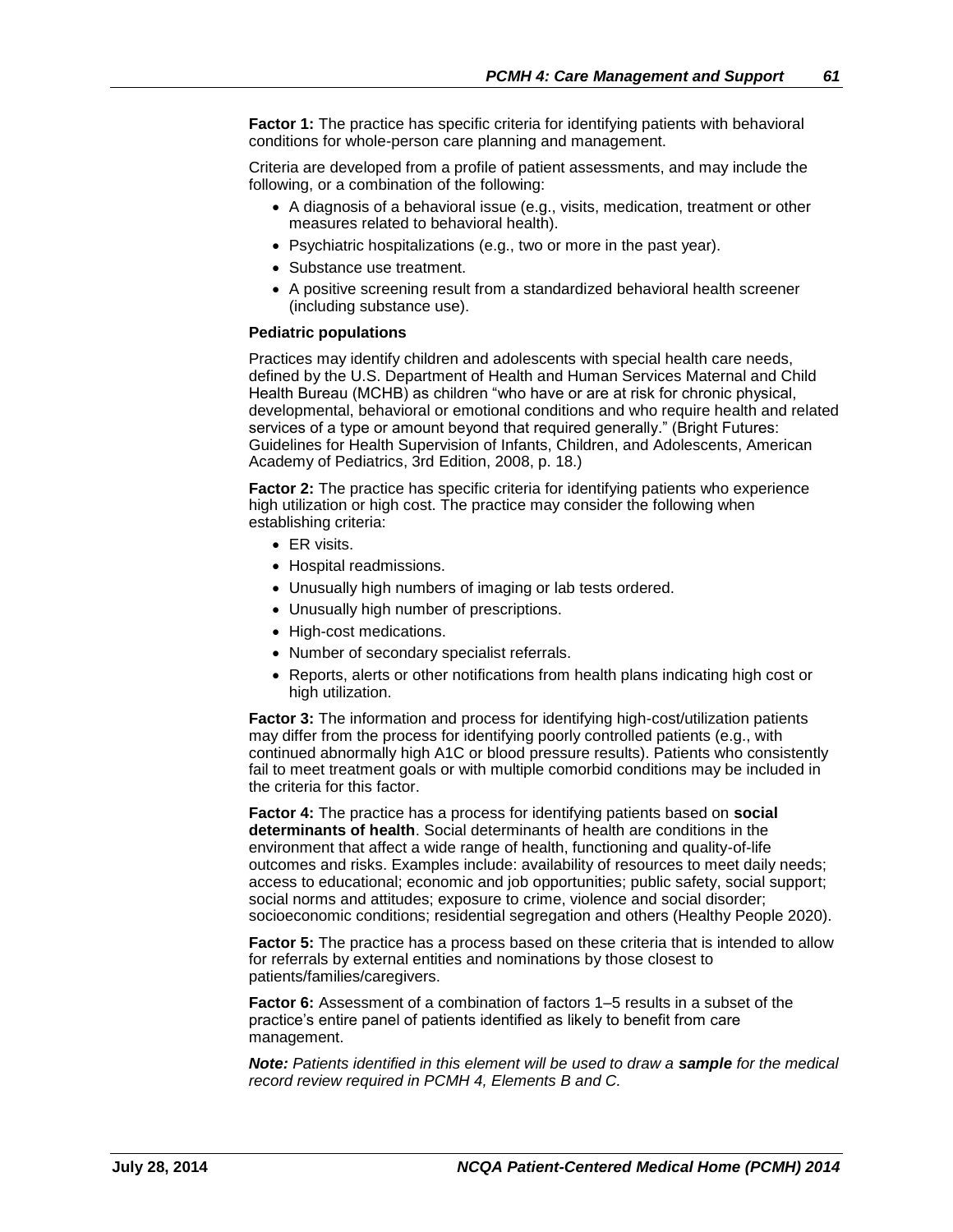**Factor 1:** The practice has specific criteria for identifying patients with behavioral conditions for whole-person care planning and management.

Criteria are developed from a profile of patient assessments, and may include the following, or a combination of the following:

- A diagnosis of a behavioral issue (e.g., visits, medication, treatment or other measures related to behavioral health).
- Psychiatric hospitalizations (e.g., two or more in the past year).
- Substance use treatment.
- A positive screening result from a standardized behavioral health screener (including substance use).

#### **Pediatric populations**

Practices may identify children and adolescents with special health care needs, defined by the U.S. Department of Health and Human Services Maternal and Child Health Bureau (MCHB) as children "who have or are at risk for chronic physical, developmental, behavioral or emotional conditions and who require health and related services of a type or amount beyond that required generally." (Bright Futures: Guidelines for Health Supervision of Infants, Children, and Adolescents, American Academy of Pediatrics, 3rd Edition, 2008, p. 18.)

**Factor 2:** The practice has specific criteria for identifying patients who experience high utilization or high cost. The practice may consider the following when establishing criteria:

- ER visits.
- Hospital readmissions.
- Unusually high numbers of imaging or lab tests ordered.
- Unusually high number of prescriptions.
- High-cost medications.
- Number of secondary specialist referrals.
- Reports, alerts or other notifications from health plans indicating high cost or high utilization.

**Factor 3:** The information and process for identifying high-cost/utilization patients may differ from the process for identifying poorly controlled patients (e.g., with continued abnormally high A1C or blood pressure results). Patients who consistently fail to meet treatment goals or with multiple comorbid conditions may be included in the criteria for this factor.

**Factor 4:** The practice has a process for identifying patients based on **social determinants of health**. Social determinants of health are conditions in the environment that affect a wide range of health, functioning and quality-of-life outcomes and risks. Examples include: availability of resources to meet daily needs; access to educational; economic and job opportunities; public safety, social support; social norms and attitudes; exposure to crime, violence and social disorder; socioeconomic conditions; residential segregation and others (Healthy People 2020).

**Factor 5:** The practice has a process based on these criteria that is intended to allow for referrals by external entities and nominations by those closest to patients/families/caregivers.

**Factor 6:** Assessment of a combination of factors 1–5 results in a subset of the practice's entire panel of patients identified as likely to benefit from care management.

**Note:** Patients identified in this element will be used to draw a **sample** for the medical *record review required in PCMH 4, Elements B and C.*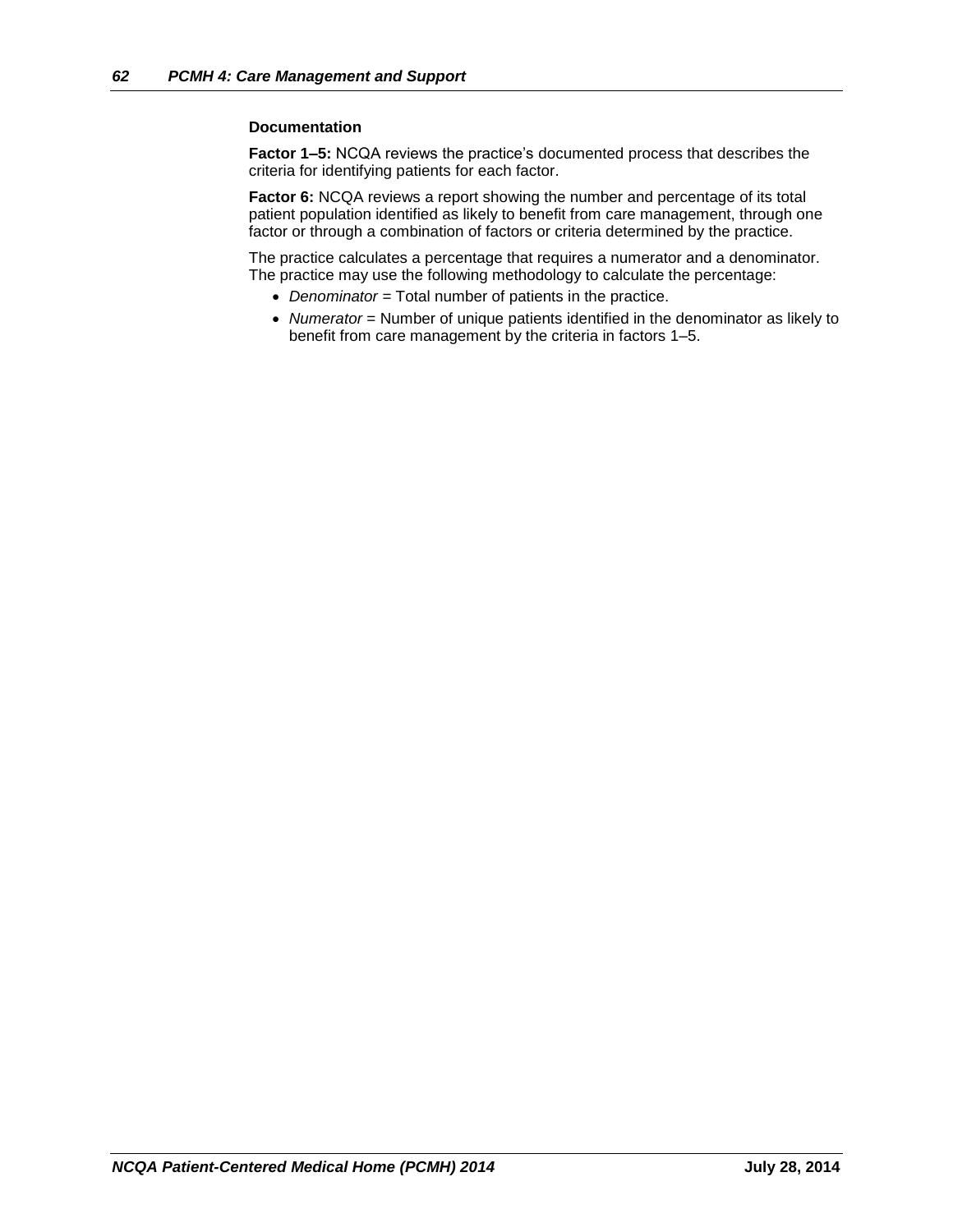#### **Documentation**

**Factor 1–5:** NCQA reviews the practice's documented process that describes the criteria for identifying patients for each factor.

Factor 6: NCQA reviews a report showing the number and percentage of its total patient population identified as likely to benefit from care management, through one factor or through a combination of factors or criteria determined by the practice.

The practice calculates a percentage that requires a numerator and a denominator. The practice may use the following methodology to calculate the percentage:

- *Denominator* = Total number of patients in the practice.
- Numerator = Number of unique patients identified in the denominator as likely to benefit from care management by the criteria in factors 1–5.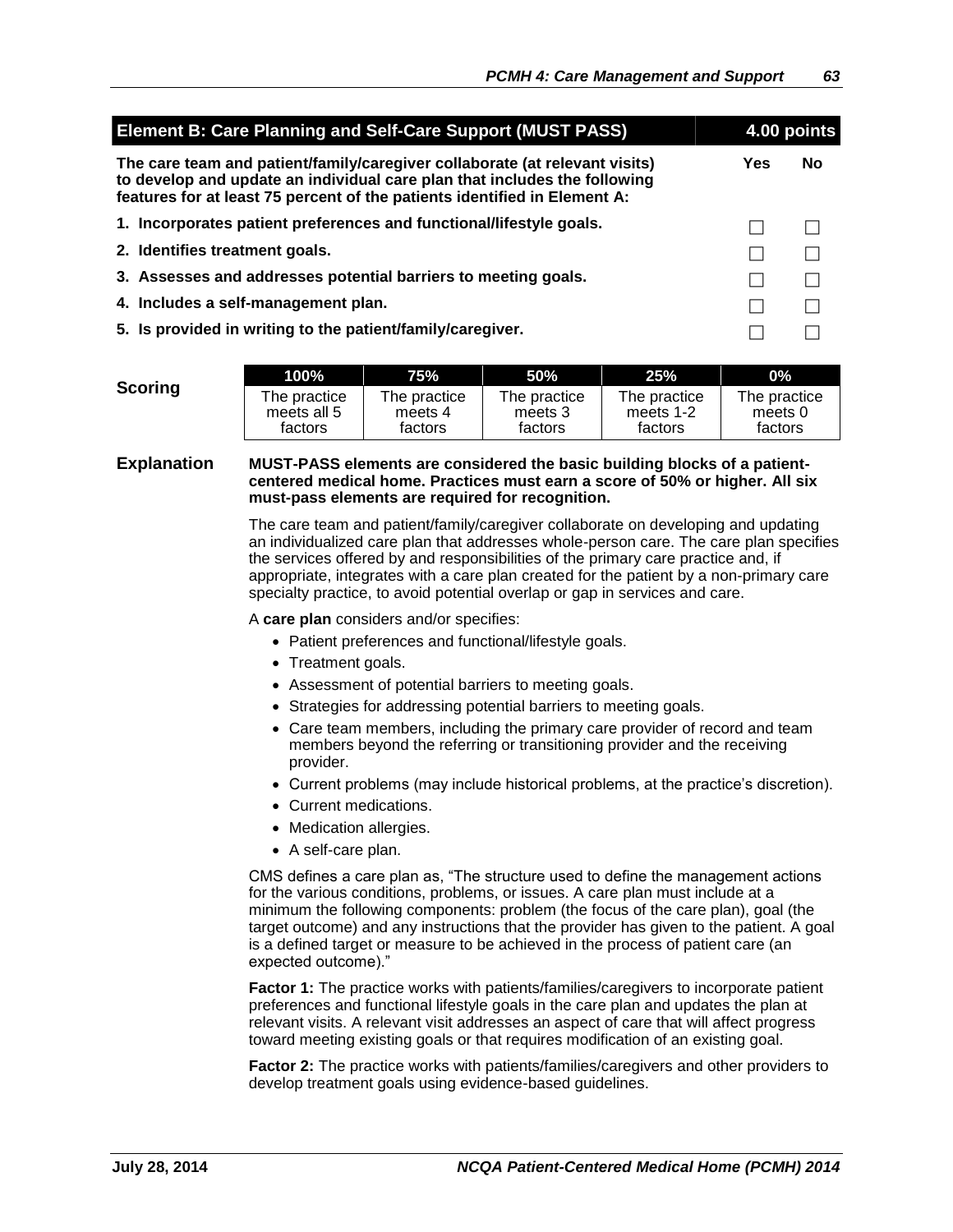The practice meets 0 factors

| <b>Element B: Care Planning and Self-Care Support (MUST PASS)</b>                                                                                                                                                                     |     |    |
|---------------------------------------------------------------------------------------------------------------------------------------------------------------------------------------------------------------------------------------|-----|----|
| The care team and patient/family/caregiver collaborate (at relevant visits)<br>to develop and update an individual care plan that includes the following<br>features for at least 75 percent of the patients identified in Element A: | Yes | No |
| 1. Incorporates patient preferences and functional/lifestyle goals.                                                                                                                                                                   |     |    |
| 2. Identifies treatment goals.                                                                                                                                                                                                        |     |    |
| 3. Assesses and addresses potential barriers to meeting goals.                                                                                                                                                                        |     |    |
| 4. Includes a self-management plan.                                                                                                                                                                                                   |     |    |
| 5. Is provided in writing to the patient/family/caregiver.                                                                                                                                                                            |     |    |

|         | 100% '       | 75%          | 50%          | 25%          | 0%      |
|---------|--------------|--------------|--------------|--------------|---------|
| Scoring | The practice | The practice | The practice | The practice | The pra |
|         | meets all 5  | meets 4      | meets 3      | meets 1-2    | meets   |
|         | tactors      | factors      | factors      | factors      | facto   |

**Explanation MUST-PASS elements are considered the basic building blocks of a patientcentered medical home. Practices must earn a score of 50% or higher. All six must-pass elements are required for recognition.**

> The care team and patient/family/caregiver collaborate on developing and updating an individualized care plan that addresses whole-person care. The care plan specifies the services offered by and responsibilities of the primary care practice and, if appropriate, integrates with a care plan created for the patient by a non-primary care specialty practice, to avoid potential overlap or gap in services and care.

A **care plan** considers and/or specifies:

- Patient preferences and functional/lifestyle goals.
- Treatment goals.
- Assessment of potential barriers to meeting goals.
- Strategies for addressing potential barriers to meeting goals.
- Care team members, including the primary care provider of record and team members beyond the referring or transitioning provider and the receiving provider.
- Current problems (may include historical problems, at the practice's discretion).
- Current medications.
- Medication allergies.
- A self-care plan.

CMS defines a care plan as, "The structure used to define the management actions for the various conditions, problems, or issues. A care plan must include at a minimum the following components: problem (the focus of the care plan), goal (the target outcome) and any instructions that the provider has given to the patient. A goal is a defined target or measure to be achieved in the process of patient care (an expected outcome)."

**Factor 1:** The practice works with patients/families/caregivers to incorporate patient preferences and functional lifestyle goals in the care plan and updates the plan at relevant visits. A relevant visit addresses an aspect of care that will affect progress toward meeting existing goals or that requires modification of an existing goal.

**Factor 2:** The practice works with patients/families/caregivers and other providers to develop treatment goals using evidence-based guidelines.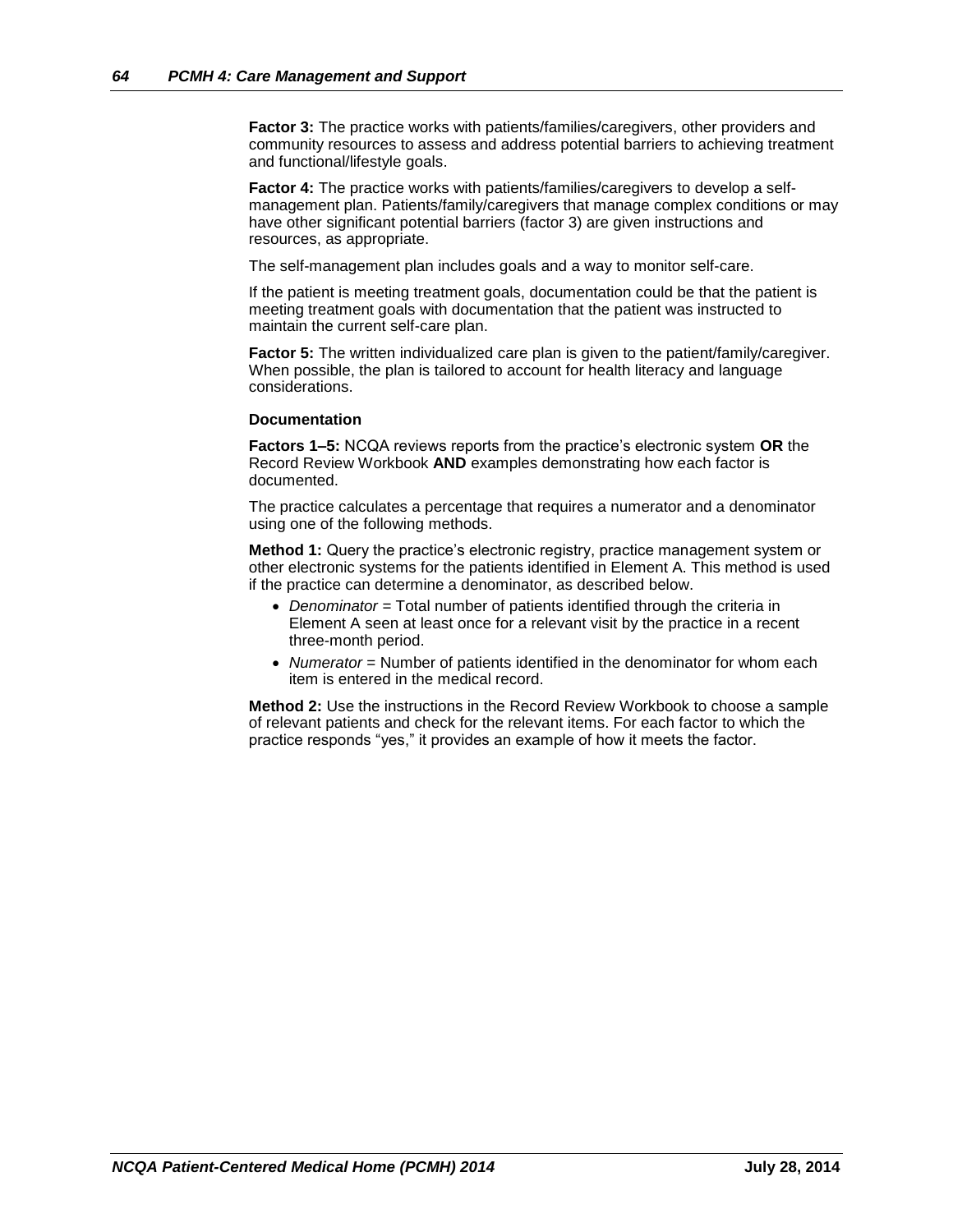**Factor 3:** The practice works with patients/families/caregivers, other providers and community resources to assess and address potential barriers to achieving treatment and functional/lifestyle goals.

**Factor 4:** The practice works with patients/families/caregivers to develop a selfmanagement plan. Patients/family/caregivers that manage complex conditions or may have other significant potential barriers (factor 3) are given instructions and resources, as appropriate.

The self-management plan includes goals and a way to monitor self-care.

If the patient is meeting treatment goals, documentation could be that the patient is meeting treatment goals with documentation that the patient was instructed to maintain the current self-care plan.

**Factor 5:** The written individualized care plan is given to the patient/family/caregiver. When possible, the plan is tailored to account for health literacy and language considerations.

#### **Documentation**

**Factors 1–5:** NCQA reviews reports from the practice's electronic system **OR** the Record Review Workbook **AND** examples demonstrating how each factor is documented.

The practice calculates a percentage that requires a numerator and a denominator using one of the following methods.

**Method 1:** Query the practice's electronic registry, practice management system or other electronic systems for the patients identified in Element A. This method is used if the practice can determine a denominator, as described below.

- *Denominator* = Total number of patients identified through the criteria in Element A seen at least once for a relevant visit by the practice in a recent three-month period.
- Numerator = Number of patients identified in the denominator for whom each item is entered in the medical record.

**Method 2:** Use the instructions in the Record Review Workbook to choose a sample of relevant patients and check for the relevant items. For each factor to which the practice responds "yes," it provides an example of how it meets the factor.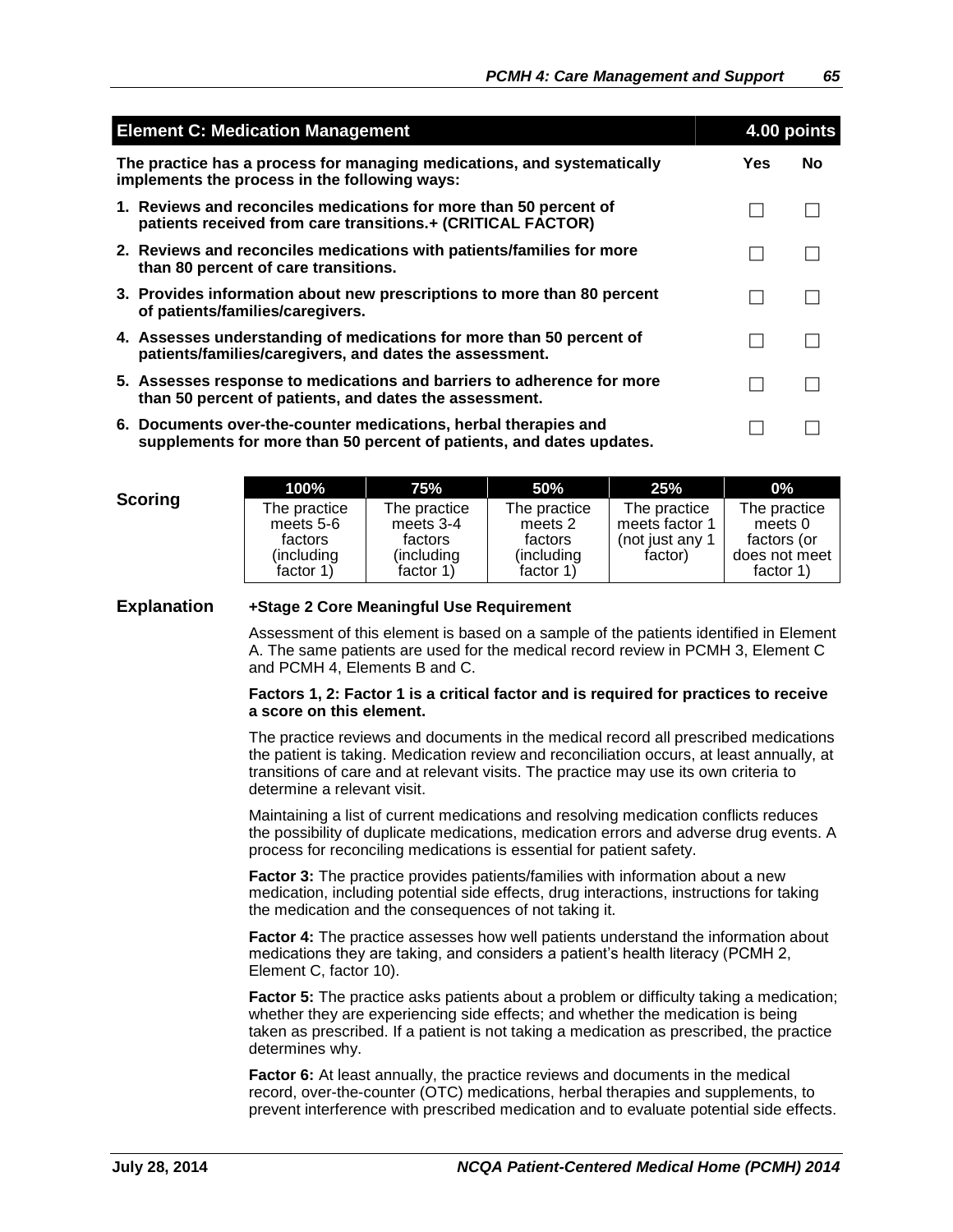| <b>Element C: Medication Management</b>                                                                                                 | 4.00 points |    |
|-----------------------------------------------------------------------------------------------------------------------------------------|-------------|----|
| The practice has a process for managing medications, and systematically<br>implements the process in the following ways:                | Yes         | No |
| 1. Reviews and reconciles medications for more than 50 percent of<br>patients received from care transitions.+ (CRITICAL FACTOR)        |             |    |
| 2. Reviews and reconciles medications with patients/families for more<br>than 80 percent of care transitions.                           |             |    |
| 3. Provides information about new prescriptions to more than 80 percent<br>of patients/families/caregivers.                             |             |    |
| 4. Assesses understanding of medications for more than 50 percent of<br>patients/families/caregivers, and dates the assessment.         |             |    |
| 5. Assesses response to medications and barriers to adherence for more<br>than 50 percent of patients, and dates the assessment.        |             |    |
| 6. Documents over-the-counter medications, herbal therapies and<br>supplements for more than 50 percent of patients, and dates updates. |             |    |

|         | 100%                                | 75%                               | <b>50%</b>                         | 25%                            | $0\%$                                     |
|---------|-------------------------------------|-----------------------------------|------------------------------------|--------------------------------|-------------------------------------------|
| Scoring | The practice<br>meets 5-6           | The practice<br>meets 3-4         | The practice<br>meets 2            | The practice<br>meets factor 1 | The practice<br>meets 0                   |
|         | factors<br>(including)<br>factor 1) | factors<br>(including<br>factor 1 | factors<br>(including<br>factor 1) | (not just any 1)<br>factor)    | factors (or<br>does not meet<br>factor 1) |

#### **Explanation +Stage 2 Core Meaningful Use Requirement**

Assessment of this element is based on a sample of the patients identified in Element A. The same patients are used for the medical record review in PCMH 3, Element C and PCMH 4, Elements B and C.

#### **Factors 1, 2: Factor 1 is a critical factor and is required for practices to receive a score on this element.**

The practice reviews and documents in the medical record all prescribed medications the patient is taking. Medication review and reconciliation occurs, at least annually, at transitions of care and at relevant visits. The practice may use its own criteria to determine a relevant visit.

Maintaining a list of current medications and resolving medication conflicts reduces the possibility of duplicate medications, medication errors and adverse drug events. A process for reconciling medications is essential for patient safety.

**Factor 3:** The practice provides patients/families with information about a new medication, including potential side effects, drug interactions, instructions for taking the medication and the consequences of not taking it.

**Factor 4:** The practice assesses how well patients understand the information about medications they are taking, and considers a patient's health literacy (PCMH 2, Element C, factor 10).

**Factor 5:** The practice asks patients about a problem or difficulty taking a medication; whether they are experiencing side effects; and whether the medication is being taken as prescribed. If a patient is not taking a medication as prescribed, the practice determines why.

**Factor 6:** At least annually, the practice reviews and documents in the medical record, over-the-counter (OTC) medications, herbal therapies and supplements, to prevent interference with prescribed medication and to evaluate potential side effects.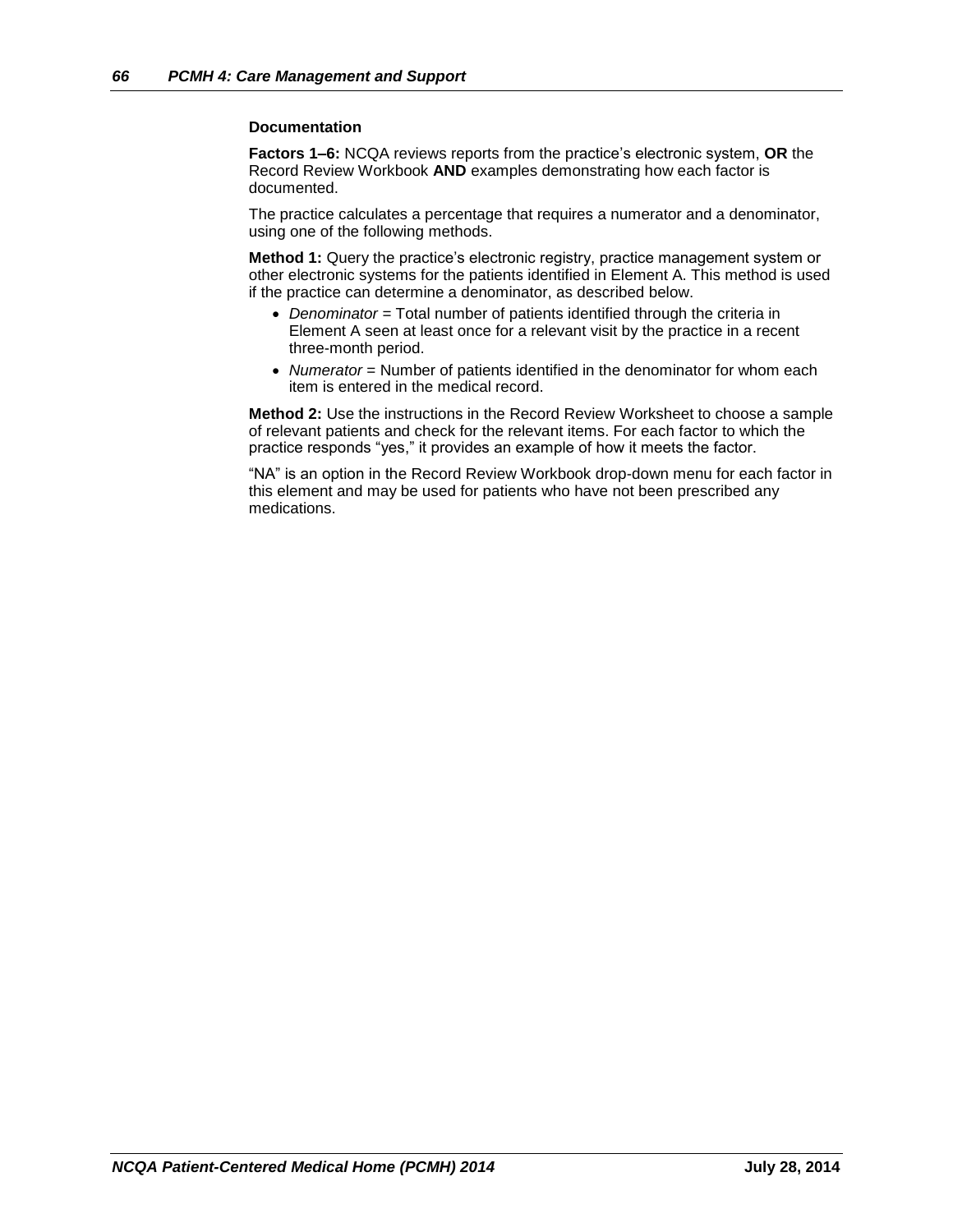#### **Documentation**

**Factors 1–6:** NCQA reviews reports from the practice's electronic system, **OR** the Record Review Workbook **AND** examples demonstrating how each factor is documented.

The practice calculates a percentage that requires a numerator and a denominator, using one of the following methods.

**Method 1:** Query the practice's electronic registry, practice management system or other electronic systems for the patients identified in Element A. This method is used if the practice can determine a denominator, as described below.

- *Denominator* = Total number of patients identified through the criteria in Element A seen at least once for a relevant visit by the practice in a recent three-month period.
- Numerator = Number of patients identified in the denominator for whom each item is entered in the medical record.

**Method 2:** Use the instructions in the Record Review Worksheet to choose a sample of relevant patients and check for the relevant items. For each factor to which the practice responds "yes," it provides an example of how it meets the factor.

"NA" is an option in the Record Review Workbook drop-down menu for each factor in this element and may be used for patients who have not been prescribed any medications.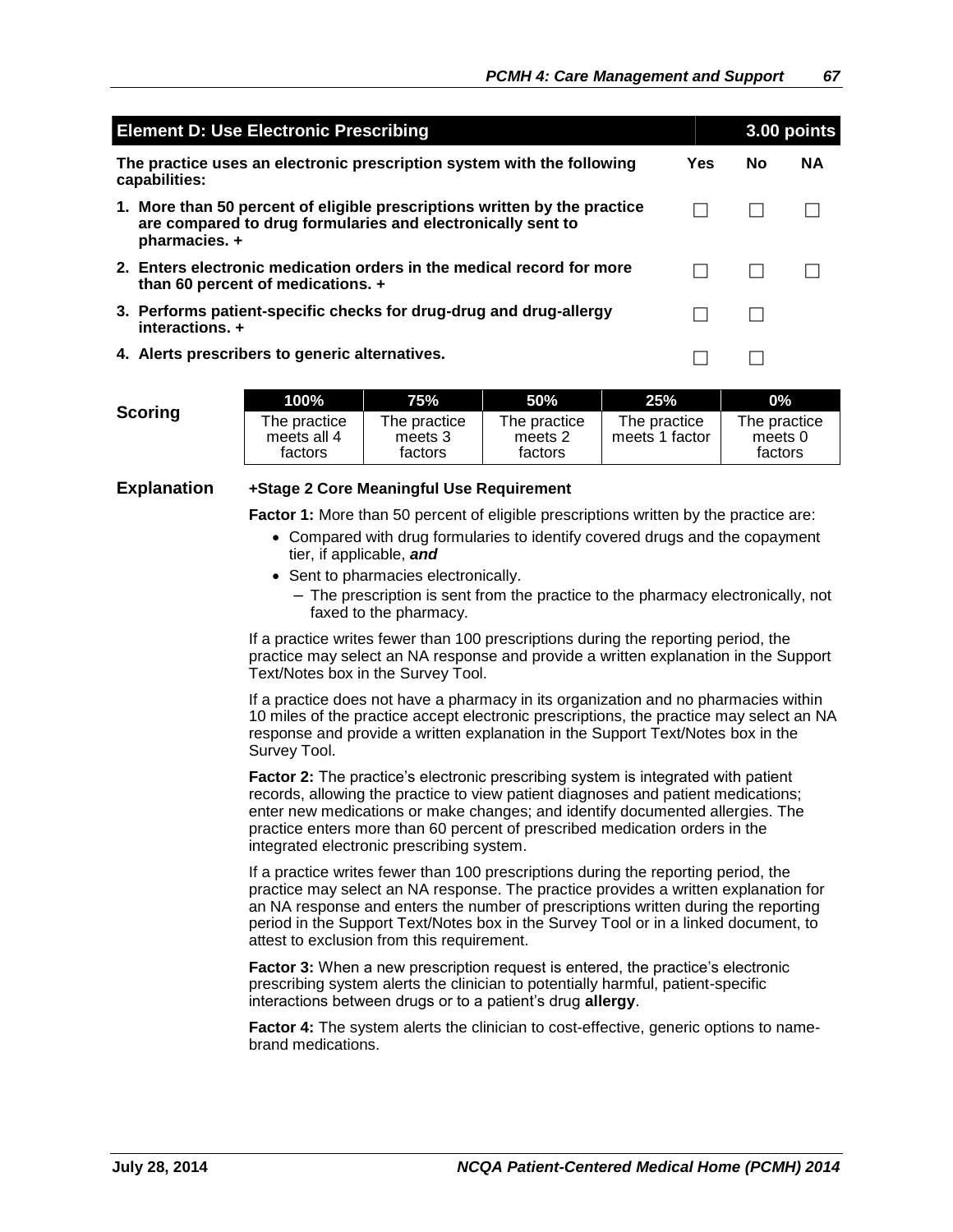| <b>Element D: Use Electronic Prescribing</b><br>3.00 points                                                                                               |     |    |           |  |
|-----------------------------------------------------------------------------------------------------------------------------------------------------------|-----|----|-----------|--|
| The practice uses an electronic prescription system with the following<br>capabilities:                                                                   | Yes | No | <b>NA</b> |  |
| 1. More than 50 percent of eligible prescriptions written by the practice<br>are compared to drug formularies and electronically sent to<br>pharmacies. + |     |    |           |  |
| 2. Enters electronic medication orders in the medical record for more<br>than 60 percent of medications. +                                                |     |    |           |  |
| 3. Performs patient-specific checks for drug-drug and drug-allergy<br>interactions. +                                                                     |     |    |           |  |
| 4. Alerts prescribers to generic alternatives.                                                                                                            |     |    |           |  |

|         | 100% '                                 | 75%                                | 50%                                | 25%                            | $0\%$                              |
|---------|----------------------------------------|------------------------------------|------------------------------------|--------------------------------|------------------------------------|
| Scoring | The practice<br>meets all 4<br>factors | The practice<br>meets 3<br>factors | The practice<br>meets 2<br>factors | The practice<br>meets 1 factor | The practice<br>meets 0<br>factors |

### **Explanation +Stage 2 Core Meaningful Use Requirement**

**Factor 1:** More than 50 percent of eligible prescriptions written by the practice are:

- Compared with drug formularies to identify covered drugs and the copayment tier, if applicable, *and*
- Sent to pharmacies electronically.
	- The prescription is sent from the practice to the pharmacy electronically, not faxed to the pharmacy.

If a practice writes fewer than 100 prescriptions during the reporting period, the practice may select an NA response and provide a written explanation in the Support Text/Notes box in the Survey Tool.

If a practice does not have a pharmacy in its organization and no pharmacies within 10 miles of the practice accept electronic prescriptions, the practice may select an NA response and provide a written explanation in the Support Text/Notes box in the Survey Tool.

**Factor 2:** The practice's electronic prescribing system is integrated with patient records, allowing the practice to view patient diagnoses and patient medications; enter new medications or make changes; and identify documented allergies. The practice enters more than 60 percent of prescribed medication orders in the integrated electronic prescribing system.

If a practice writes fewer than 100 prescriptions during the reporting period, the practice may select an NA response. The practice provides a written explanation for an NA response and enters the number of prescriptions written during the reporting period in the Support Text/Notes box in the Survey Tool or in a linked document, to attest to exclusion from this requirement.

**Factor 3:** When a new prescription request is entered, the practice's electronic prescribing system alerts the clinician to potentially harmful, patient-specific interactions between drugs or to a patient's drug **allergy**.

**Factor 4:** The system alerts the clinician to cost-effective, generic options to namebrand medications.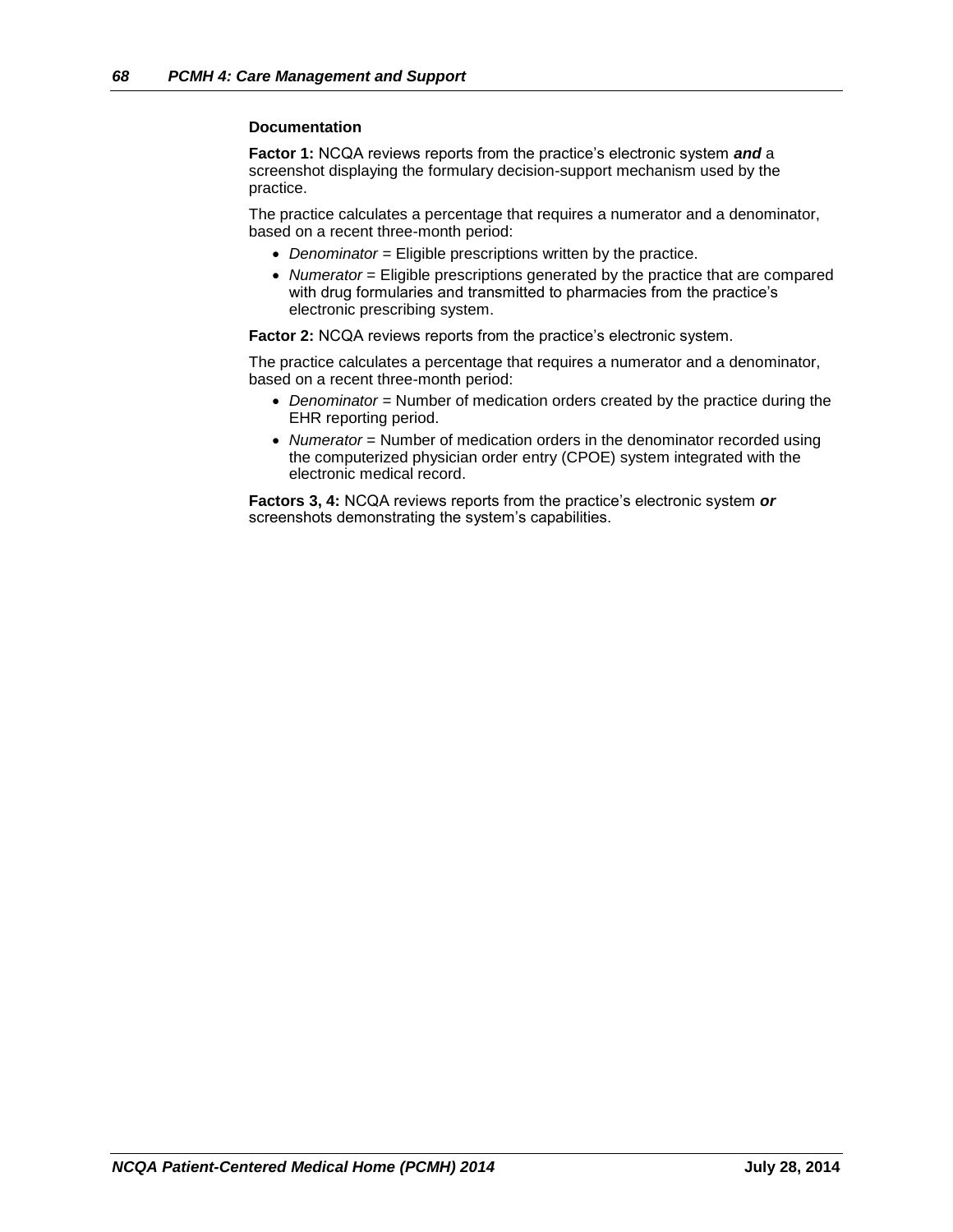#### **Documentation**

**Factor 1:** NCQA reviews reports from the practice's electronic system *and* a screenshot displaying the formulary decision-support mechanism used by the practice.

The practice calculates a percentage that requires a numerator and a denominator, based on a recent three-month period:

- Denominator = Eligible prescriptions written by the practice.
- *Numerator* = Eligible prescriptions generated by the practice that are compared with drug formularies and transmitted to pharmacies from the practice's electronic prescribing system.

**Factor 2: NCQA reviews reports from the practice's electronic system.** 

The practice calculates a percentage that requires a numerator and a denominator, based on a recent three-month period:

- *Denominator* = Number of medication orders created by the practice during the EHR reporting period.
- *Numerator* = Number of medication orders in the denominator recorded using the computerized physician order entry (CPOE) system integrated with the electronic medical record.

**Factors 3, 4:** NCQA reviews reports from the practice's electronic system *or* screenshots demonstrating the system's capabilities.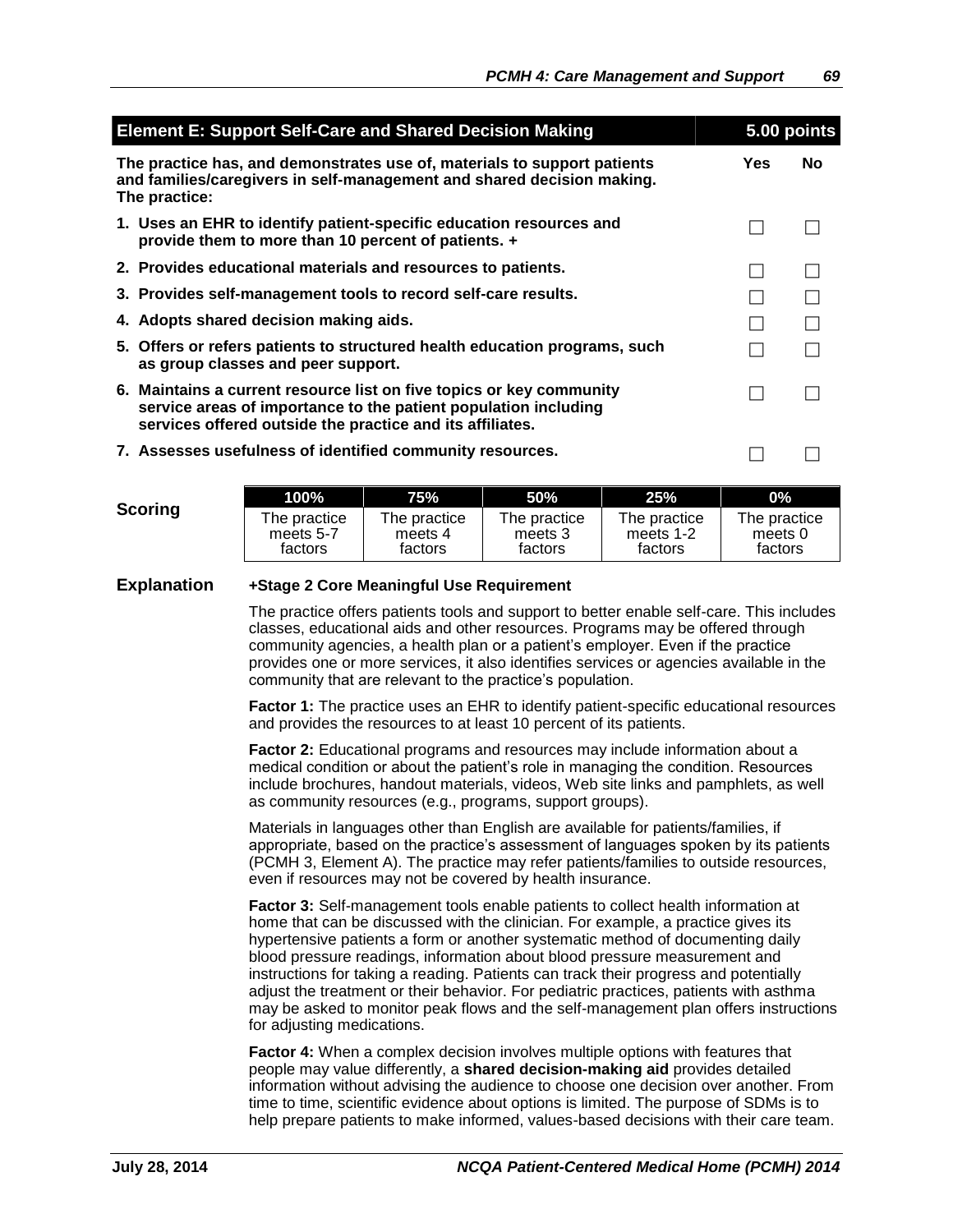| <b>Element E: Support Self-Care and Shared Decision Making</b>                                                                                                                                       |     | $5.00$ points |
|------------------------------------------------------------------------------------------------------------------------------------------------------------------------------------------------------|-----|---------------|
| The practice has, and demonstrates use of, materials to support patients<br>and families/caregivers in self-management and shared decision making.<br>The practice:                                  | Yes | <b>No</b>     |
| 1. Uses an EHR to identify patient-specific education resources and<br>provide them to more than 10 percent of patients. +                                                                           |     |               |
| 2. Provides educational materials and resources to patients.                                                                                                                                         |     |               |
| 3. Provides self-management tools to record self-care results.                                                                                                                                       |     |               |
| 4. Adopts shared decision making aids.                                                                                                                                                               |     |               |
| 5. Offers or refers patients to structured health education programs, such<br>as group classes and peer support.                                                                                     |     |               |
| 6. Maintains a current resource list on five topics or key community<br>service areas of importance to the patient population including<br>services offered outside the practice and its affiliates. |     |               |
| 7. Assesses usefulness of identified community resources.                                                                                                                                            |     |               |

|         | 100%         | 75% .        | <b>50%</b>   | 25%          | 0%           |
|---------|--------------|--------------|--------------|--------------|--------------|
| Scoring | The practice | The practice | The practice | The practice | The practice |
|         | meets 5-7    | meets 4      | meets 3      | meets 1-2    | meets 0      |
|         | factors      | factors      | factors      | factors      | factors      |

#### **Explanation +Stage 2 Core Meaningful Use Requirement**

The practice offers patients tools and support to better enable self-care. This includes classes, educational aids and other resources. Programs may be offered through community agencies, a health plan or a patient's employer. Even if the practice provides one or more services, it also identifies services or agencies available in the community that are relevant to the practice's population.

**Factor 1:** The practice uses an EHR to identify patient-specific educational resources and provides the resources to at least 10 percent of its patients.

**Factor 2:** Educational programs and resources may include information about a medical condition or about the patient's role in managing the condition. Resources include brochures, handout materials, videos, Web site links and pamphlets, as well as community resources (e.g., programs, support groups).

Materials in languages other than English are available for patients/families, if appropriate, based on the practice's assessment of languages spoken by its patients (PCMH 3, Element A). The practice may refer patients/families to outside resources, even if resources may not be covered by health insurance.

**Factor 3:** Self-management tools enable patients to collect health information at home that can be discussed with the clinician. For example, a practice gives its hypertensive patients a form or another systematic method of documenting daily blood pressure readings, information about blood pressure measurement and instructions for taking a reading. Patients can track their progress and potentially adjust the treatment or their behavior. For pediatric practices, patients with asthma may be asked to monitor peak flows and the self-management plan offers instructions for adjusting medications.

**Factor 4:** When a complex decision involves multiple options with features that people may value differently, a **shared decision-making aid** provides detailed information without advising the audience to choose one decision over another. From time to time, scientific evidence about options is limited. The purpose of SDMs is to help prepare patients to make informed, values-based decisions with their care team.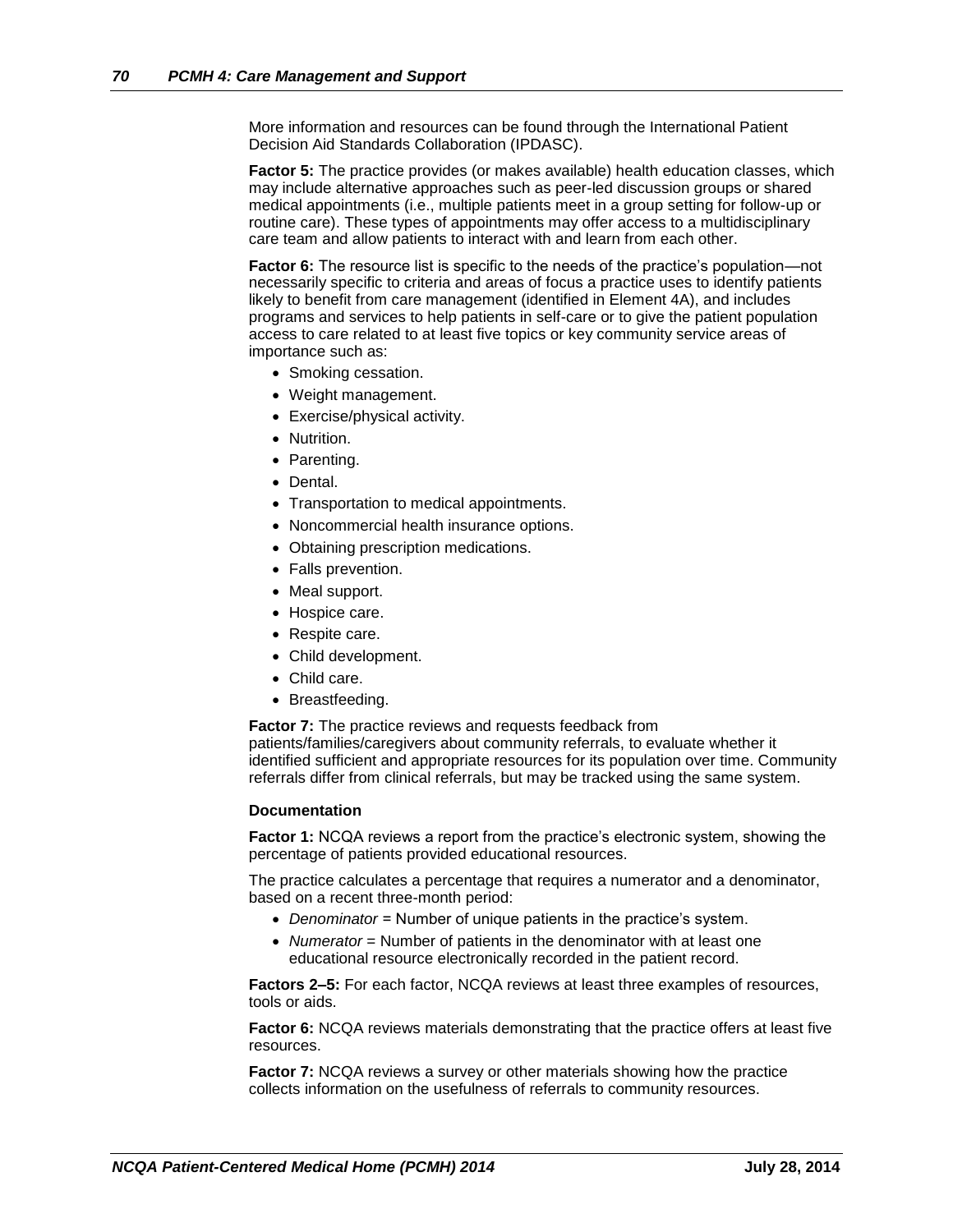More information and resources can be found through the International Patient Decision Aid Standards Collaboration (IPDASC).

**Factor 5:** The practice provides (or makes available) health education classes, which may include alternative approaches such as peer-led discussion groups or shared medical appointments (i.e., multiple patients meet in a group setting for follow-up or routine care). These types of appointments may offer access to a multidisciplinary care team and allow patients to interact with and learn from each other.

Factor 6: The resource list is specific to the needs of the practice's population-not necessarily specific to criteria and areas of focus a practice uses to identify patients likely to benefit from care management (identified in Element 4A), and includes programs and services to help patients in self-care or to give the patient population access to care related to at least five topics or key community service areas of importance such as:

- Smoking cessation.
- Weight management.
- Exercise/physical activity.
- Nutrition.
- Parenting.
- Dental.
- Transportation to medical appointments.
- Noncommercial health insurance options.
- Obtaining prescription medications.
- Falls prevention.
- Meal support.
- Hospice care.
- Respite care.
- Child development.
- Child care.
- Breastfeeding.

**Factor 7:** The practice reviews and requests feedback from

patients/families/caregivers about community referrals, to evaluate whether it identified sufficient and appropriate resources for its population over time. Community referrals differ from clinical referrals, but may be tracked using the same system.

#### **Documentation**

**Factor 1:** NCQA reviews a report from the practice's electronic system, showing the percentage of patients provided educational resources.

The practice calculates a percentage that requires a numerator and a denominator, based on a recent three-month period:

- *Denominator* = Number of unique patients in the practice's system.
- Numerator = Number of patients in the denominator with at least one educational resource electronically recorded in the patient record.

**Factors 2–5:** For each factor, NCQA reviews at least three examples of resources, tools or aids.

**Factor 6:** NCQA reviews materials demonstrating that the practice offers at least five resources.

**Factor 7:** NCQA reviews a survey or other materials showing how the practice collects information on the usefulness of referrals to community resources.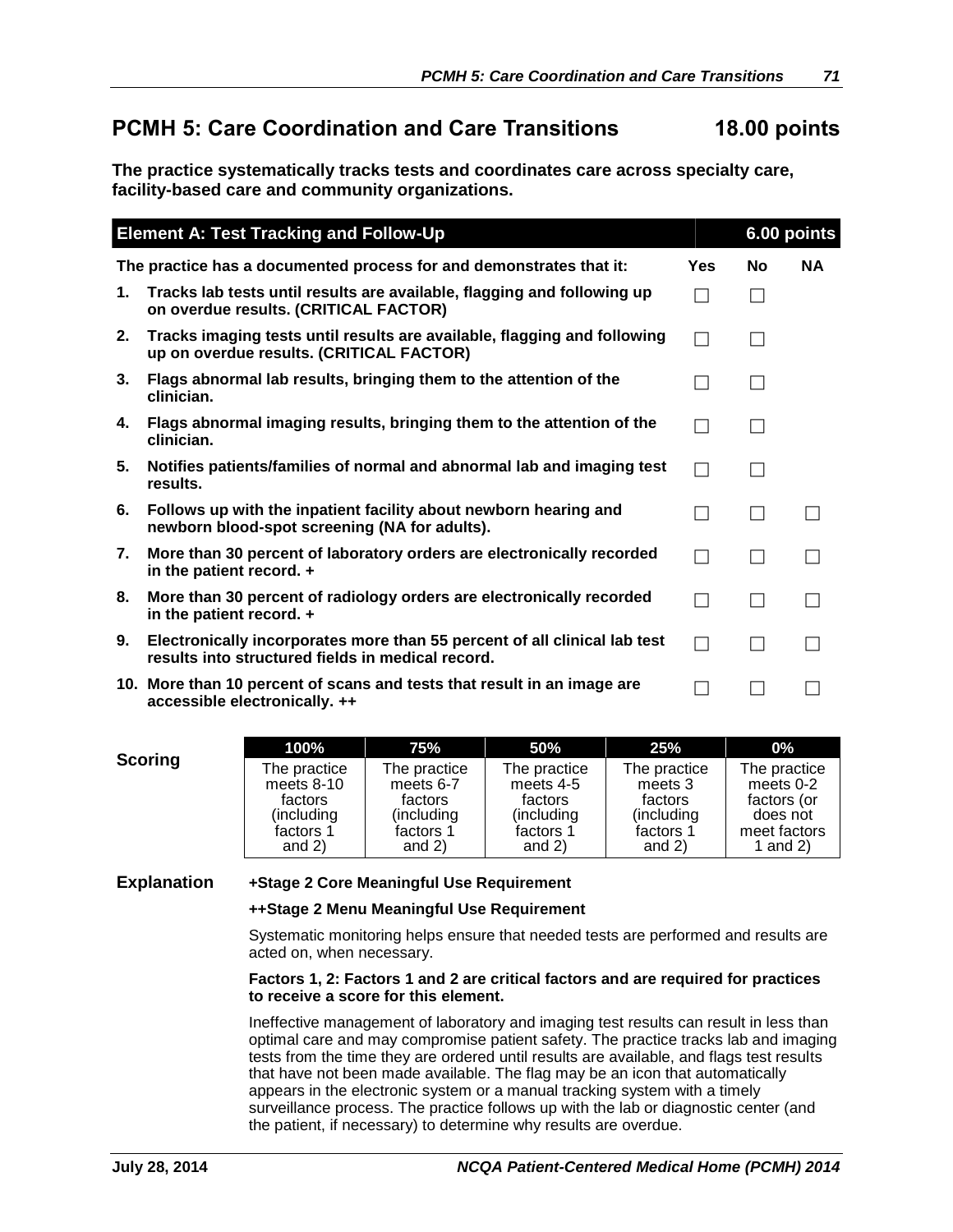# **PCMH 5: Care Coordination and Care Transitions 18.00 points**

**The practice systematically tracks tests and coordinates care across specialty care, facility-based care and community organizations.**

|    | <b>Element A: Test Tracking and Follow-Up</b>                                                                                  |              | 6.00 points |           |
|----|--------------------------------------------------------------------------------------------------------------------------------|--------------|-------------|-----------|
|    | The practice has a documented process for and demonstrates that it:                                                            | <b>Yes</b>   | No          | <b>NA</b> |
| 1. | Tracks lab tests until results are available, flagging and following up<br>on overdue results. (CRITICAL FACTOR)               | $\Box$       |             |           |
| 2. | Tracks imaging tests until results are available, flagging and following<br>up on overdue results. (CRITICAL FACTOR)           | П            |             |           |
| 3. | Flags abnormal lab results, bringing them to the attention of the<br>clinician.                                                |              |             |           |
| 4. | Flags abnormal imaging results, bringing them to the attention of the<br>clinician.                                            |              |             |           |
| 5. | Notifies patients/families of normal and abnormal lab and imaging test<br>results.                                             | $\mathsf{L}$ |             |           |
| 6. | Follows up with the inpatient facility about newborn hearing and<br>newborn blood-spot screening (NA for adults).              | $\mathsf{L}$ |             |           |
| 7. | More than 30 percent of laboratory orders are electronically recorded<br>in the patient record. +                              | $\Box$       |             |           |
| 8. | More than 30 percent of radiology orders are electronically recorded<br>in the patient record. +                               | П            |             |           |
| 9. | Electronically incorporates more than 55 percent of all clinical lab test<br>results into structured fields in medical record. | П            |             |           |
|    | 10. More than 10 percent of scans and tests that result in an image are<br>accessible electronically. ++                       |              |             |           |
|    |                                                                                                                                |              |             |           |

|         | 100%         | 75%          | 50%          | 25%          | $0\%$        |
|---------|--------------|--------------|--------------|--------------|--------------|
| Scoring | The practice | The practice | The practice | The practice | The practice |
|         | meets $8-10$ | meets 6-7    | meets 4-5    | meets 3      | meets 0-2    |
|         | factors      | factors      | factors      | factors      | factors (or  |
|         | (including   | (including   | (including)  | (includina   | does not     |
|         | factors 1    | factors 1    | factors 1    | factors 1    | meet factors |
|         | and $2)$     | and $2)$     | and $2)$     | and $2)$     | 1 and 2)     |

### **Explanation +Stage 2 Core Meaningful Use Requirement**

#### **++Stage 2 Menu Meaningful Use Requirement**

Systematic monitoring helps ensure that needed tests are performed and results are acted on, when necessary.

#### **Factors 1, 2: Factors 1 and 2 are critical factors and are required for practices to receive a score for this element.**

Ineffective management of laboratory and imaging test results can result in less than optimal care and may compromise patient safety. The practice tracks lab and imaging tests from the time they are ordered until results are available, and flags test results that have not been made available. The flag may be an icon that automatically appears in the electronic system or a manual tracking system with a timely surveillance process. The practice follows up with the lab or diagnostic center (and the patient, if necessary) to determine why results are overdue.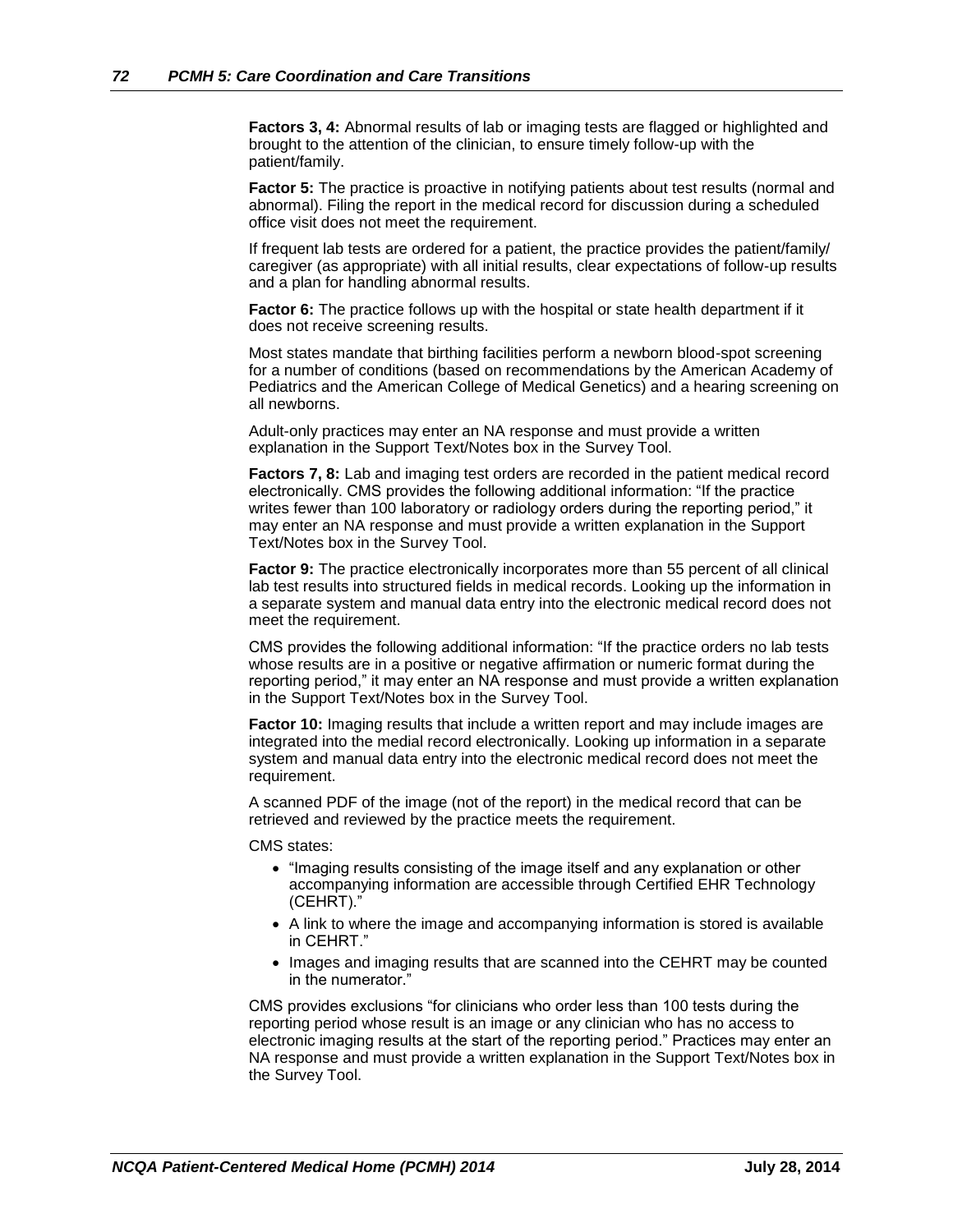**Factors 3, 4:** Abnormal results of lab or imaging tests are flagged or highlighted and brought to the attention of the clinician, to ensure timely follow-up with the patient/family.

**Factor 5:** The practice is proactive in notifying patients about test results (normal and abnormal). Filing the report in the medical record for discussion during a scheduled office visit does not meet the requirement.

If frequent lab tests are ordered for a patient, the practice provides the patient/family/ caregiver (as appropriate) with all initial results, clear expectations of follow-up results and a plan for handling abnormal results.

**Factor 6:** The practice follows up with the hospital or state health department if it does not receive screening results.

Most states mandate that birthing facilities perform a newborn blood-spot screening for a number of conditions (based on recommendations by the American Academy of Pediatrics and the American College of Medical Genetics) and a hearing screening on all newborns.

Adult-only practices may enter an NA response and must provide a written explanation in the Support Text/Notes box in the Survey Tool.

**Factors 7, 8:** Lab and imaging test orders are recorded in the patient medical record electronically. CMS provides the following additional information: "If the practice writes fewer than 100 laboratory or radiology orders during the reporting period," it may enter an NA response and must provide a written explanation in the Support Text/Notes box in the Survey Tool.

**Factor 9:** The practice electronically incorporates more than 55 percent of all clinical lab test results into structured fields in medical records. Looking up the information in a separate system and manual data entry into the electronic medical record does not meet the requirement.

CMS provides the following additional information: "If the practice orders no lab tests whose results are in a positive or negative affirmation or numeric format during the reporting period," it may enter an NA response and must provide a written explanation in the Support Text/Notes box in the Survey Tool.

**Factor 10:** Imaging results that include a written report and may include images are integrated into the medial record electronically. Looking up information in a separate system and manual data entry into the electronic medical record does not meet the requirement.

A scanned PDF of the image (not of the report) in the medical record that can be retrieved and reviewed by the practice meets the requirement.

CMS states:

- "Imaging results consisting of the image itself and any explanation or other accompanying information are accessible through Certified EHR Technology (CEHRT)."
- A link to where the image and accompanying information is stored is available in CEHRT."
- Images and imaging results that are scanned into the CEHRT may be counted in the numerator."

CMS provides exclusions "for clinicians who order less than 100 tests during the reporting period whose result is an image or any clinician who has no access to electronic imaging results at the start of the reporting period." Practices may enter an NA response and must provide a written explanation in the Support Text/Notes box in the Survey Tool.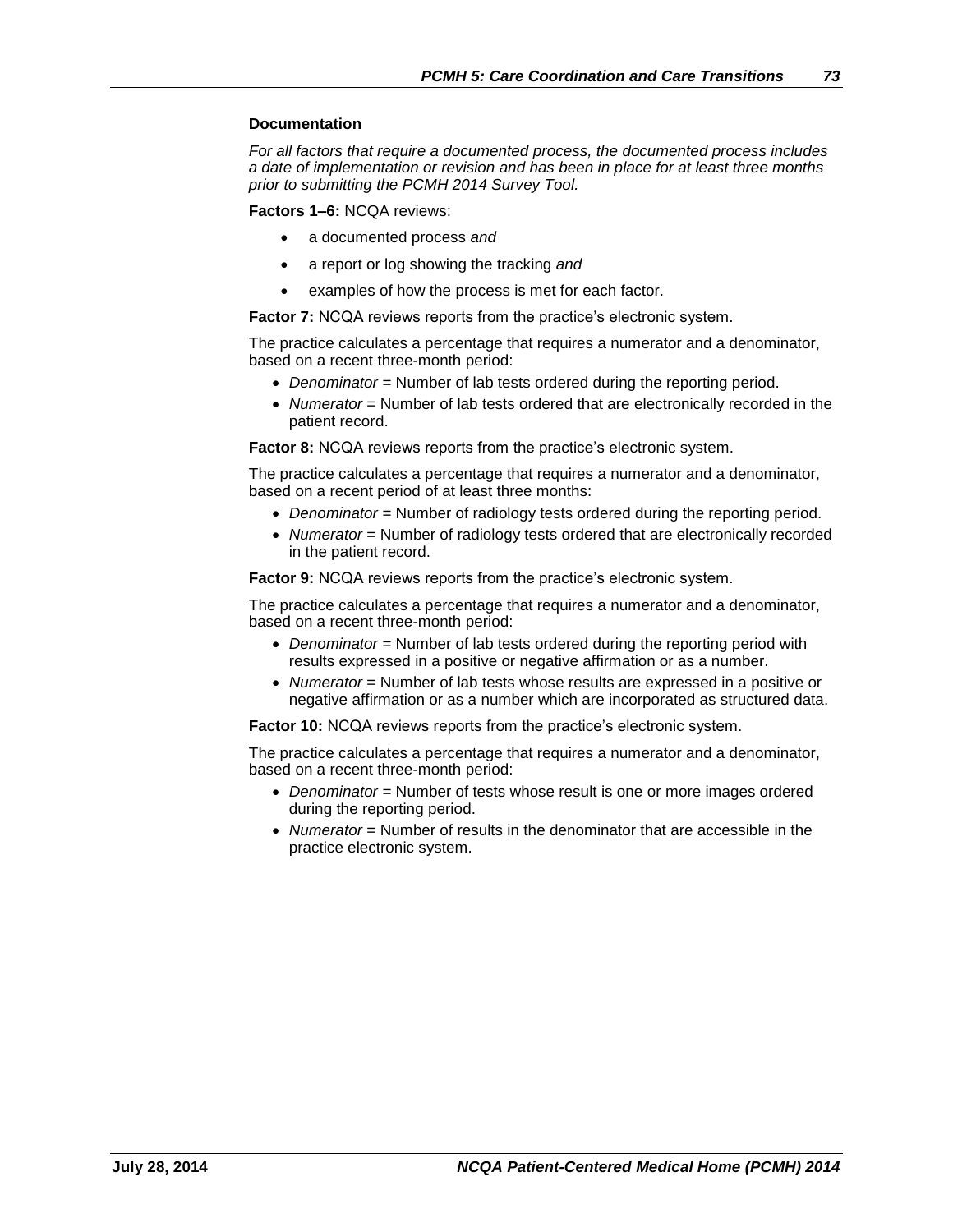### **Documentation**

*For all factors that require a documented process, the documented process includes a date of implementation or revision and has been in place for at least three months prior to submitting the PCMH 2014 Survey Tool.*

**Factors 1–6:** NCQA reviews:

- a documented process *and*
- a report or log showing the tracking *and*
- examples of how the process is met for each factor.

**Factor 7:** NCQA reviews reports from the practice's electronic system.

The practice calculates a percentage that requires a numerator and a denominator, based on a recent three-month period:

- *Denominator* = Number of lab tests ordered during the reporting period.
- Numerator = Number of lab tests ordered that are electronically recorded in the patient record.

**Factor 8:** NCQA reviews reports from the practice's electronic system.

The practice calculates a percentage that requires a numerator and a denominator, based on a recent period of at least three months:

- *Denominator* = Number of radiology tests ordered during the reporting period.
- Numerator = Number of radiology tests ordered that are electronically recorded in the patient record.

**Factor 9:** NCQA reviews reports from the practice's electronic system.

The practice calculates a percentage that requires a numerator and a denominator, based on a recent three-month period:

- *Denominator* = Number of lab tests ordered during the reporting period with results expressed in a positive or negative affirmation or as a number.
- *Numerator* = Number of lab tests whose results are expressed in a positive or negative affirmation or as a number which are incorporated as structured data.

**Factor 10:** NCQA reviews reports from the practice's electronic system.

The practice calculates a percentage that requires a numerator and a denominator, based on a recent three-month period:

- *Denominator* = Number of tests whose result is one or more images ordered during the reporting period.
- *Numerator* = Number of results in the denominator that are accessible in the practice electronic system.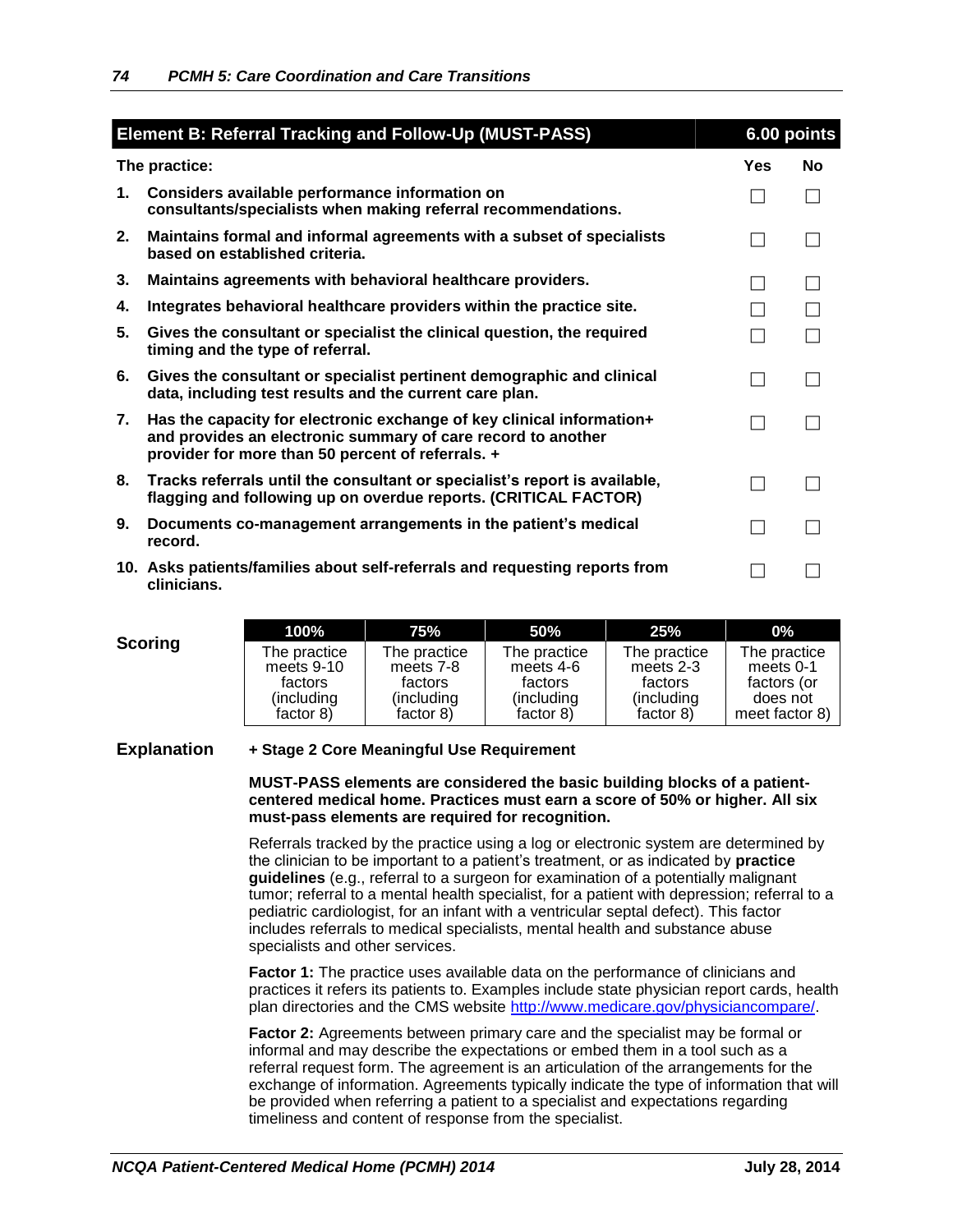|    | Element B: Referral Tracking and Follow-Up (MUST-PASS)                                                                                                                                     | 6.00 points     |    |
|----|--------------------------------------------------------------------------------------------------------------------------------------------------------------------------------------------|-----------------|----|
|    | The practice:                                                                                                                                                                              | Yes             | No |
| 1. | Considers available performance information on<br>consultants/specialists when making referral recommendations.                                                                            |                 |    |
| 2. | Maintains formal and informal agreements with a subset of specialists<br>based on established criteria.                                                                                    | <b>Contract</b> |    |
| 3. | Maintains agreements with behavioral healthcare providers.                                                                                                                                 |                 |    |
| 4. | Integrates behavioral healthcare providers within the practice site.                                                                                                                       |                 |    |
| 5. | Gives the consultant or specialist the clinical question, the required<br>timing and the type of referral.                                                                                 |                 |    |
| 6. | Gives the consultant or specialist pertinent demographic and clinical<br>data, including test results and the current care plan.                                                           |                 |    |
| 7. | Has the capacity for electronic exchange of key clinical information+<br>and provides an electronic summary of care record to another<br>provider for more than 50 percent of referrals. + |                 |    |
| 8. | Tracks referrals until the consultant or specialist's report is available,<br>flagging and following up on overdue reports. (CRITICAL FACTOR)                                              |                 |    |
| 9. | Documents co-management arrangements in the patient's medical<br>record.                                                                                                                   |                 |    |
|    | 10. Asks patients/families about self-referrals and requesting reports from<br>clinicians.                                                                                                 |                 |    |

|         | 100%         | 75%          | 50%          | 25%          | $0\%$          |
|---------|--------------|--------------|--------------|--------------|----------------|
| Scoring | The practice | The practice | The practice | The practice | The practice   |
|         | meets 9-10   | meets 7-8    | meets 4-6    | meets 2-3    | meets 0-1      |
|         | factors      | factors      | factors      | factors      | factors (or    |
|         | (including)  | (including   | (including)  | (including)  | does not       |
|         | factor 8)    | factor 8)    | factor 8)    | factor 8)    | meet factor 8) |

### **Explanation + Stage 2 Core Meaningful Use Requirement**

**MUST-PASS elements are considered the basic building blocks of a patientcentered medical home. Practices must earn a score of 50% or higher. All six must-pass elements are required for recognition.**

Referrals tracked by the practice using a log or electronic system are determined by the clinician to be important to a patient's treatment, or as indicated by **practice guidelines** (e.g., referral to a surgeon for examination of a potentially malignant tumor; referral to a mental health specialist, for a patient with depression; referral to a pediatric cardiologist, for an infant with a ventricular septal defect). This factor includes referrals to medical specialists, mental health and substance abuse specialists and other services.

**Factor 1:** The practice uses available data on the performance of clinicians and practices it refers its patients to. Examples include state physician report cards, health plan directories and the CMS website [http://www.medicare.gov/physiciancompare/.](http://www.medicare.gov/physiciancompare/)

**Factor 2:** Agreements between primary care and the specialist may be formal or informal and may describe the expectations or embed them in a tool such as a referral request form. The agreement is an articulation of the arrangements for the exchange of information. Agreements typically indicate the type of information that will be provided when referring a patient to a specialist and expectations regarding timeliness and content of response from the specialist.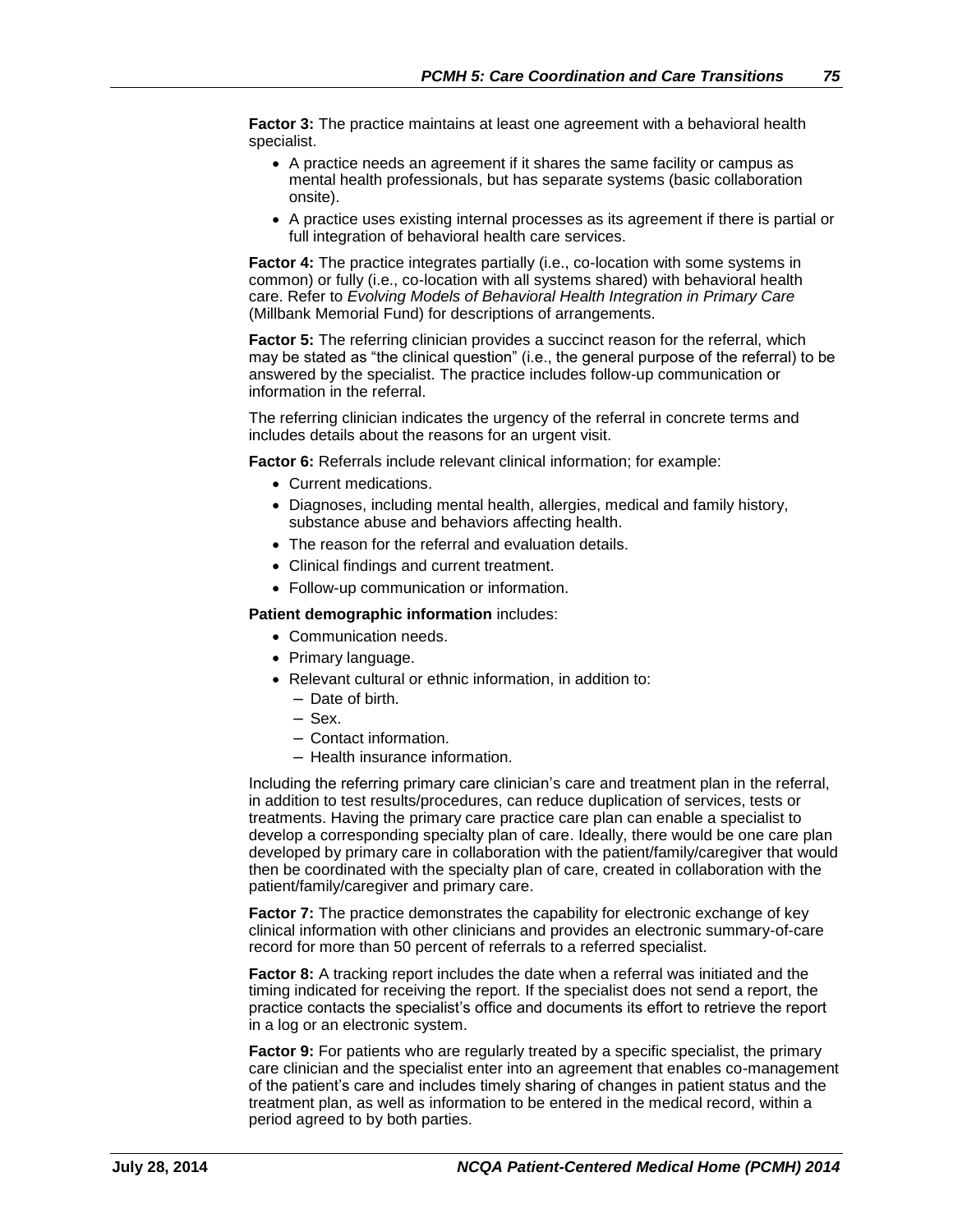**Factor 3:** The practice maintains at least one agreement with a behavioral health specialist.

- A practice needs an agreement if it shares the same facility or campus as mental health professionals, but has separate systems (basic collaboration onsite).
- A practice uses existing internal processes as its agreement if there is partial or full integration of behavioral health care services.

**Factor 4:** The practice integrates partially (i.e., co-location with some systems in common) or fully (i.e., co-location with all systems shared) with behavioral health care. Refer to *Evolving Models of Behavioral Health Integration in Primary Care* (Millbank Memorial Fund) for descriptions of arrangements.

**Factor 5:** The referring clinician provides a succinct reason for the referral, which may be stated as "the clinical question" (i.e., the general purpose of the referral) to be answered by the specialist. The practice includes follow-up communication or information in the referral.

The referring clinician indicates the urgency of the referral in concrete terms and includes details about the reasons for an urgent visit.

**Factor 6:** Referrals include relevant clinical information; for example:

- Current medications.
- Diagnoses, including mental health, allergies, medical and family history, substance abuse and behaviors affecting health.
- The reason for the referral and evaluation details.
- Clinical findings and current treatment.
- Follow-up communication or information.

**Patient demographic information** includes:

- Communication needs.
- Primary language.
- Relevant cultural or ethnic information, in addition to:
	- Date of birth.
	- Sex.
	- Contact information.
	- Health insurance information.

Including the referring primary care clinician's care and treatment plan in the referral, in addition to test results/procedures, can reduce duplication of services, tests or treatments. Having the primary care practice care plan can enable a specialist to develop a corresponding specialty plan of care. Ideally, there would be one care plan developed by primary care in collaboration with the patient/family/caregiver that would then be coordinated with the specialty plan of care, created in collaboration with the patient/family/caregiver and primary care.

**Factor 7:** The practice demonstrates the capability for electronic exchange of key clinical information with other clinicians and provides an electronic summary-of-care record for more than 50 percent of referrals to a referred specialist.

**Factor 8:** A tracking report includes the date when a referral was initiated and the timing indicated for receiving the report. If the specialist does not send a report, the practice contacts the specialist's office and documents its effort to retrieve the report in a log or an electronic system.

**Factor 9:** For patients who are regularly treated by a specific specialist, the primary care clinician and the specialist enter into an agreement that enables co-management of the patient's care and includes timely sharing of changes in patient status and the treatment plan, as well as information to be entered in the medical record, within a period agreed to by both parties.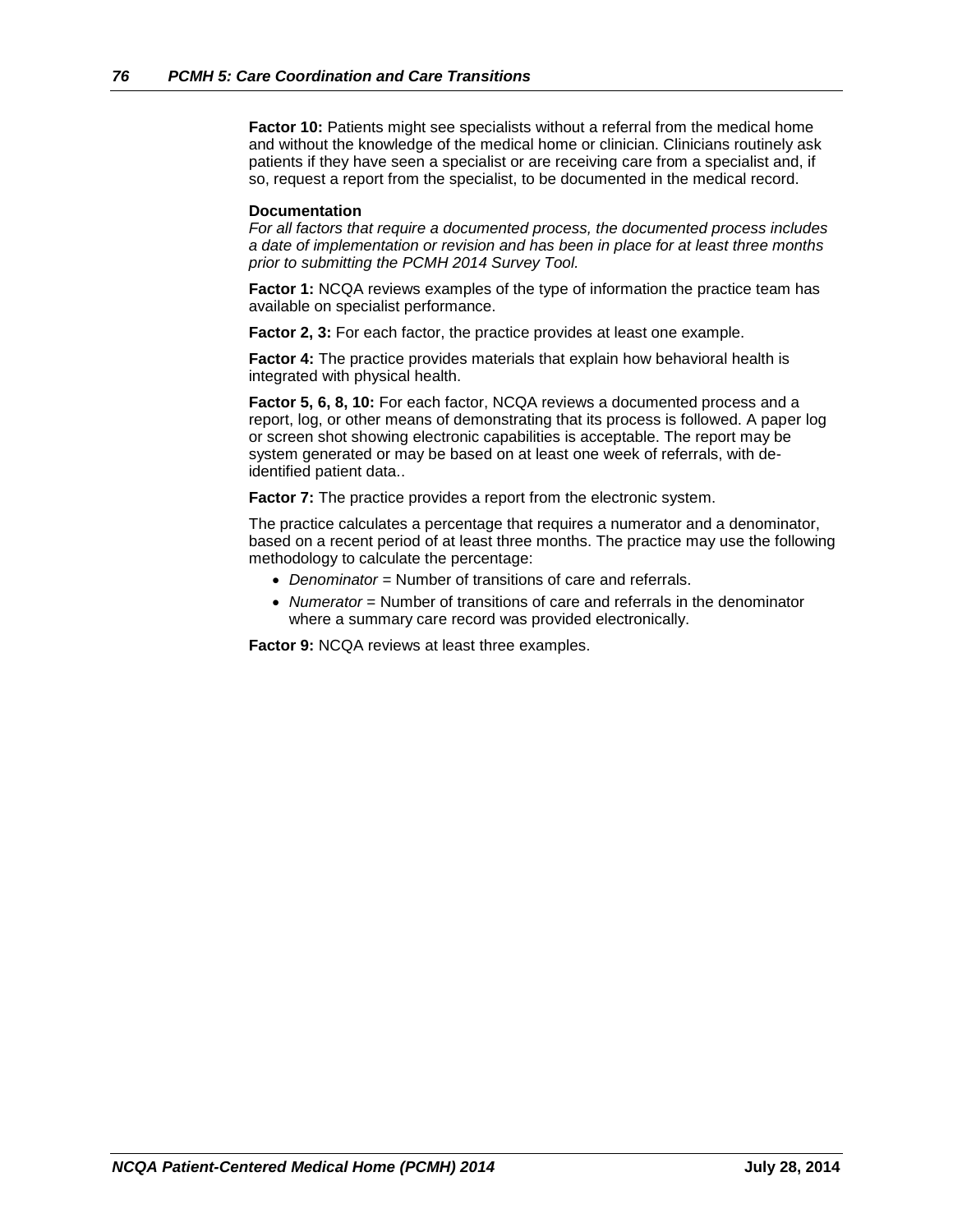**Factor 10:** Patients might see specialists without a referral from the medical home and without the knowledge of the medical home or clinician. Clinicians routinely ask patients if they have seen a specialist or are receiving care from a specialist and, if so, request a report from the specialist, to be documented in the medical record.

#### **Documentation**

*For all factors that require a documented process, the documented process includes a date of implementation or revision and has been in place for at least three months prior to submitting the PCMH 2014 Survey Tool.*

**Factor 1:** NCQA reviews examples of the type of information the practice team has available on specialist performance.

**Factor 2, 3:** For each factor, the practice provides at least one example.

**Factor 4:** The practice provides materials that explain how behavioral health is integrated with physical health.

**Factor 5, 6, 8, 10:** For each factor, NCQA reviews a documented process and a report, log, or other means of demonstrating that its process is followed. A paper log or screen shot showing electronic capabilities is acceptable. The report may be system generated or may be based on at least one week of referrals, with deidentified patient data..

**Factor 7:** The practice provides a report from the electronic system.

The practice calculates a percentage that requires a numerator and a denominator, based on a recent period of at least three months. The practice may use the following methodology to calculate the percentage:

- *Denominator* = Number of transitions of care and referrals.
- *Numerator* = Number of transitions of care and referrals in the denominator where a summary care record was provided electronically.

**Factor 9:** NCQA reviews at least three examples.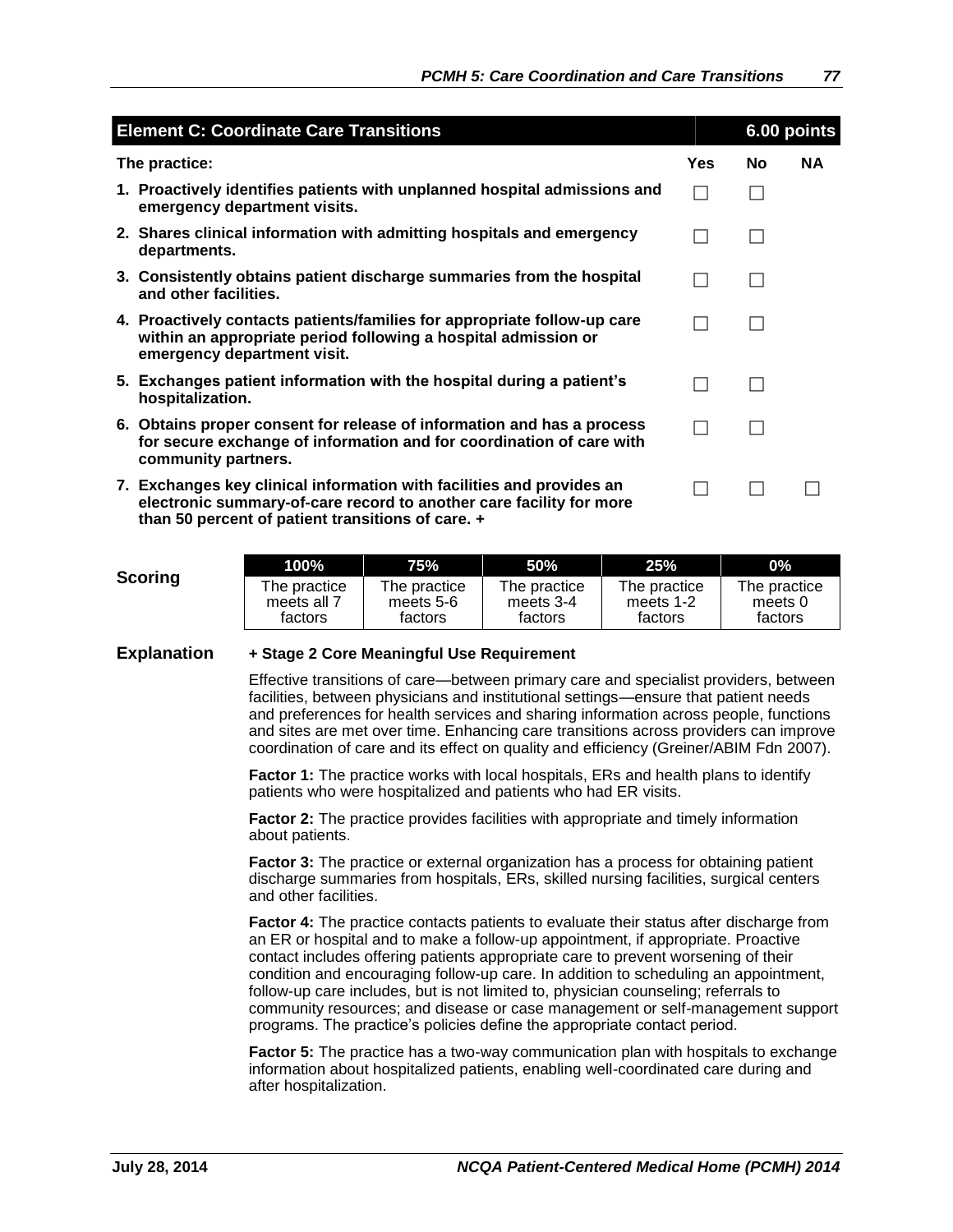| <b>Element C: Coordinate Care Transitions</b>                                                                                                                                                     |            | 6.00 points |           |
|---------------------------------------------------------------------------------------------------------------------------------------------------------------------------------------------------|------------|-------------|-----------|
| The practice:                                                                                                                                                                                     | <b>Yes</b> | <b>No</b>   | <b>NA</b> |
| 1. Proactively identifies patients with unplanned hospital admissions and<br>emergency department visits.                                                                                         |            |             |           |
| 2. Shares clinical information with admitting hospitals and emergency<br>departments.                                                                                                             |            |             |           |
| 3. Consistently obtains patient discharge summaries from the hospital<br>and other facilities.                                                                                                    |            |             |           |
| 4. Proactively contacts patients/families for appropriate follow-up care<br>within an appropriate period following a hospital admission or<br>emergency department visit.                         |            |             |           |
| 5. Exchanges patient information with the hospital during a patient's<br>hospitalization.                                                                                                         |            |             |           |
| 6. Obtains proper consent for release of information and has a process<br>for secure exchange of information and for coordination of care with<br>community partners.                             |            |             |           |
| 7. Exchanges key clinical information with facilities and provides an<br>electronic summary-of-care record to another care facility for more<br>than 50 percent of patient transitions of care. + |            |             |           |

|         | 100%         | 75%          | 50%          | 25%          | $0\%$        |
|---------|--------------|--------------|--------------|--------------|--------------|
| Scoring | The practice | The practice | The practice | The practice | The practice |
|         | meets all 7  | meets 5-6    | meets 3-4    | meets 1-2    | meets 0      |
|         | factors      | factors      | factors      | factors      | factors      |

#### **Explanation + Stage 2 Core Meaningful Use Requirement**

Effective transitions of care—between primary care and specialist providers, between facilities, between physicians and institutional settings—ensure that patient needs and preferences for health services and sharing information across people, functions and sites are met over time. Enhancing care transitions across providers can improve coordination of care and its effect on quality and efficiency (Greiner/ABIM Fdn 2007).

**Factor 1:** The practice works with local hospitals, ERs and health plans to identify patients who were hospitalized and patients who had ER visits.

**Factor 2:** The practice provides facilities with appropriate and timely information about patients.

**Factor 3:** The practice or external organization has a process for obtaining patient discharge summaries from hospitals, ERs, skilled nursing facilities, surgical centers and other facilities.

**Factor 4:** The practice contacts patients to evaluate their status after discharge from an ER or hospital and to make a follow-up appointment, if appropriate. Proactive contact includes offering patients appropriate care to prevent worsening of their condition and encouraging follow-up care. In addition to scheduling an appointment, follow-up care includes, but is not limited to, physician counseling; referrals to community resources; and disease or case management or self-management support programs. The practice's policies define the appropriate contact period.

**Factor 5:** The practice has a two-way communication plan with hospitals to exchange information about hospitalized patients, enabling well-coordinated care during and after hospitalization.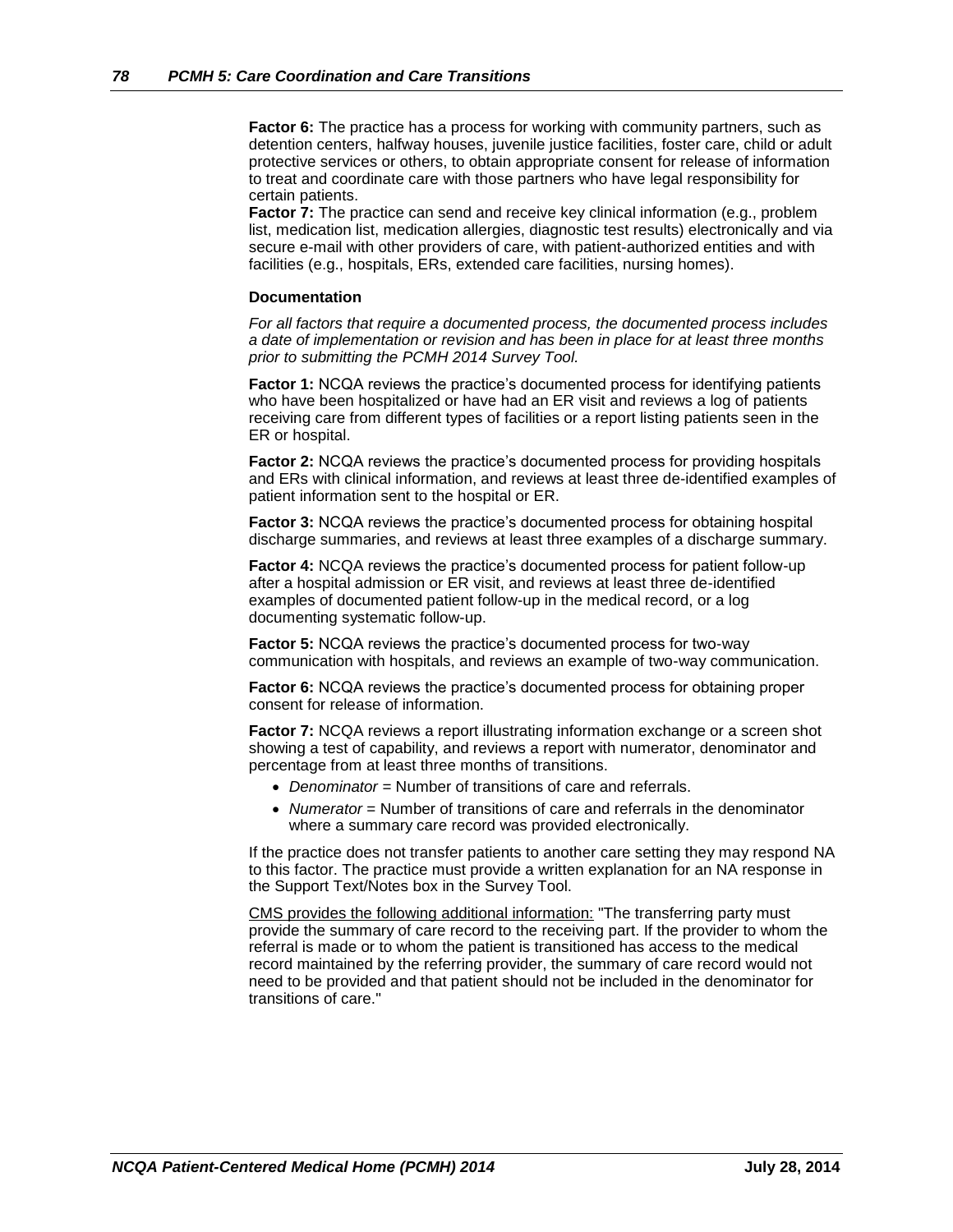**Factor 6:** The practice has a process for working with community partners, such as detention centers, halfway houses, juvenile justice facilities, foster care, child or adult protective services or others, to obtain appropriate consent for release of information to treat and coordinate care with those partners who have legal responsibility for certain patients.

**Factor 7:** The practice can send and receive key clinical information (e.g., problem list, medication list, medication allergies, diagnostic test results) electronically and via secure e-mail with other providers of care, with patient-authorized entities and with facilities (e.g., hospitals, ERs, extended care facilities, nursing homes).

#### **Documentation**

*For all factors that require a documented process, the documented process includes a date of implementation or revision and has been in place for at least three months prior to submitting the PCMH 2014 Survey Tool.*

**Factor 1:** NCQA reviews the practice's documented process for identifying patients who have been hospitalized or have had an ER visit and reviews a log of patients receiving care from different types of facilities or a report listing patients seen in the ER or hospital.

**Factor 2:** NCQA reviews the practice's documented process for providing hospitals and ERs with clinical information, and reviews at least three de-identified examples of patient information sent to the hospital or ER.

**Factor 3:** NCQA reviews the practice's documented process for obtaining hospital discharge summaries, and reviews at least three examples of a discharge summary.

**Factor 4:** NCQA reviews the practice's documented process for patient follow-up after a hospital admission or ER visit, and reviews at least three de-identified examples of documented patient follow-up in the medical record, or a log documenting systematic follow-up.

**Factor 5:** NCQA reviews the practice's documented process for two-way communication with hospitals, and reviews an example of two-way communication.

**Factor 6:** NCQA reviews the practice's documented process for obtaining proper consent for release of information.

**Factor 7:** NCQA reviews a report illustrating information exchange or a screen shot showing a test of capability, and reviews a report with numerator, denominator and percentage from at least three months of transitions.

- *Denominator* = Number of transitions of care and referrals.
- *Numerator* = Number of transitions of care and referrals in the denominator where a summary care record was provided electronically.

If the practice does not transfer patients to another care setting they may respond NA to this factor. The practice must provide a written explanation for an NA response in the Support Text/Notes box in the Survey Tool.

CMS provides the following additional information: "The transferring party must provide the summary of care record to the receiving part. If the provider to whom the referral is made or to whom the patient is transitioned has access to the medical record maintained by the referring provider, the summary of care record would not need to be provided and that patient should not be included in the denominator for transitions of care."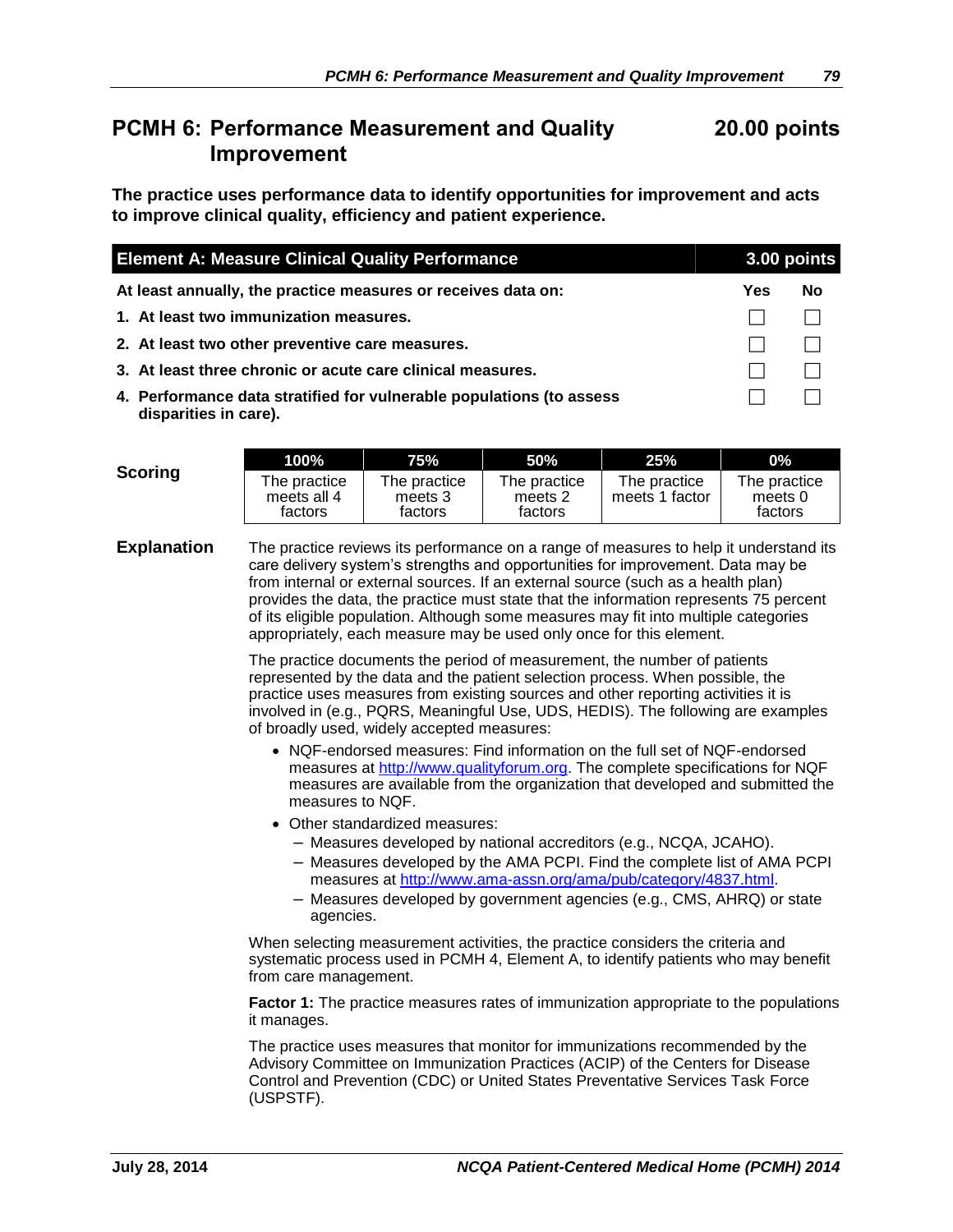# **PCMH 6: Performance Measurement and Quality Improvement**

# **The practice uses performance data to identify opportunities for improvement and acts to improve clinical quality, efficiency and patient experience.**

| <b>Element A: Measure Clinical Quality Performance</b>                                        |     | 3.00 points |  |
|-----------------------------------------------------------------------------------------------|-----|-------------|--|
| At least annually, the practice measures or receives data on:                                 | Yes | No          |  |
| 1. At least two immunization measures.                                                        |     |             |  |
| 2. At least two other preventive care measures.                                               |     |             |  |
| 3. At least three chronic or acute care clinical measures.                                    |     |             |  |
| 4. Performance data stratified for vulnerable populations (to assess<br>disparities in care). |     |             |  |

|         | 100%                                   | 75%                                | <b>50%</b>                         | 25%                            | $0\%$                              |
|---------|----------------------------------------|------------------------------------|------------------------------------|--------------------------------|------------------------------------|
| Scoring | The practice<br>meets all 4<br>factors | The practice<br>meets 3<br>factors | The practice<br>meets 2<br>factors | The practice<br>meets 1 factor | The practice<br>meets 0<br>factors |

**Explanation** The practice reviews its performance on a range of measures to help it understand its care delivery system's strengths and opportunities for improvement. Data may be from internal or external sources. If an external source (such as a health plan) provides the data, the practice must state that the information represents 75 percent of its eligible population. Although some measures may fit into multiple categories appropriately, each measure may be used only once for this element.

> The practice documents the period of measurement, the number of patients represented by the data and the patient selection process. When possible, the practice uses measures from existing sources and other reporting activities it is involved in (e.g., PQRS, Meaningful Use, UDS, HEDIS). The following are examples of broadly used, widely accepted measures:

- NQF-endorsed measures: Find information on the full set of NQF-endorsed measures at [http://www.qualityforum.org.](http://www.qualityforum.org/) The complete specifications for NQF measures are available from the organization that developed and submitted the measures to NQF.
- Other standardized measures:
	- Measures developed by national accreditors (e.g., NCQA, JCAHO).
	- Measures developed by the AMA PCPI. Find the complete list of AMA PCPI measures at [http://www.ama-assn.org/ama/pub/category/4837.html.](http://www.ama-assn.org/ama/pub/category/4837.html)
	- Measures developed by government agencies (e.g., CMS, AHRQ) or state agencies.

When selecting measurement activities, the practice considers the criteria and systematic process used in PCMH 4, Element A, to identify patients who may benefit from care management.

**Factor 1:** The practice measures rates of immunization appropriate to the populations it manages.

The practice uses measures that monitor for immunizations recommended by the Advisory Committee on Immunization Practices (ACIP) of the Centers for Disease Control and Prevention (CDC) or United States Preventative Services Task Force (USPSTF).

# **20.00 points**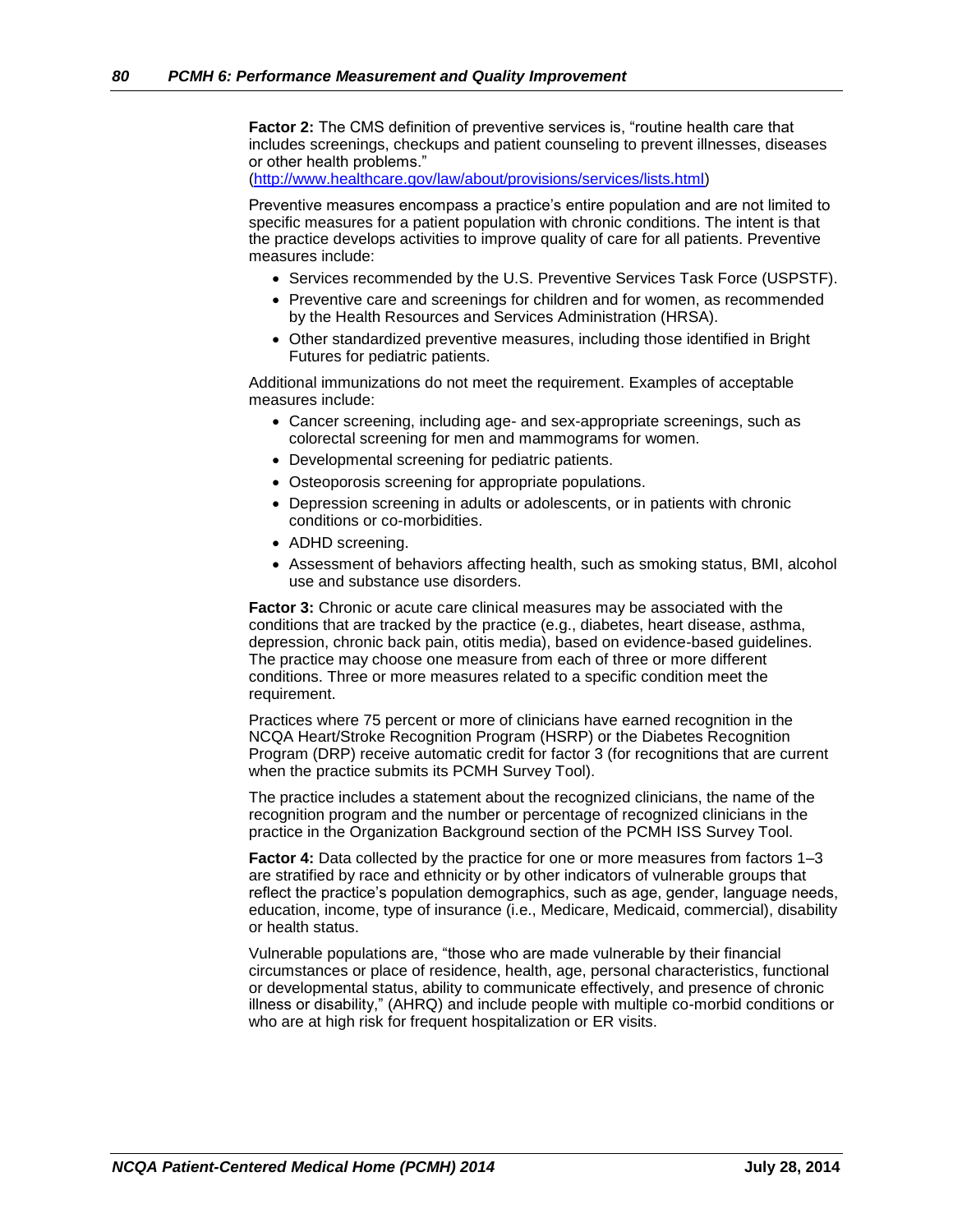**Factor 2:** The CMS definition of preventive services is, "routine health care that includes screenings, checkups and patient counseling to prevent illnesses, diseases or other health problems."

[\(http://www.healthcare.gov/law/about/provisions/services/lists.html\)](http://www.healthcare.gov/law/about/provisions/services/lists.html)

Preventive measures encompass a practice's entire population and are not limited to specific measures for a patient population with chronic conditions. The intent is that the practice develops activities to improve quality of care for all patients. Preventive measures include:

- Services recommended by the U.S. Preventive Services Task Force (USPSTF).
- Preventive care and screenings for children and for women, as recommended by the Health Resources and Services Administration (HRSA).
- Other standardized preventive measures, including those identified in Bright Futures for pediatric patients.

Additional immunizations do not meet the requirement. Examples of acceptable measures include:

- Cancer screening, including age- and sex-appropriate screenings, such as colorectal screening for men and mammograms for women.
- Developmental screening for pediatric patients.
- Osteoporosis screening for appropriate populations.
- Depression screening in adults or adolescents, or in patients with chronic conditions or co-morbidities.
- ADHD screening.
- Assessment of behaviors affecting health, such as smoking status, BMI, alcohol use and substance use disorders.

**Factor 3:** Chronic or acute care clinical measures may be associated with the conditions that are tracked by the practice (e.g., diabetes, heart disease, asthma, depression, chronic back pain, otitis media), based on evidence-based guidelines. The practice may choose one measure from each of three or more different conditions. Three or more measures related to a specific condition meet the requirement.

Practices where 75 percent or more of clinicians have earned recognition in the NCQA Heart/Stroke Recognition Program (HSRP) or the Diabetes Recognition Program (DRP) receive automatic credit for factor 3 (for recognitions that are current when the practice submits its PCMH Survey Tool).

The practice includes a statement about the recognized clinicians, the name of the recognition program and the number or percentage of recognized clinicians in the practice in the Organization Background section of the PCMH ISS Survey Tool.

**Factor 4:** Data collected by the practice for one or more measures from factors 1–3 are stratified by race and ethnicity or by other indicators of vulnerable groups that reflect the practice's population demographics, such as age, gender, language needs, education, income, type of insurance (i.e., Medicare, Medicaid, commercial), disability or health status.

Vulnerable populations are, "those who are made vulnerable by their financial circumstances or place of residence, health, age, personal characteristics, functional or developmental status, ability to communicate effectively, and presence of chronic illness or disability," (AHRQ) and include people with multiple co-morbid conditions or who are at high risk for frequent hospitalization or ER visits.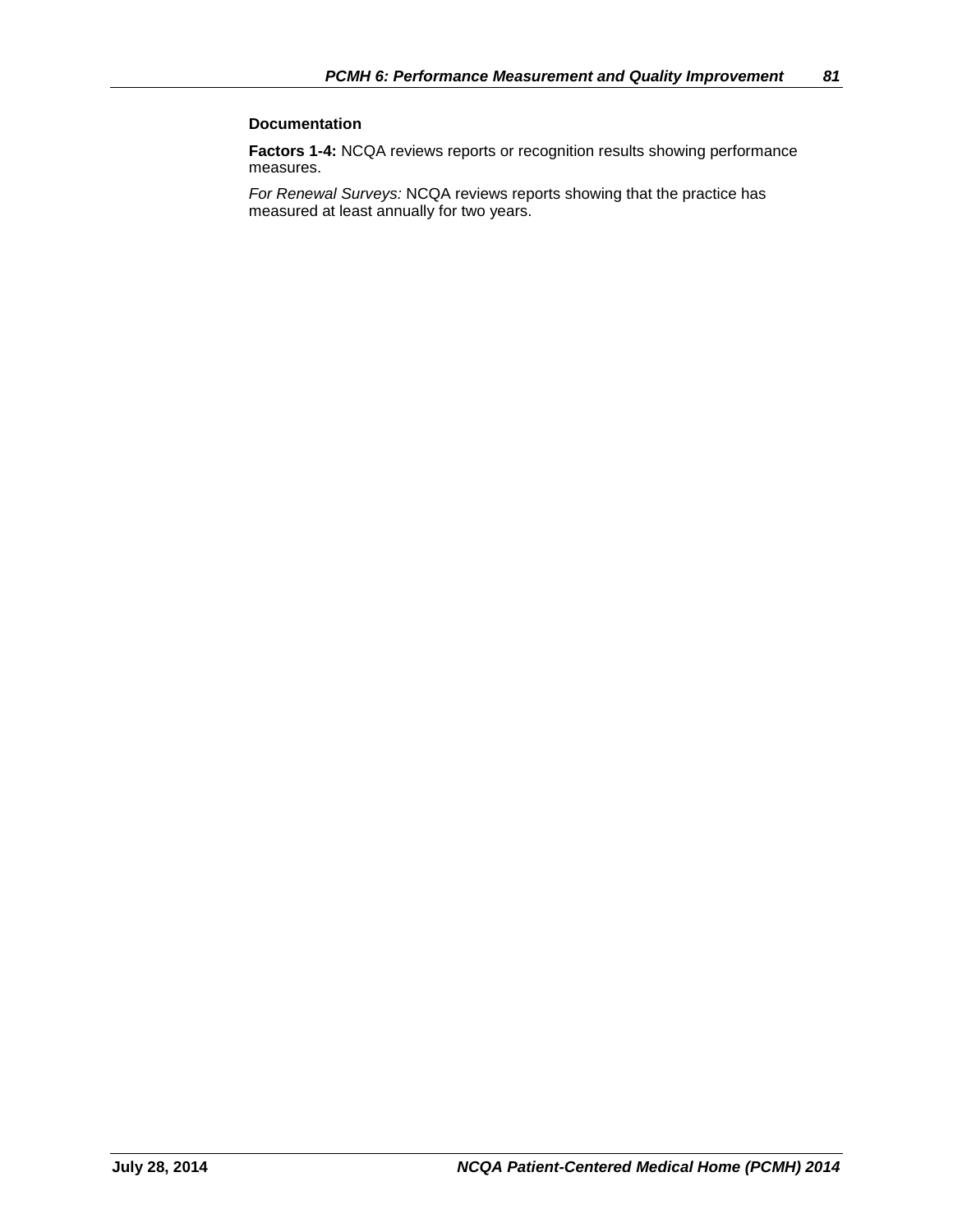### **Documentation**

**Factors 1-4:** NCQA reviews reports or recognition results showing performance measures.

*For Renewal Surveys:* NCQA reviews reports showing that the practice has measured at least annually for two years.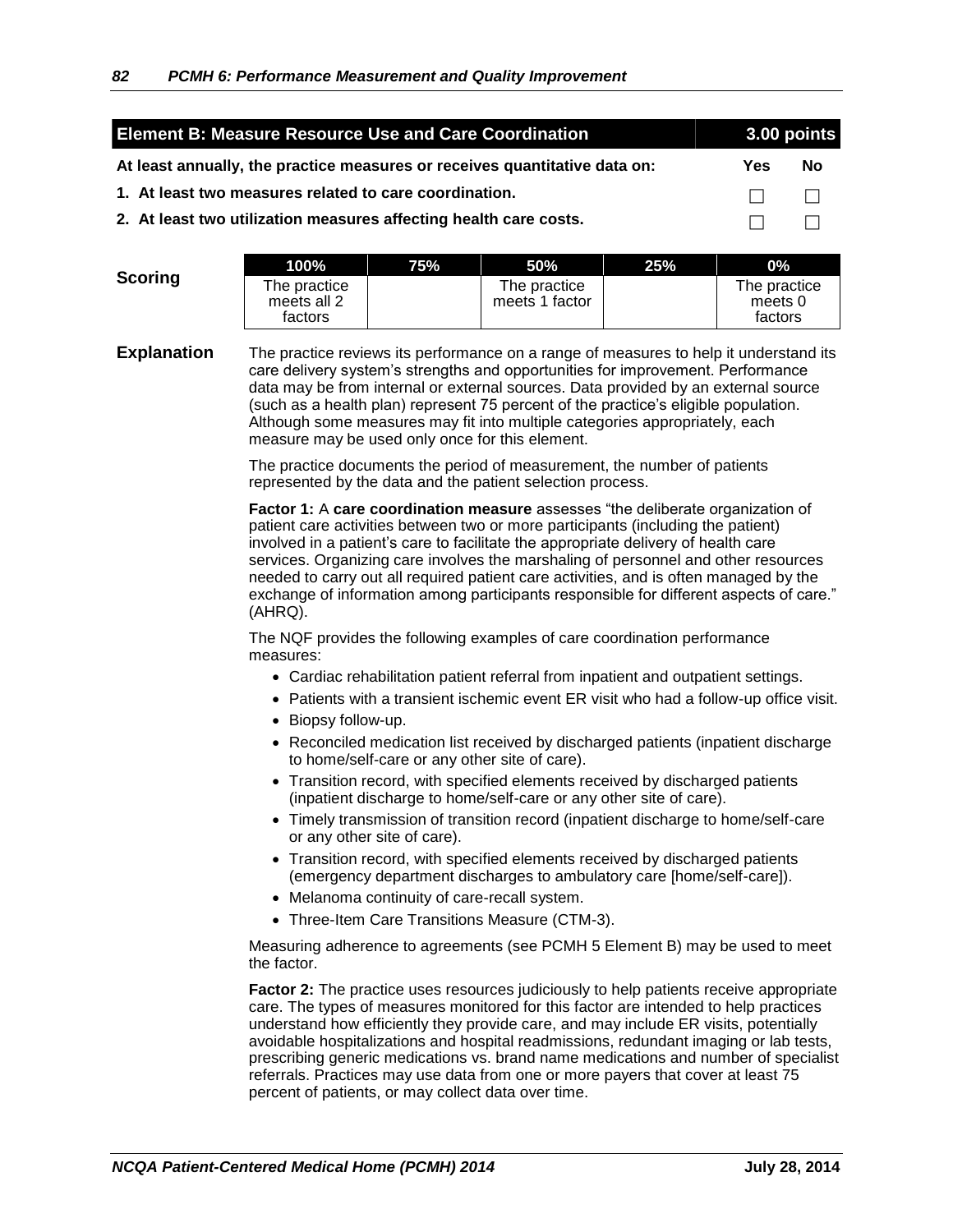| <b>Element B: Measure Resource Use and Care Coordination</b>               |        | 3.00 points |
|----------------------------------------------------------------------------|--------|-------------|
| At least annually, the practice measures or receives quantitative data on: | Yes    | <b>No</b>   |
| 1. At least two measures related to care coordination.                     |        |             |
| 2. At least two utilization measures affecting health care costs.          | $\Box$ | $\perp$     |

|         | $100\%$                                | 75% | 50%                            | 25% | $0\%$                              |
|---------|----------------------------------------|-----|--------------------------------|-----|------------------------------------|
| Scoring | The practice<br>meets all 2<br>factors |     | The practice<br>meets 1 factor |     | The practice<br>meets 0<br>factors |

**Explanation** The practice reviews its performance on a range of measures to help it understand its care delivery system's strengths and opportunities for improvement. Performance data may be from internal or external sources. Data provided by an external source (such as a health plan) represent 75 percent of the practice's eligible population. Although some measures may fit into multiple categories appropriately, each measure may be used only once for this element.

> The practice documents the period of measurement, the number of patients represented by the data and the patient selection process.

**Factor 1:** A **care coordination measure** assesses "the deliberate organization of patient care activities between two or more participants (including the patient) involved in a patient's care to facilitate the appropriate delivery of health care services. Organizing care involves the marshaling of personnel and other resources needed to carry out all required patient care activities, and is often managed by the exchange of information among participants responsible for different aspects of care." (AHRQ).

The NQF provides the following examples of care coordination performance measures:

- Cardiac rehabilitation patient referral from inpatient and outpatient settings.
- Patients with a transient ischemic event ER visit who had a follow-up office visit.
- Biopsy follow-up.
- Reconciled medication list received by discharged patients (inpatient discharge to home/self-care or any other site of care).
- Transition record, with specified elements received by discharged patients (inpatient discharge to home/self-care or any other site of care).
- Timely transmission of transition record (inpatient discharge to home/self-care or any other site of care).
- Transition record, with specified elements received by discharged patients (emergency department discharges to ambulatory care [home/self-care]).
- Melanoma continuity of care-recall system.
- Three-Item Care Transitions Measure (CTM-3).

Measuring adherence to agreements (see PCMH 5 Element B) may be used to meet the factor.

**Factor 2:** The practice uses resources judiciously to help patients receive appropriate care. The types of measures monitored for this factor are intended to help practices understand how efficiently they provide care, and may include ER visits, potentially avoidable hospitalizations and hospital readmissions, redundant imaging or lab tests, prescribing generic medications vs. brand name medications and number of specialist referrals. Practices may use data from one or more payers that cover at least 75 percent of patients, or may collect data over time.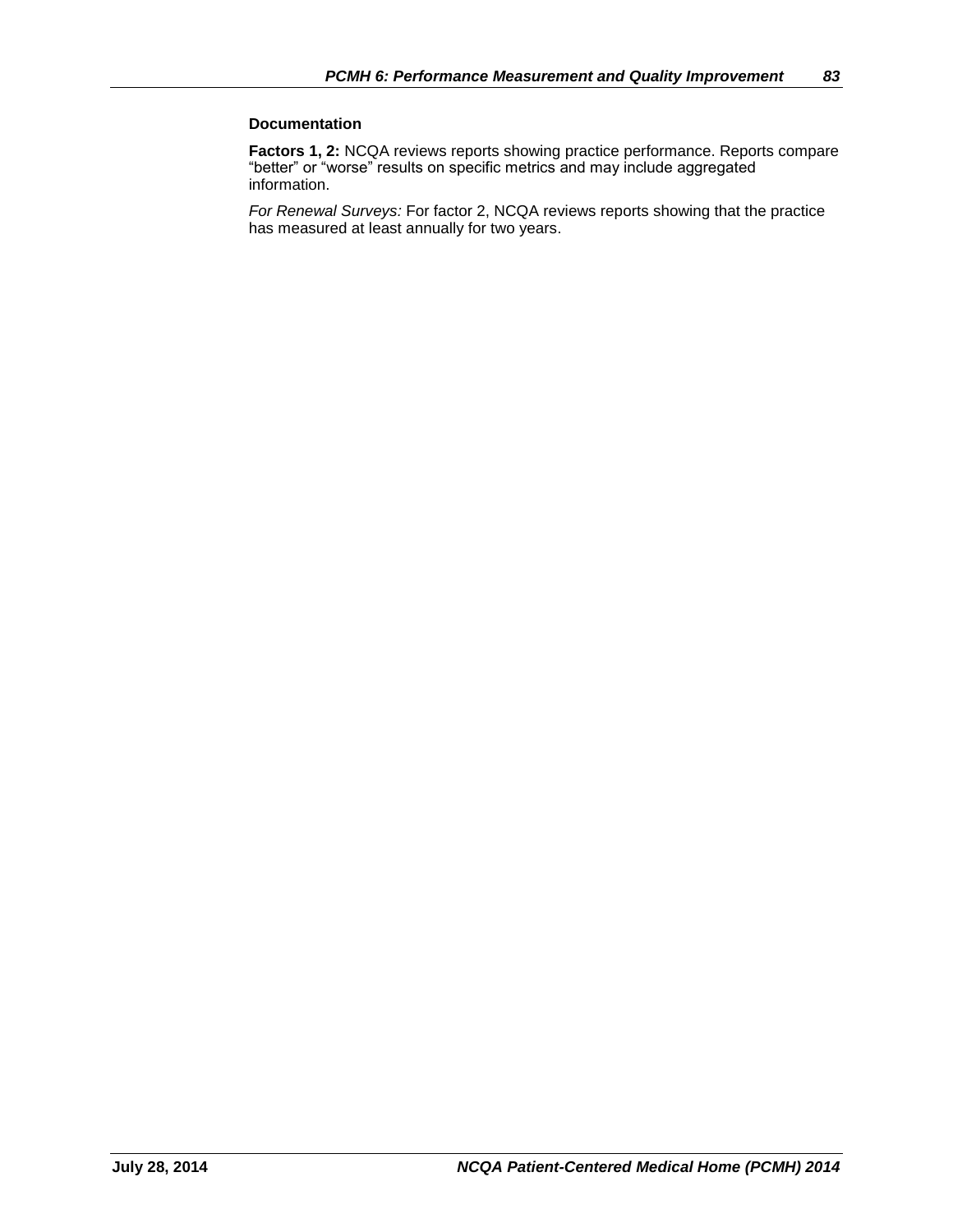#### **Documentation**

**Factors 1, 2:** NCQA reviews reports showing practice performance. Reports compare "better" or "worse" results on specific metrics and may include aggregated information.

*For Renewal Surveys:* For factor 2, NCQA reviews reports showing that the practice has measured at least annually for two years.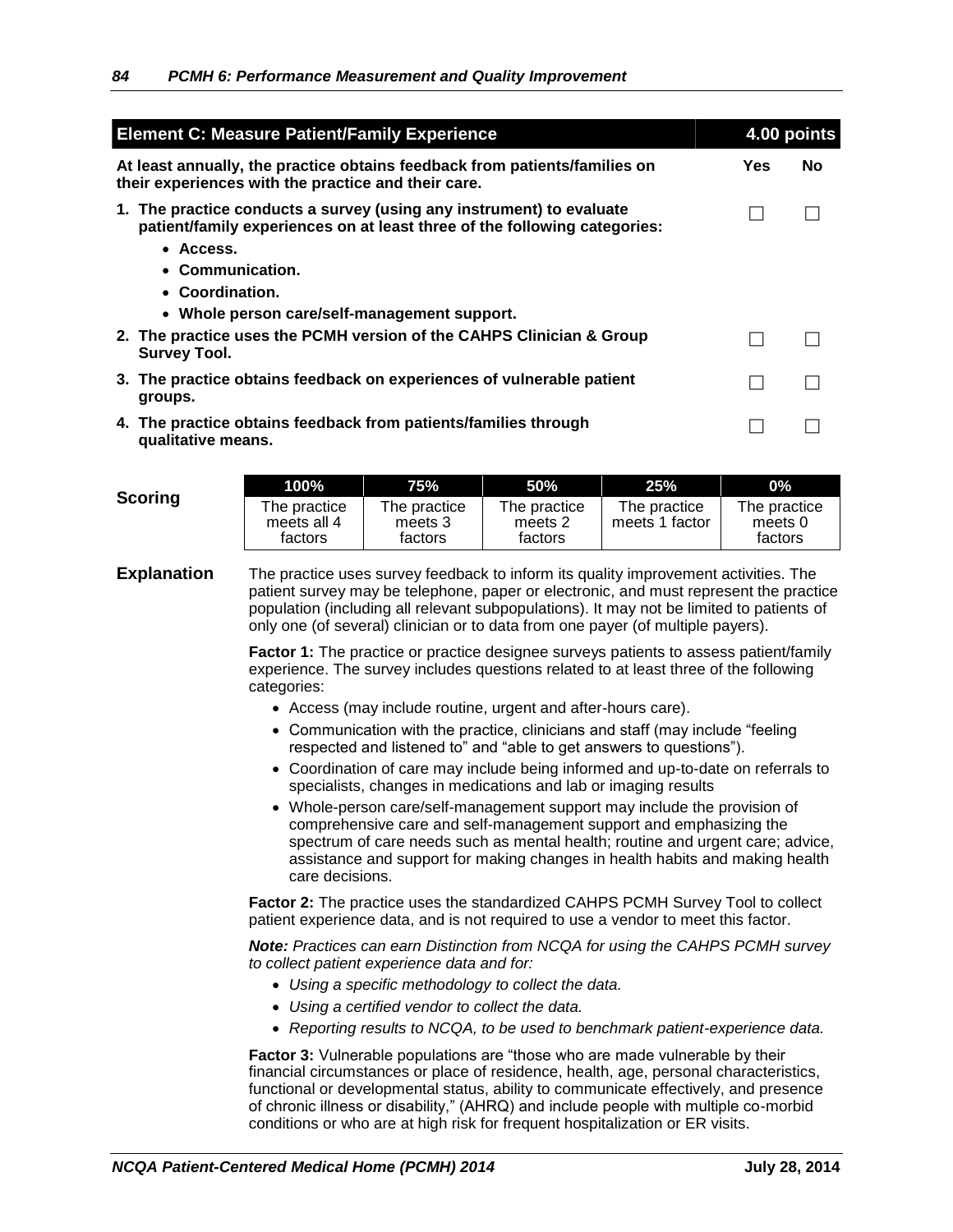| <b>Element C: Measure Patient/Family Experience</b>                                                                                               | $4.00$ points |    |
|---------------------------------------------------------------------------------------------------------------------------------------------------|---------------|----|
| At least annually, the practice obtains feedback from patients/families on<br>their experiences with the practice and their care.                 | Yes           | No |
| 1. The practice conducts a survey (using any instrument) to evaluate<br>patient/family experiences on at least three of the following categories: |               |    |
| • Access.                                                                                                                                         |               |    |
| • Communication.                                                                                                                                  |               |    |
| • Coordination.                                                                                                                                   |               |    |
| • Whole person care/self-management support.                                                                                                      |               |    |
| 2. The practice uses the PCMH version of the CAHPS Clinician & Group<br><b>Survey Tool.</b>                                                       |               |    |
| 3. The practice obtains feedback on experiences of vulnerable patient<br>groups.                                                                  |               |    |
| 4. The practice obtains feedback from patients/families through<br>qualitative means.                                                             |               |    |

|         | 100%                                   | 75%                                | 50%                                | 25%                            | $0\%$                              |
|---------|----------------------------------------|------------------------------------|------------------------------------|--------------------------------|------------------------------------|
| Scoring | The practice<br>meets all 4<br>factors | The practice<br>meets 3<br>factors | The practice<br>meets 2<br>factors | The practice<br>meets 1 factor | The practice<br>meets 0<br>factors |

**Explanation** The practice uses survey feedback to inform its quality improvement activities. The patient survey may be telephone, paper or electronic, and must represent the practice population (including all relevant subpopulations). It may not be limited to patients of only one (of several) clinician or to data from one payer (of multiple payers).

> **Factor 1:** The practice or practice designee surveys patients to assess patient/family experience. The survey includes questions related to at least three of the following categories:

- Access (may include routine, urgent and after-hours care).
- Communication with the practice, clinicians and staff (may include "feeling respected and listened to" and "able to get answers to questions").
- Coordination of care may include being informed and up-to-date on referrals to specialists, changes in medications and lab or imaging results
- Whole-person care/self-management support may include the provision of comprehensive care and self-management support and emphasizing the spectrum of care needs such as mental health; routine and urgent care; advice, assistance and support for making changes in health habits and making health care decisions.

**Factor 2:** The practice uses the standardized CAHPS PCMH Survey Tool to collect patient experience data, and is not required to use a vendor to meet this factor.

*Note: Practices can earn Distinction from NCQA for using the CAHPS PCMH survey to collect patient experience data and for:* 

- *Using a specific methodology to collect the data.*
- *Using a certified vendor to collect the data.*
- *Reporting results to NCQA, to be used to benchmark patient-experience data.*

**Factor 3:** Vulnerable populations are "those who are made vulnerable by their financial circumstances or place of residence, health, age, personal characteristics, functional or developmental status, ability to communicate effectively, and presence of chronic illness or disability," (AHRQ) and include people with multiple co-morbid conditions or who are at high risk for frequent hospitalization or ER visits.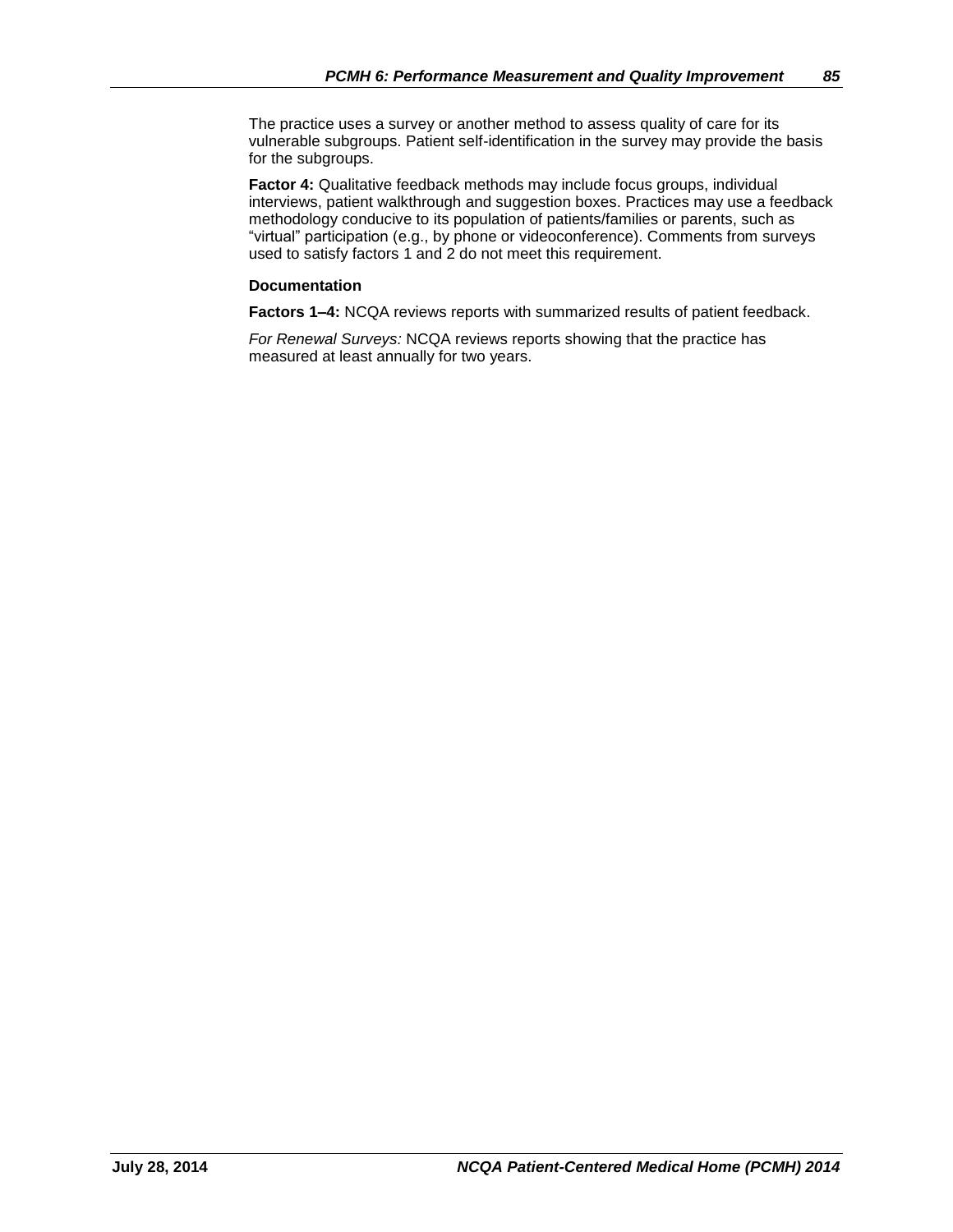The practice uses a survey or another method to assess quality of care for its vulnerable subgroups. Patient self-identification in the survey may provide the basis for the subgroups.

**Factor 4:** Qualitative feedback methods may include focus groups, individual interviews, patient walkthrough and suggestion boxes. Practices may use a feedback methodology conducive to its population of patients/families or parents, such as "virtual" participation (e.g., by phone or videoconference). Comments from surveys used to satisfy factors 1 and 2 do not meet this requirement.

#### **Documentation**

**Factors 1–4:** NCQA reviews reports with summarized results of patient feedback.

*For Renewal Surveys:* NCQA reviews reports showing that the practice has measured at least annually for two years.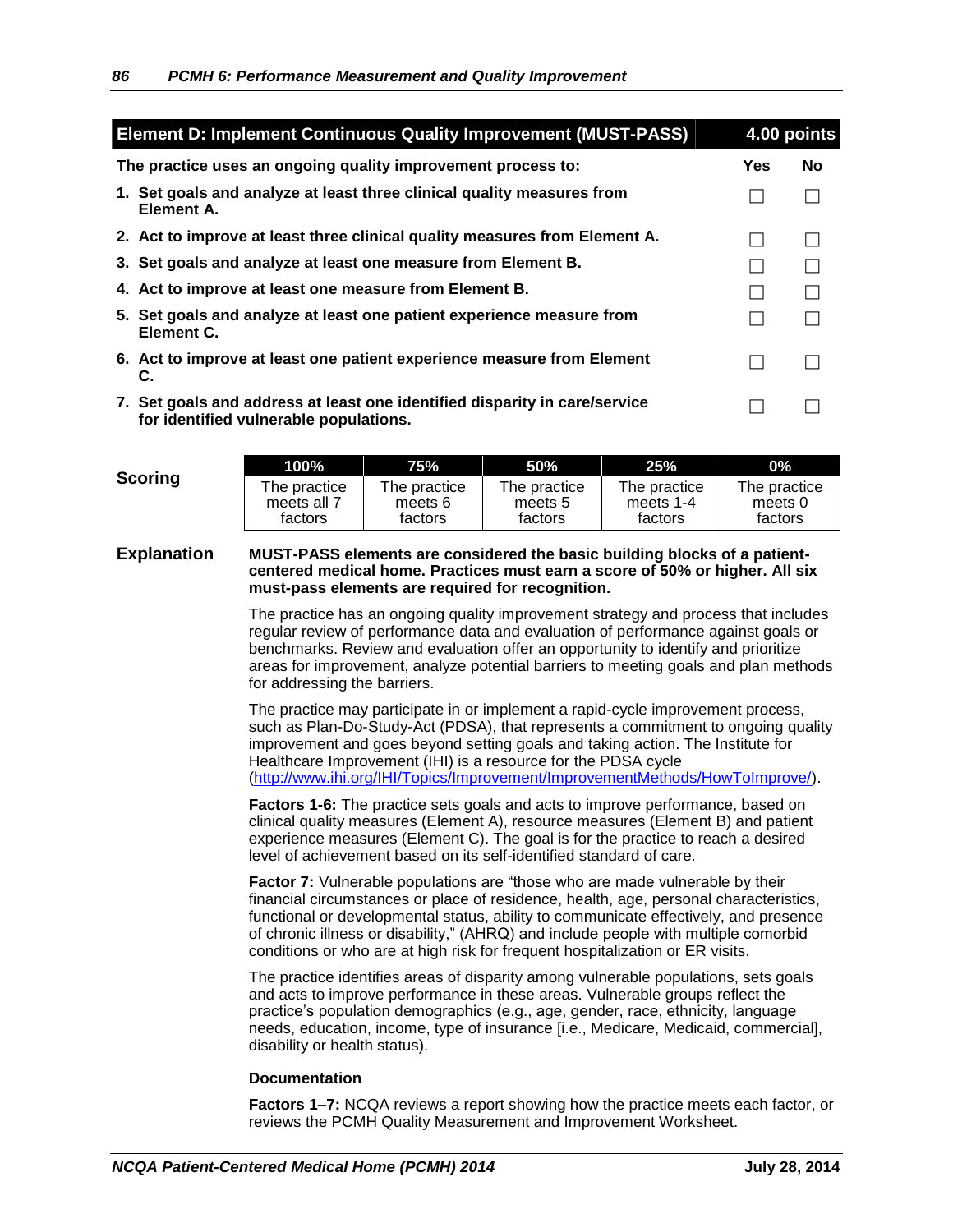| <b>Element D: Implement Continuous Quality Improvement (MUST-PASS)</b>                                               |     | $4.00$ points |
|----------------------------------------------------------------------------------------------------------------------|-----|---------------|
| The practice uses an ongoing quality improvement process to:                                                         | Yes | <b>No</b>     |
| 1. Set goals and analyze at least three clinical quality measures from<br>Element A.                                 |     |               |
| 2. Act to improve at least three clinical quality measures from Element A.                                           |     |               |
| 3. Set goals and analyze at least one measure from Element B.                                                        |     |               |
| 4. Act to improve at least one measure from Element B.                                                               |     |               |
| 5. Set goals and analyze at least one patient experience measure from<br>Element C.                                  |     |               |
| 6. Act to improve at least one patient experience measure from Element<br>С.                                         |     |               |
| 7. Set goals and address at least one identified disparity in care/service<br>for identified vulnerable populations. |     |               |

| <b>Scoring</b> |  |
|----------------|--|
|                |  |
|                |  |

|         | 100%         | 75%          | .50%         | 25%          | $0\%$        |
|---------|--------------|--------------|--------------|--------------|--------------|
| Scoring | The practice | The practice | The practice | The practice | The practice |
|         | meets all 7  | meets 6      | meets 5      | meets 1-4    | meets 0      |
|         | factors      | factors      | factors      | factors      | factors      |

#### **Explanation MUST-PASS elements are considered the basic building blocks of a patientcentered medical home. Practices must earn a score of 50% or higher. All six must-pass elements are required for recognition.**

The practice has an ongoing quality improvement strategy and process that includes regular review of performance data and evaluation of performance against goals or benchmarks. Review and evaluation offer an opportunity to identify and prioritize areas for improvement, analyze potential barriers to meeting goals and plan methods for addressing the barriers.

The practice may participate in or implement a rapid-cycle improvement process, such as Plan-Do-Study-Act (PDSA), that represents a commitment to ongoing quality improvement and goes beyond setting goals and taking action. The Institute for Healthcare Improvement (IHI) is a resource for the PDSA cycle [\(http://www.ihi.org/IHI/Topics/Improvement/ImprovementMethods/HowToImprove/\)](http://www.ihi.org/IHI/Topics/Improvement/ImprovementMethods/HowToImprove/).

**Factors 1-6:** The practice sets goals and acts to improve performance, based on clinical quality measures (Element A), resource measures (Element B) and patient experience measures (Element C). The goal is for the practice to reach a desired level of achievement based on its self-identified standard of care.

**Factor 7:** Vulnerable populations are "those who are made vulnerable by their financial circumstances or place of residence, health, age, personal characteristics, functional or developmental status, ability to communicate effectively, and presence of chronic illness or disability," (AHRQ) and include people with multiple comorbid conditions or who are at high risk for frequent hospitalization or ER visits.

The practice identifies areas of disparity among vulnerable populations, sets goals and acts to improve performance in these areas. Vulnerable groups reflect the practice's population demographics (e.g., age, gender, race, ethnicity, language needs, education, income, type of insurance [i.e., Medicare, Medicaid, commercial], disability or health status).

### **Documentation**

**Factors 1–7:** NCQA reviews a report showing how the practice meets each factor, or reviews the PCMH Quality Measurement and Improvement Worksheet.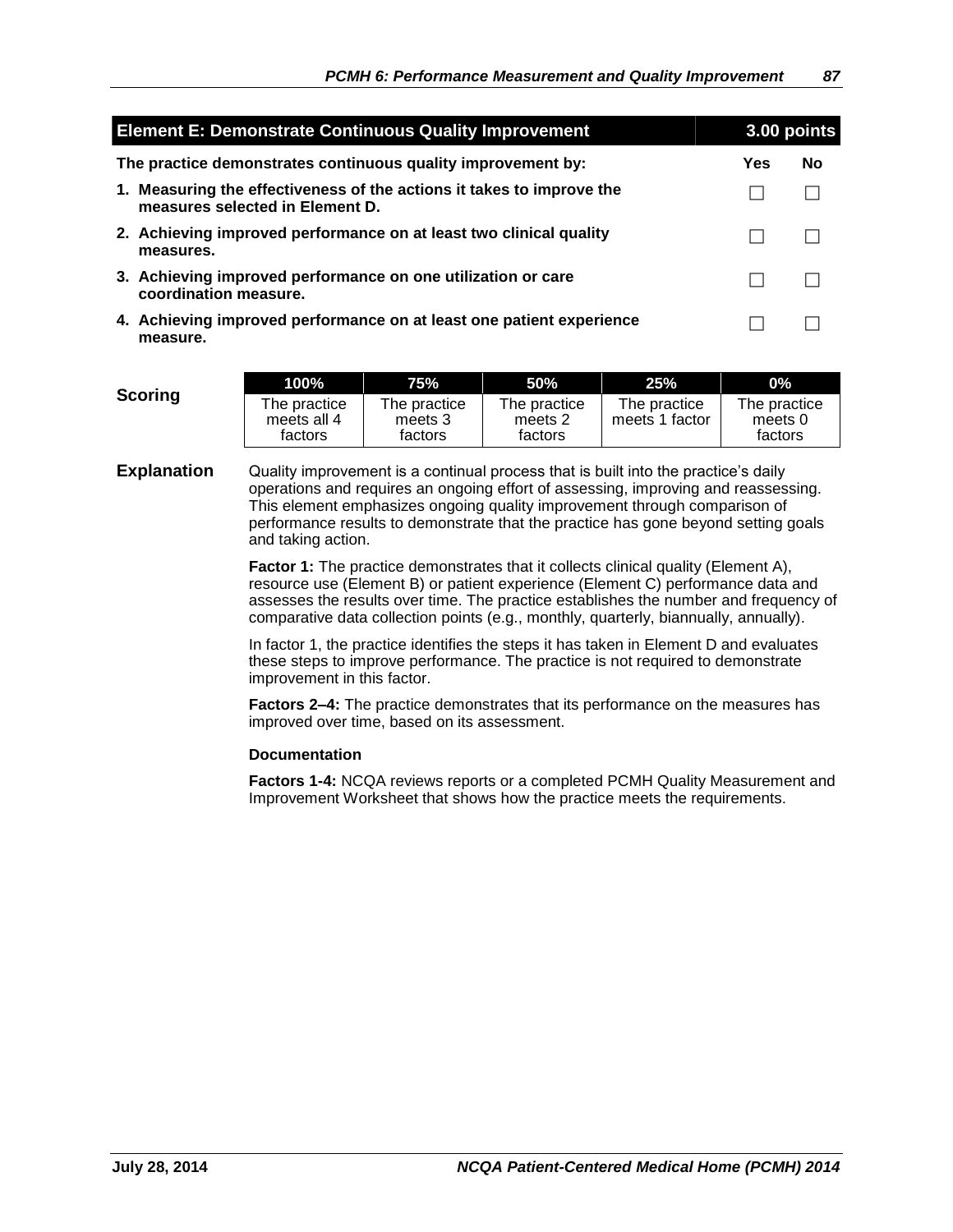| <b>Element E: Demonstrate Continuous Quality Improvement</b>                                             |     |    |
|----------------------------------------------------------------------------------------------------------|-----|----|
| The practice demonstrates continuous quality improvement by:                                             | Yes | No |
| 1. Measuring the effectiveness of the actions it takes to improve the<br>measures selected in Element D. |     |    |
| 2. Achieving improved performance on at least two clinical quality<br>measures.                          |     |    |
| 3. Achieving improved performance on one utilization or care<br>coordination measure.                    |     |    |
| 4. Achieving improved performance on at least one patient experience<br>measure.                         |     |    |

| Scoring | 100% '                                 | 75% i                              | 50%                                | 25%                            | <b>O%</b>                          |
|---------|----------------------------------------|------------------------------------|------------------------------------|--------------------------------|------------------------------------|
|         | The practice<br>meets all 4<br>factors | The practice<br>meets 3<br>factors | The practice<br>meets 2<br>factors | The practice<br>meets 1 factor | The practice<br>meets 0<br>factors |

**Explanation** Quality improvement is a continual process that is built into the practice's daily operations and requires an ongoing effort of assessing, improving and reassessing. This element emphasizes ongoing quality improvement through comparison of performance results to demonstrate that the practice has gone beyond setting goals and taking action.

> **Factor 1:** The practice demonstrates that it collects clinical quality (Element A), resource use (Element B) or patient experience (Element C) performance data and assesses the results over time. The practice establishes the number and frequency of comparative data collection points (e.g., monthly, quarterly, biannually, annually).

In factor 1, the practice identifies the steps it has taken in Element D and evaluates these steps to improve performance. The practice is not required to demonstrate improvement in this factor.

**Factors 2–4:** The practice demonstrates that its performance on the measures has improved over time, based on its assessment.

### **Documentation**

**Factors 1-4:** NCQA reviews reports or a completed PCMH Quality Measurement and Improvement Worksheet that shows how the practice meets the requirements.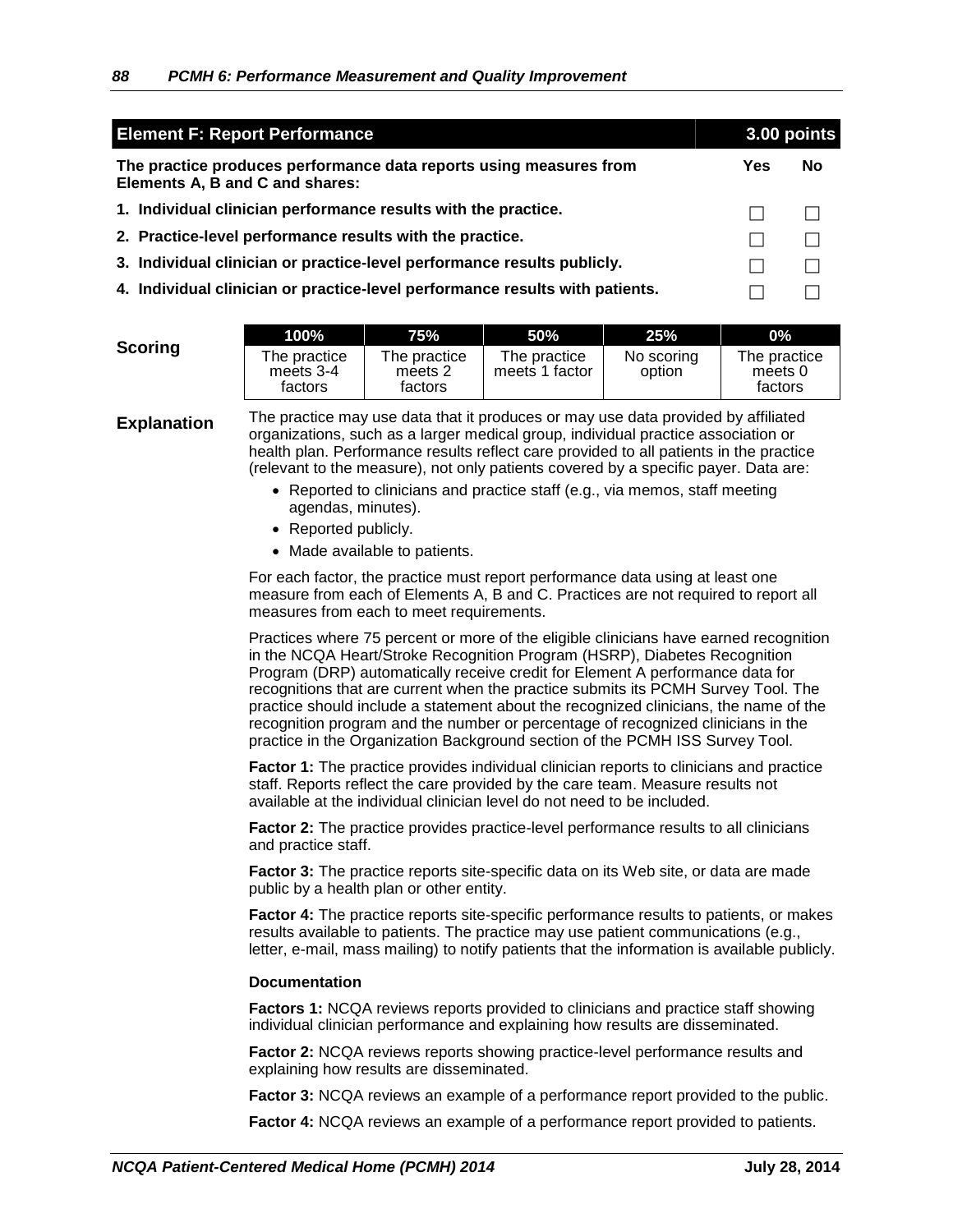| <b>Element F: Report Performance</b>                                                                  |     | 3.00 points |
|-------------------------------------------------------------------------------------------------------|-----|-------------|
| The practice produces performance data reports using measures from<br>Elements A, B and C and shares: | Yes | No          |
| 1. Individual clinician performance results with the practice.                                        |     |             |
| 2. Practice-level performance results with the practice.                                              |     |             |
| 3. Individual clinician or practice-level performance results publicly.                               |     |             |
| 4. Individual clinician or practice-level performance results with patients.                          |     |             |
|                                                                                                       |     |             |

| <b>Scoring</b> |  |  |
|----------------|--|--|
|                |  |  |

| Scoring | $100\%$                              | 75% l                              | 50%                            | 25%                  | $0\%$                              |
|---------|--------------------------------------|------------------------------------|--------------------------------|----------------------|------------------------------------|
|         | The practice<br>meets 3-4<br>factors | The practice<br>meets 2<br>factors | The practice<br>meets 1 factor | No scoring<br>option | The practice<br>meets 0<br>factors |

**Explanation** The practice may use data that it produces or may use data provided by affiliated organizations, such as a larger medical group, individual practice association or health plan. Performance results reflect care provided to all patients in the practice (relevant to the measure), not only patients covered by a specific payer. Data are:

- Reported to clinicians and practice staff (e.g., via memos, staff meeting agendas, minutes).
- Reported publicly.
- Made available to patients.

For each factor, the practice must report performance data using at least one measure from each of Elements A, B and C. Practices are not required to report all measures from each to meet requirements.

Practices where 75 percent or more of the eligible clinicians have earned recognition in the NCQA Heart/Stroke Recognition Program (HSRP), Diabetes Recognition Program (DRP) automatically receive credit for Element A performance data for recognitions that are current when the practice submits its PCMH Survey Tool. The practice should include a statement about the recognized clinicians, the name of the recognition program and the number or percentage of recognized clinicians in the practice in the Organization Background section of the PCMH ISS Survey Tool.

**Factor 1:** The practice provides individual clinician reports to clinicians and practice staff. Reports reflect the care provided by the care team. Measure results not available at the individual clinician level do not need to be included.

**Factor 2:** The practice provides practice-level performance results to all clinicians and practice staff.

**Factor 3:** The practice reports site-specific data on its Web site, or data are made public by a health plan or other entity.

**Factor 4:** The practice reports site-specific performance results to patients, or makes results available to patients. The practice may use patient communications (e.g., letter, e-mail, mass mailing) to notify patients that the information is available publicly.

#### **Documentation**

**Factors 1:** NCQA reviews reports provided to clinicians and practice staff showing individual clinician performance and explaining how results are disseminated.

**Factor 2:** NCQA reviews reports showing practice-level performance results and explaining how results are disseminated.

**Factor 3:** NCQA reviews an example of a performance report provided to the public.

**Factor 4:** NCQA reviews an example of a performance report provided to patients.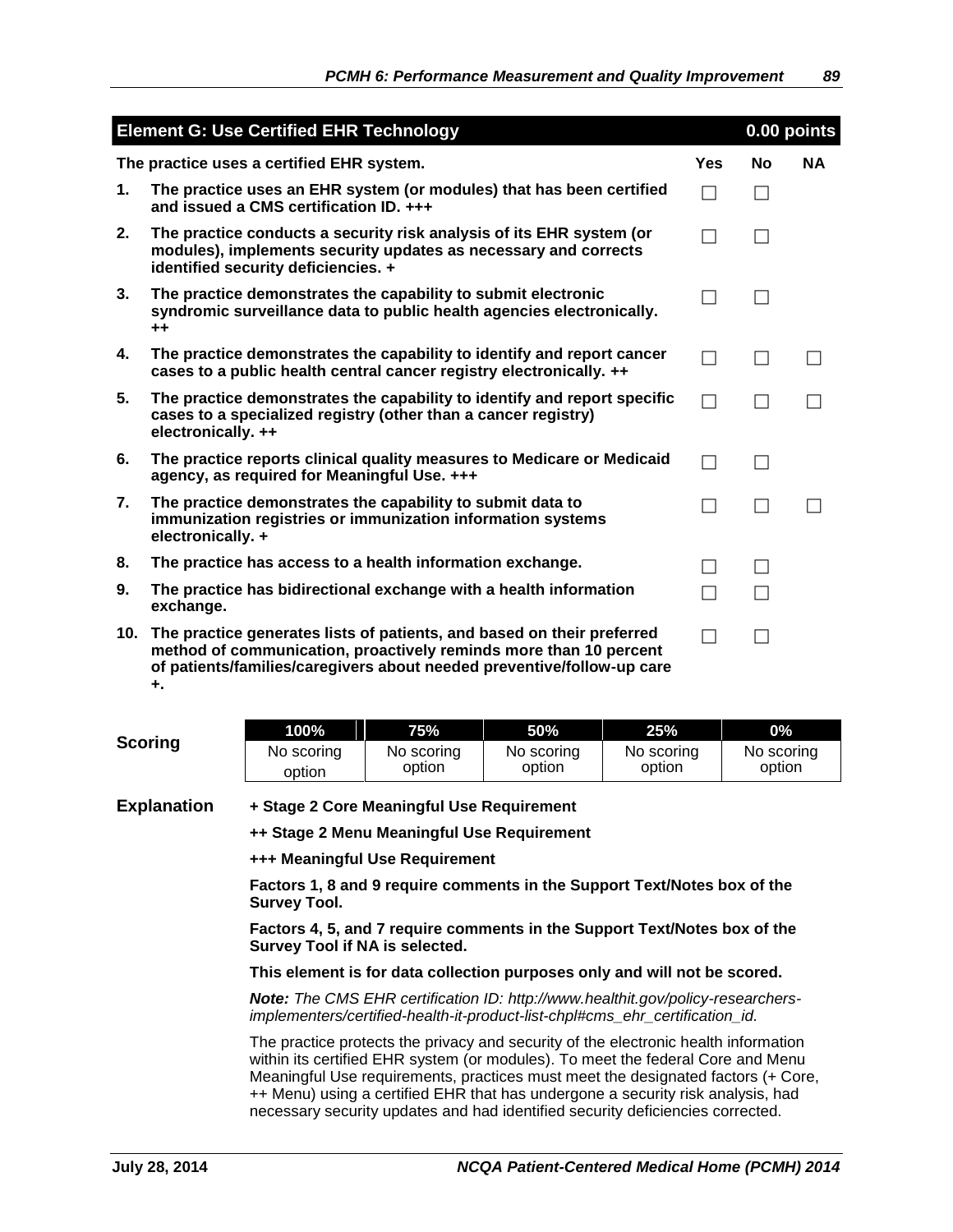|     | <b>Element G: Use Certified EHR Technology</b>                                                                                                                                                                              |              | 0.00 points |           |
|-----|-----------------------------------------------------------------------------------------------------------------------------------------------------------------------------------------------------------------------------|--------------|-------------|-----------|
|     | The practice uses a certified EHR system.                                                                                                                                                                                   | <b>Yes</b>   | No          | <b>NA</b> |
| 1.  | The practice uses an EHR system (or modules) that has been certified<br>and issued a CMS certification ID. +++                                                                                                              | $\mathsf{L}$ |             |           |
| 2.  | The practice conducts a security risk analysis of its EHR system (or<br>modules), implements security updates as necessary and corrects<br>identified security deficiencies. +                                              |              |             |           |
| 3.  | The practice demonstrates the capability to submit electronic<br>syndromic surveillance data to public health agencies electronically.<br>$++$                                                                              |              |             |           |
| 4.  | The practice demonstrates the capability to identify and report cancer<br>cases to a public health central cancer registry electronically. ++                                                                               |              |             |           |
| 5.  | The practice demonstrates the capability to identify and report specific<br>cases to a specialized registry (other than a cancer registry)<br>electronically. ++                                                            | $\Box$       |             |           |
| 6.  | The practice reports clinical quality measures to Medicare or Medicaid<br>agency, as required for Meaningful Use. +++                                                                                                       | $\Box$       |             |           |
| 7.  | The practice demonstrates the capability to submit data to<br>immunization registries or immunization information systems<br>electronically. +                                                                              |              |             |           |
| 8.  | The practice has access to a health information exchange.                                                                                                                                                                   |              |             |           |
| 9.  | The practice has bidirectional exchange with a health information<br>exchange.                                                                                                                                              | $\Box$       |             |           |
| 10. | The practice generates lists of patients, and based on their preferred<br>method of communication, proactively reminds more than 10 percent<br>of patients/families/caregivers about needed preventive/follow-up care<br>÷. | $\Box$       |             |           |

|         | $100\%$    | 75%        | 50%        | 25%        | $ 0\% $    |
|---------|------------|------------|------------|------------|------------|
| Scoring | No scoring | No scoring | No scoring | No scoring | No scoring |
|         | option     | option     | option     | option     | option     |

**Explanation + Stage 2 Core Meaningful Use Requirement** 

**++ Stage 2 Menu Meaningful Use Requirement** 

**+++ Meaningful Use Requirement**

**Factors 1, 8 and 9 require comments in the Support Text/Notes box of the Survey Tool.**

**Factors 4, 5, and 7 require comments in the Support Text/Notes box of the Survey Tool if NA is selected.**

**This element is for data collection purposes only and will not be scored.**

*Note: The CMS EHR certification ID: [http://www.healthit.gov/policy-researchers](http://www.healthit.gov/policy-researchers-implementers/certified-health-it-product-list-chpl#cms_ehr_certification_id)[implementers/certified-health-it-product-list-chpl#cms\\_ehr\\_certification\\_id.](http://www.healthit.gov/policy-researchers-implementers/certified-health-it-product-list-chpl#cms_ehr_certification_id)*

The practice protects the privacy and security of the electronic health information within its certified EHR system (or modules). To meet the federal Core and Menu Meaningful Use requirements, practices must meet the designated factors (+ Core, ++ Menu) using a certified EHR that has undergone a security risk analysis, had necessary security updates and had identified security deficiencies corrected.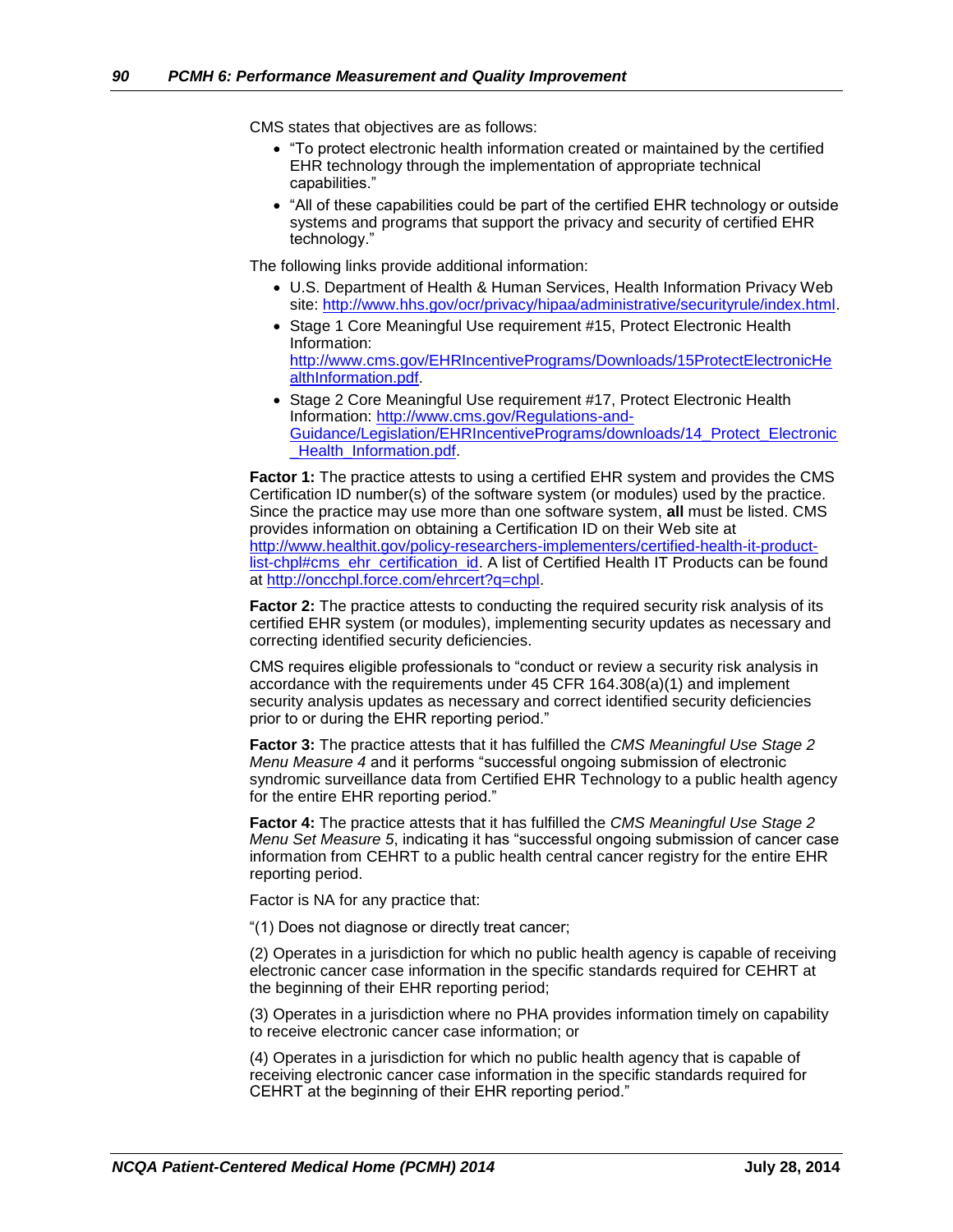CMS states that objectives are as follows:

- "To protect electronic health information created or maintained by the certified EHR technology through the implementation of appropriate technical capabilities."
- "All of these capabilities could be part of the certified EHR technology or outside systems and programs that support the privacy and security of certified EHR technology."

The following links provide additional information:

- U.S. Department of Health & Human Services, Health Information Privacy Web site: [http://www.hhs.gov/ocr/privacy/hipaa/administrative/securityrule/index.html.](http://www.hhs.gov/ocr/privacy/hipaa/administrative/securityrule/index.html)
- Stage 1 Core Meaningful Use requirement #15, Protect Electronic Health Information: [http://www.cms.gov/EHRIncentivePrograms/Downloads/15ProtectElectronicHe](http://www.cms.gov/EHRIncentivePrograms/Downloads/15ProtectElectronicHealthInformation.pdf) [althInformation.pdf.](http://www.cms.gov/EHRIncentivePrograms/Downloads/15ProtectElectronicHealthInformation.pdf)
- Stage 2 Core Meaningful Use requirement #17, Protect Electronic Health Information: [http://www.cms.gov/Regulations-and-](http://www.cms.gov/Regulations-and-Guidance/Legislation/EHRIncentivePrograms/downloads/14_Protect_Electronic_Health_Information.pdf)[Guidance/Legislation/EHRIncentivePrograms/downloads/14\\_Protect\\_Electronic](http://www.cms.gov/Regulations-and-Guidance/Legislation/EHRIncentivePrograms/downloads/14_Protect_Electronic_Health_Information.pdf) Health Information.pdf.

**Factor 1:** The practice attests to using a certified EHR system and provides the CMS Certification ID number(s) of the software system (or modules) used by the practice. Since the practice may use more than one software system, **all** must be listed. CMS provides information on obtaining a Certification ID on their Web site at [http://www.healthit.gov/policy-researchers-implementers/certified-health-it-product](http://www.healthit.gov/policy-researchers-implementers/certified-health-it-product-list-chpl#cms_ehr_certification_id)[list-chpl#cms\\_ehr\\_certification\\_id.](http://www.healthit.gov/policy-researchers-implementers/certified-health-it-product-list-chpl#cms_ehr_certification_id) A list of Certified Health IT Products can be found at [http://oncchpl.force.com/ehrcert?q=chpl.](http://oncchpl.force.com/ehrcert?q=chpl)

**Factor 2:** The practice attests to conducting the required security risk analysis of its certified EHR system (or modules), implementing security updates as necessary and correcting identified security deficiencies.

CMS requires eligible professionals to "conduct or review a security risk analysis in accordance with the requirements under 45 CFR 164.308(a)(1) and implement security analysis updates as necessary and correct identified security deficiencies prior to or during the EHR reporting period."

**Factor 3:** The practice attests that it has fulfilled the *CMS Meaningful Use Stage 2 Menu Measure 4* and it performs "successful ongoing submission of electronic syndromic surveillance data from Certified EHR Technology to a public health agency for the entire EHR reporting period."

**Factor 4:** The practice attests that it has fulfilled the *CMS Meaningful Use Stage 2 Menu Set Measure 5*, indicating it has "successful ongoing submission of cancer case information from CEHRT to a public health central cancer registry for the entire EHR reporting period.

Factor is NA for any practice that:

"(1) Does not diagnose or directly treat cancer;

(2) Operates in a jurisdiction for which no public health agency is capable of receiving electronic cancer case information in the specific standards required for CEHRT at the beginning of their EHR reporting period;

(3) Operates in a jurisdiction where no PHA provides information timely on capability to receive electronic cancer case information; or

(4) Operates in a jurisdiction for which no public health agency that is capable of receiving electronic cancer case information in the specific standards required for CEHRT at the beginning of their EHR reporting period."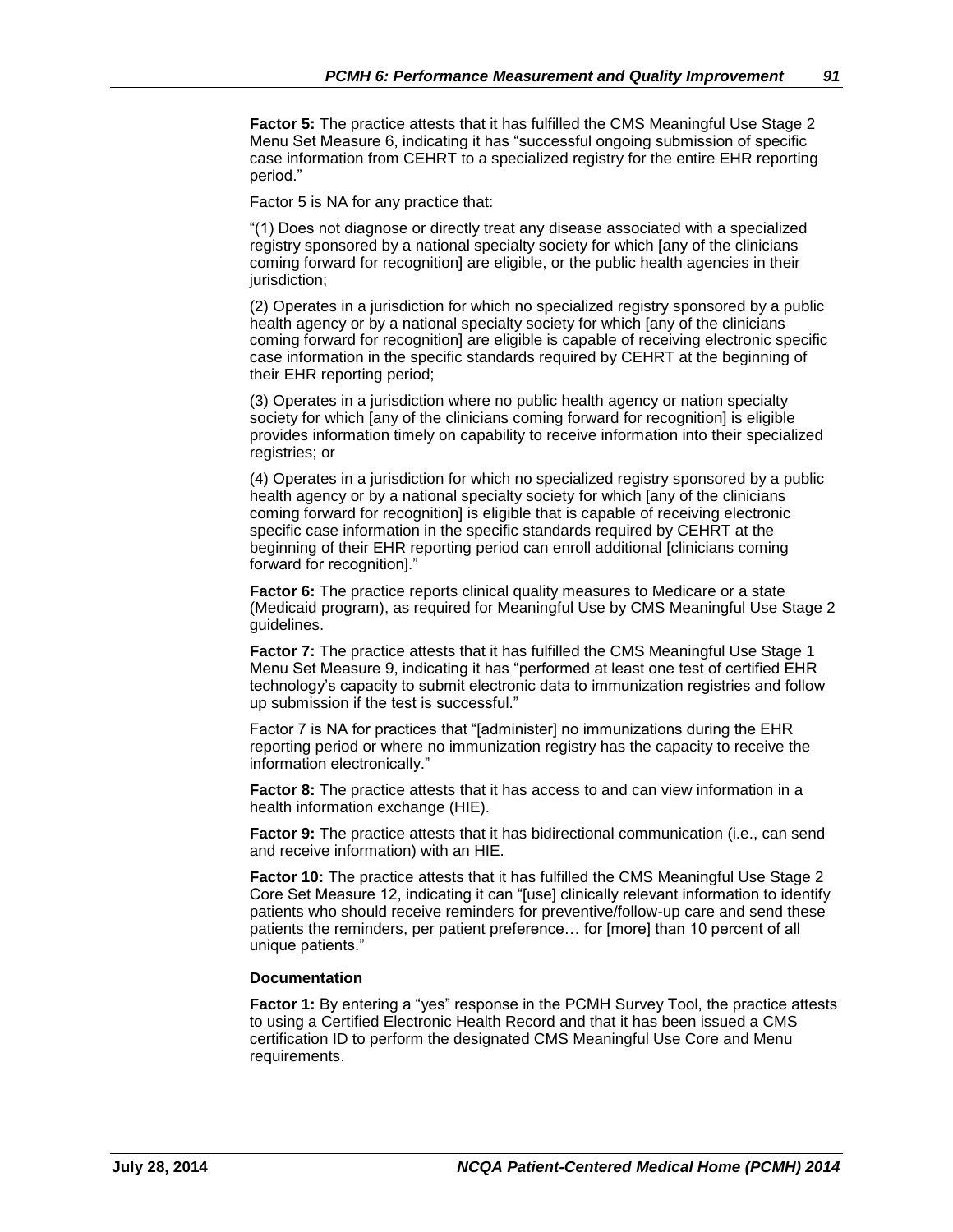**Factor 5:** The practice attests that it has fulfilled the CMS Meaningful Use Stage 2 Menu Set Measure 6, indicating it has "successful ongoing submission of specific case information from CEHRT to a specialized registry for the entire EHR reporting period."

Factor 5 is NA for any practice that:

"(1) Does not diagnose or directly treat any disease associated with a specialized registry sponsored by a national specialty society for which [any of the clinicians coming forward for recognition] are eligible, or the public health agencies in their jurisdiction;

(2) Operates in a jurisdiction for which no specialized registry sponsored by a public health agency or by a national specialty society for which [any of the clinicians coming forward for recognition] are eligible is capable of receiving electronic specific case information in the specific standards required by CEHRT at the beginning of their EHR reporting period;

(3) Operates in a jurisdiction where no public health agency or nation specialty society for which [any of the clinicians coming forward for recognition] is eligible provides information timely on capability to receive information into their specialized registries; or

(4) Operates in a jurisdiction for which no specialized registry sponsored by a public health agency or by a national specialty society for which [any of the clinicians coming forward for recognition] is eligible that is capable of receiving electronic specific case information in the specific standards required by CEHRT at the beginning of their EHR reporting period can enroll additional [clinicians coming forward for recognition]."

**Factor 6:** The practice reports clinical quality measures to Medicare or a state (Medicaid program), as required for Meaningful Use by CMS Meaningful Use Stage 2 guidelines.

**Factor 7:** The practice attests that it has fulfilled the CMS Meaningful Use Stage 1 Menu Set Measure 9, indicating it has "performed at least one test of certified EHR technology's capacity to submit electronic data to immunization registries and follow up submission if the test is successful."

Factor 7 is NA for practices that "[administer] no immunizations during the EHR reporting period or where no immunization registry has the capacity to receive the information electronically."

**Factor 8:** The practice attests that it has access to and can view information in a health information exchange (HIE).

**Factor 9:** The practice attests that it has bidirectional communication (i.e., can send and receive information) with an HIE.

**Factor 10:** The practice attests that it has fulfilled the CMS Meaningful Use Stage 2 Core Set Measure 12, indicating it can "[use] clinically relevant information to identify patients who should receive reminders for preventive/follow-up care and send these patients the reminders, per patient preference… for [more] than 10 percent of all unique patients."

### **Documentation**

**Factor 1:** By entering a "yes" response in the PCMH Survey Tool, the practice attests to using a Certified Electronic Health Record and that it has been issued a CMS certification ID to perform the designated CMS Meaningful Use Core and Menu requirements.